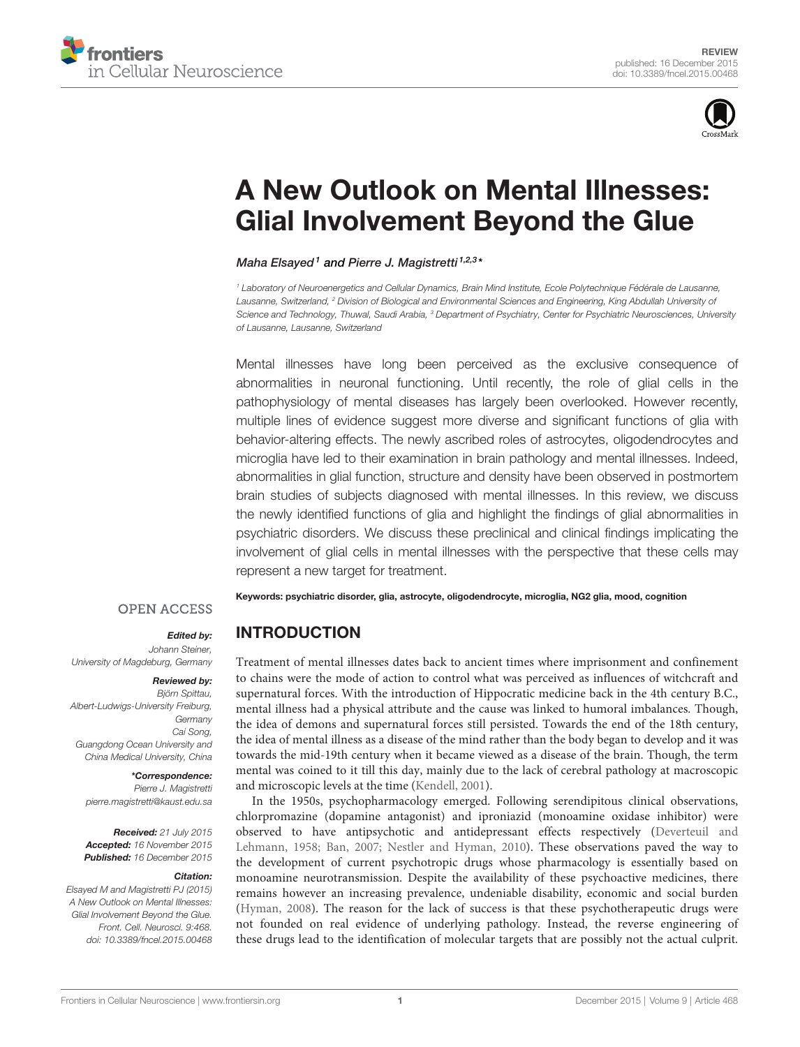



# [A New Outlook on Mental Illnesses:](http://journal.frontiersin.org/article/10.3389/fncel.2015.00468/abstract) [Glial Involvement Beyond the Glue](http://journal.frontiersin.org/article/10.3389/fncel.2015.00468/abstract)

[Maha Elsayed](http://loop.frontiersin.org/people/256434/overview) <sup>1</sup> and [Pierre J. Magistretti](http://loop.frontiersin.org/people/1327/overview) <sup>1,2,3</sup>\*

<sup>1</sup> Laboratory of Neuroenergetics and Cellular Dynamics, Brain Mind Institute, Ecole Polytechnique Fédérale de Lausanne, Lausanne, Switzerland, <sup>2</sup> Division of Biological and Environmental Sciences and Engineering, King Abdullah University of Science and Technology, Thuwal, Saudi Arabia, <sup>3</sup> Department of Psychiatry, Center for Psychiatric Neurosciences, University of Lausanne, Lausanne, Switzerland

Mental illnesses have long been perceived as the exclusive consequence of abnormalities in neuronal functioning. Until recently, the role of glial cells in the pathophysiology of mental diseases has largely been overlooked. However recently, multiple lines of evidence suggest more diverse and significant functions of glia with behavior-altering effects. The newly ascribed roles of astrocytes, oligodendrocytes and microglia have led to their examination in brain pathology and mental illnesses. Indeed, abnormalities in glial function, structure and density have been observed in postmortem brain studies of subjects diagnosed with mental illnesses. In this review, we discuss the newly identified functions of glia and highlight the findings of glial abnormalities in psychiatric disorders. We discuss these preclinical and clinical findings implicating the involvement of glial cells in mental illnesses with the perspective that these cells may represent a new target for treatment.

#### Keywords: psychiatric disorder, glia, astrocyte, oligodendrocyte, microglia, NG2 glia, mood, cognition

#### **OPEN ACCESS**

#### Edited by:

Johann Steiner, University of Magdeburg, Germany

Reviewed by: Björn Spittau, Albert-Ludwigs-University Freiburg, **Germany** Cai Song, Guangdong Ocean University and

#### \*Correspondence:

Pierre J. Magistretti [pierre.magistretti@kaust.edu.sa](mailto:pierre.magistretti@kaust.edu.sa)

China Medical University, China

Received: 21 July 2015 Accepted: 16 November 2015 Published: 16 December 2015

#### Citation:

Elsayed M and Magistretti PJ (2015) A New Outlook on Mental Illnesses: Glial Involvement Beyond the Glue. Front. Cell. Neurosci. 9:468. [doi: 10.3389/fncel.2015.00468](http://dx.doi.org/10.3389/fncel.2015.00468)

## INTRODUCTION

Treatment of mental illnesses dates back to ancient times where imprisonment and confinement to chains were the mode of action to control what was perceived as influences of witchcraft and supernatural forces. With the introduction of Hippocratic medicine back in the 4th century B.C., mental illness had a physical attribute and the cause was linked to humoral imbalances. Though, the idea of demons and supernatural forces still persisted. Towards the end of the 18th century, the idea of mental illness as a disease of the mind rather than the body began to develop and it was towards the mid-19th century when it became viewed as a disease of the brain. Though, the term mental was coined to it till this day, mainly due to the lack of cerebral pathology at macroscopic and microscopic levels at the time [\(Kendell, 2001\)](#page-15-0).

In the 1950s, psychopharmacology emerged. Following serendipitous clinical observations, chlorpromazine (dopamine antagonist) and iproniazid (monoamine oxidase inhibitor) were observed to have antipsychotic and antidepressant effects respectively [\(Deverteuil and](#page-13-0) [Lehmann, 1958;](#page-13-0) [Ban, 2007;](#page-12-0) [Nestler and Hyman, 2010\)](#page-17-0). These observations paved the way to the development of current psychotropic drugs whose pharmacology is essentially based on monoamine neurotransmission. Despite the availability of these psychoactive medicines, there remains however an increasing prevalence, undeniable disability, economic and social burden [\(Hyman, 2008\)](#page-15-1). The reason for the lack of success is that these psychotherapeutic drugs were not founded on real evidence of underlying pathology. Instead, the reverse engineering of these drugs lead to the identification of molecular targets that are possibly not the actual culprit.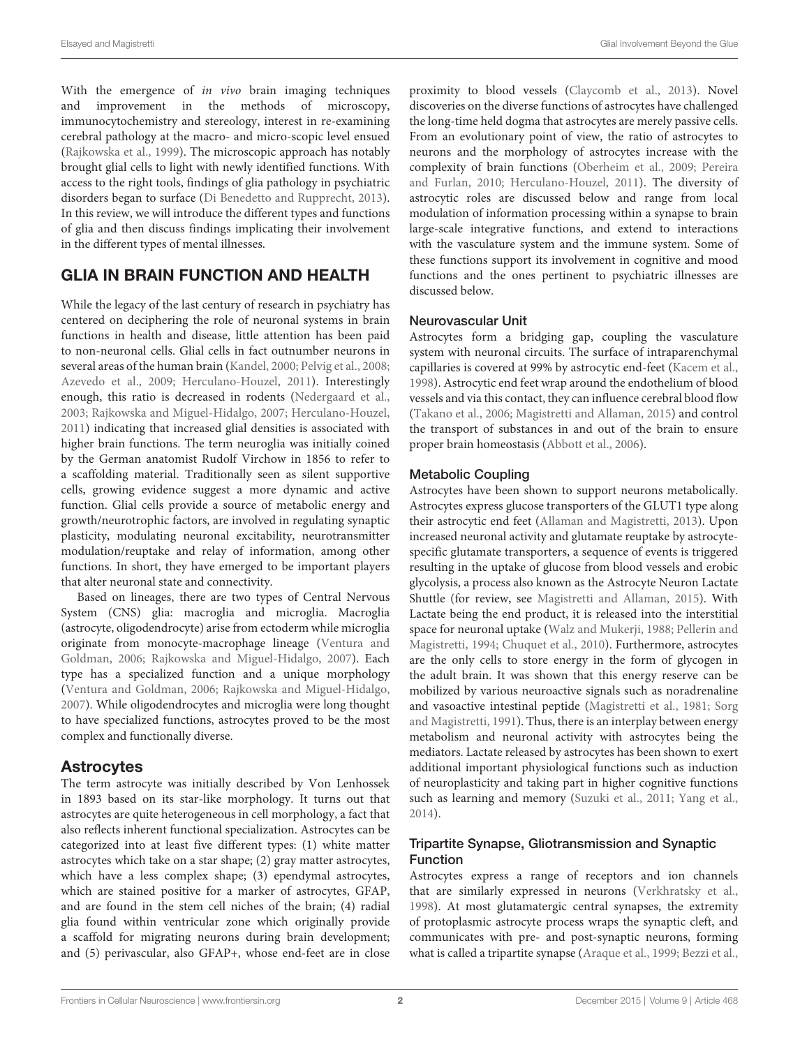With the emergence of in vivo brain imaging techniques and improvement in the methods of microscopy, immunocytochemistry and stereology, interest in re-examining cerebral pathology at the macro- and micro-scopic level ensued [\(Rajkowska et al.,](#page-17-1) [1999\)](#page-17-1). The microscopic approach has notably brought glial cells to light with newly identified functions. With access to the right tools, findings of glia pathology in psychiatric disorders began to surface [\(Di Benedetto and Rupprecht,](#page-13-1) [2013\)](#page-13-1). In this review, we will introduce the different types and functions of glia and then discuss findings implicating their involvement in the different types of mental illnesses.

## GLIA IN BRAIN FUNCTION AND HEALTH

While the legacy of the last century of research in psychiatry has centered on deciphering the role of neuronal systems in brain functions in health and disease, little attention has been paid to non-neuronal cells. Glial cells in fact outnumber neurons in several areas of the human brain [\(Kandel,](#page-15-2) [2000;](#page-15-2) [Pelvig et al.,](#page-17-2) [2008;](#page-17-2) [Azevedo et al.,](#page-12-1) [2009;](#page-12-1) [Herculano-Houzel,](#page-14-0) [2011\)](#page-14-0). Interestingly enough, this ratio is decreased in rodents [\(Nedergaard et al.,](#page-17-3) [2003;](#page-17-3) [Rajkowska and Miguel-Hidalgo,](#page-17-4) [2007;](#page-17-4) [Herculano-Houzel,](#page-14-0) [2011\)](#page-14-0) indicating that increased glial densities is associated with higher brain functions. The term neuroglia was initially coined by the German anatomist Rudolf Virchow in 1856 to refer to a scaffolding material. Traditionally seen as silent supportive cells, growing evidence suggest a more dynamic and active function. Glial cells provide a source of metabolic energy and growth/neurotrophic factors, are involved in regulating synaptic plasticity, modulating neuronal excitability, neurotransmitter modulation/reuptake and relay of information, among other functions. In short, they have emerged to be important players that alter neuronal state and connectivity.

Based on lineages, there are two types of Central Nervous System (CNS) glia: macroglia and microglia. Macroglia (astrocyte, oligodendrocyte) arise from ectoderm while microglia originate from monocyte-macrophage lineage [\(Ventura and](#page-19-0) [Goldman,](#page-19-0) [2006;](#page-19-0) [Rajkowska and Miguel-Hidalgo,](#page-17-4) [2007\)](#page-17-4). Each type has a specialized function and a unique morphology [\(Ventura and Goldman,](#page-19-0) [2006;](#page-19-0) [Rajkowska and Miguel-Hidalgo,](#page-17-4) [2007\)](#page-17-4). While oligodendrocytes and microglia were long thought to have specialized functions, astrocytes proved to be the most complex and functionally diverse.

## Astrocytes

The term astrocyte was initially described by Von Lenhossek in 1893 based on its star-like morphology. It turns out that astrocytes are quite heterogeneous in cell morphology, a fact that also reflects inherent functional specialization. Astrocytes can be categorized into at least five different types: (1) white matter astrocytes which take on a star shape; (2) gray matter astrocytes, which have a less complex shape; (3) ependymal astrocytes, which are stained positive for a marker of astrocytes, GFAP, and are found in the stem cell niches of the brain; (4) radial glia found within ventricular zone which originally provide a scaffold for migrating neurons during brain development; and (5) perivascular, also GFAP+, whose end-feet are in close proximity to blood vessels [\(Claycomb et al.,](#page-13-2) [2013\)](#page-13-2). Novel discoveries on the diverse functions of astrocytes have challenged the long-time held dogma that astrocytes are merely passive cells. From an evolutionary point of view, the ratio of astrocytes to neurons and the morphology of astrocytes increase with the complexity of brain functions [\(Oberheim et al.,](#page-17-5) [2009;](#page-17-5) [Pereira](#page-17-6) [and Furlan,](#page-17-6) [2010;](#page-17-6) [Herculano-Houzel,](#page-14-0) [2011\)](#page-14-0). The diversity of astrocytic roles are discussed below and range from local modulation of information processing within a synapse to brain large-scale integrative functions, and extend to interactions with the vasculature system and the immune system. Some of these functions support its involvement in cognitive and mood functions and the ones pertinent to psychiatric illnesses are discussed below.

#### Neurovascular Unit

Astrocytes form a bridging gap, coupling the vasculature system with neuronal circuits. The surface of intraparenchymal capillaries is covered at 99% by astrocytic end-feet [\(Kacem et al.,](#page-15-3) [1998\)](#page-15-3). Astrocytic end feet wrap around the endothelium of blood vessels and via this contact, they can influence cerebral blood flow [\(Takano et al.,](#page-18-0) [2006;](#page-18-0) [Magistretti and Allaman,](#page-16-0) [2015\)](#page-16-0) and control the transport of substances in and out of the brain to ensure proper brain homeostasis [\(Abbott et al.,](#page-11-0) [2006\)](#page-11-0).

#### Metabolic Coupling

Astrocytes have been shown to support neurons metabolically. Astrocytes express glucose transporters of the GLUT1 type along their astrocytic end feet [\(Allaman and Magistretti,](#page-11-1) [2013\)](#page-11-1). Upon increased neuronal activity and glutamate reuptake by astrocytespecific glutamate transporters, a sequence of events is triggered resulting in the uptake of glucose from blood vessels and erobic glycolysis, a process also known as the Astrocyte Neuron Lactate Shuttle (for review, see [Magistretti and Allaman,](#page-16-0) [2015\)](#page-16-0). With Lactate being the end product, it is released into the interstitial space for neuronal uptake [\(Walz and Mukerji,](#page-19-1) [1988;](#page-19-1) [Pellerin and](#page-17-7) [Magistretti,](#page-17-7) [1994;](#page-17-7) [Chuquet et al.,](#page-13-3) [2010\)](#page-13-3). Furthermore, astrocytes are the only cells to store energy in the form of glycogen in the adult brain. It was shown that this energy reserve can be mobilized by various neuroactive signals such as noradrenaline and vasoactive intestinal peptide [\(Magistretti et al.,](#page-16-1) [1981;](#page-16-1) [Sorg](#page-18-1) [and Magistretti,](#page-18-1) [1991\)](#page-18-1). Thus, there is an interplay between energy metabolism and neuronal activity with astrocytes being the mediators. Lactate released by astrocytes has been shown to exert additional important physiological functions such as induction of neuroplasticity and taking part in higher cognitive functions such as learning and memory [\(Suzuki et al.,](#page-18-2) [2011;](#page-18-2) [Yang et al.,](#page-19-2) [2014\)](#page-19-2).

#### Tripartite Synapse, Gliotransmission and Synaptic Function

Astrocytes express a range of receptors and ion channels that are similarly expressed in neurons [\(Verkhratsky et al.,](#page-19-3) [1998\)](#page-19-3). At most glutamatergic central synapses, the extremity of protoplasmic astrocyte process wraps the synaptic cleft, and communicates with pre- and post-synaptic neurons, forming what is called a tripartite synapse [\(Araque et al.,](#page-12-2) [1999;](#page-12-2) [Bezzi et al.,](#page-12-3)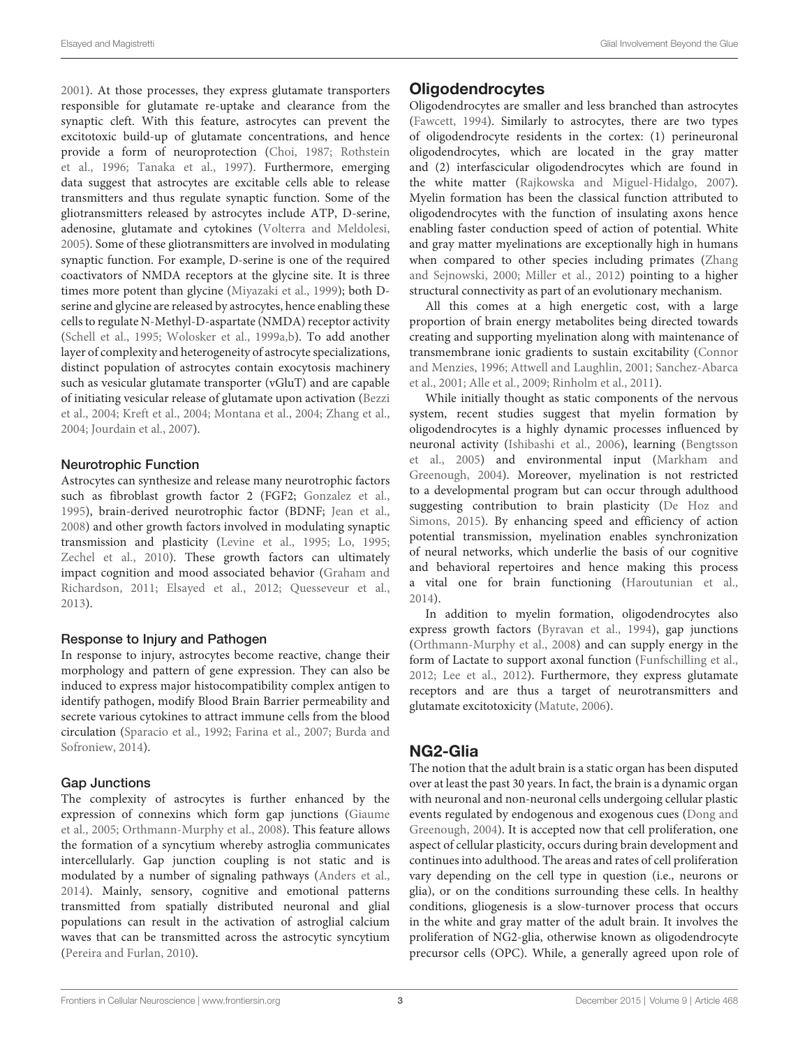[2001\)](#page-12-3). At those processes, they express glutamate transporters responsible for glutamate re-uptake and clearance from the synaptic cleft. With this feature, astrocytes can prevent the excitotoxic build-up of glutamate concentrations, and hence provide a form of neuroprotection [\(Choi,](#page-13-4) [1987;](#page-13-4) [Rothstein](#page-18-3) [et al.,](#page-18-3) [1996;](#page-18-3) [Tanaka et al.,](#page-18-4) [1997\)](#page-18-4). Furthermore, emerging data suggest that astrocytes are excitable cells able to release transmitters and thus regulate synaptic function. Some of the gliotransmitters released by astrocytes include ATP, D-serine, adenosine, glutamate and cytokines [\(Volterra and Meldolesi,](#page-19-4) [2005\)](#page-19-4). Some of these gliotransmitters are involved in modulating synaptic function. For example, D-serine is one of the required coactivators of NMDA receptors at the glycine site. It is three times more potent than glycine [\(Miyazaki et al.,](#page-16-2) [1999\)](#page-16-2); both Dserine and glycine are released by astrocytes, hence enabling these cells to regulate N-Methyl-D-aspartate (NMDA) receptor activity [\(Schell et al.,](#page-18-5) [1995;](#page-18-5) [Wolosker et al.,](#page-19-5) [1999a](#page-19-5)[,b\)](#page-19-6). To add another layer of complexity and heterogeneity of astrocyte specializations, distinct population of astrocytes contain exocytosis machinery such as vesicular glutamate transporter (vGluT) and are capable of initiating vesicular release of glutamate upon activation [\(Bezzi](#page-12-4) [et al.,](#page-12-4) [2004;](#page-12-4) [Kreft et al.,](#page-15-4) [2004;](#page-15-4) [Montana et al.,](#page-16-3) [2004;](#page-16-3) [Zhang et al.,](#page-19-7) [2004;](#page-19-7) [Jourdain et al.,](#page-15-5) [2007\)](#page-15-5).

#### Neurotrophic Function

Astrocytes can synthesize and release many neurotrophic factors such as fibroblast growth factor 2 (FGF2; [Gonzalez et al.,](#page-14-1) [1995\)](#page-14-1), brain-derived neurotrophic factor (BDNF; [Jean et al.,](#page-15-6) [2008\)](#page-15-6) and other growth factors involved in modulating synaptic transmission and plasticity [\(Levine et al.,](#page-15-7) [1995;](#page-15-7) [Lo,](#page-16-4) [1995;](#page-16-4) [Zechel et al.,](#page-19-8) [2010\)](#page-19-8). These growth factors can ultimately impact cognition and mood associated behavior [\(Graham and](#page-14-2) [Richardson,](#page-14-2) [2011;](#page-14-2) [Elsayed et al.,](#page-13-5) [2012;](#page-13-5) [Quesseveur et al.,](#page-17-8) [2013\)](#page-17-8).

#### Response to Injury and Pathogen

In response to injury, astrocytes become reactive, change their morphology and pattern of gene expression. They can also be induced to express major histocompatibility complex antigen to identify pathogen, modify Blood Brain Barrier permeability and secrete various cytokines to attract immune cells from the blood circulation [\(Sparacio et al.,](#page-18-6) [1992;](#page-18-6) [Farina et al.,](#page-14-3) [2007;](#page-14-3) [Burda and](#page-12-5) [Sofroniew,](#page-12-5) [2014\)](#page-12-5).

#### Gap Junctions

The complexity of astrocytes is further enhanced by the expression of connexins which form gap junctions [\(Giaume](#page-14-4) [et al.,](#page-14-4) [2005;](#page-14-4) [Orthmann-Murphy et al.,](#page-17-9) [2008\)](#page-17-9). This feature allows the formation of a syncytium whereby astroglia communicates intercellularly. Gap junction coupling is not static and is modulated by a number of signaling pathways [\(Anders et al.,](#page-11-2) [2014\)](#page-11-2). Mainly, sensory, cognitive and emotional patterns transmitted from spatially distributed neuronal and glial populations can result in the activation of astroglial calcium waves that can be transmitted across the astrocytic syncytium [\(Pereira and Furlan,](#page-17-6) [2010\)](#page-17-6).

# **Oligodendrocytes**

Oligodendrocytes are smaller and less branched than astrocytes [\(Fawcett,](#page-14-5) [1994\)](#page-14-5). Similarly to astrocytes, there are two types of oligodendrocyte residents in the cortex: (1) perineuronal oligodendrocytes, which are located in the gray matter and (2) interfascicular oligodendrocytes which are found in the white matter [\(Rajkowska and Miguel-Hidalgo,](#page-17-4) [2007\)](#page-17-4). Myelin formation has been the classical function attributed to oligodendrocytes with the function of insulating axons hence enabling faster conduction speed of action of potential. White and gray matter myelinations are exceptionally high in humans when compared to other species including primates [\(Zhang](#page-19-9) [and Sejnowski,](#page-19-9) [2000;](#page-19-9) [Miller et al.,](#page-16-5) [2012\)](#page-16-5) pointing to a higher structural connectivity as part of an evolutionary mechanism.

All this comes at a high energetic cost, with a large proportion of brain energy metabolites being directed towards creating and supporting myelination along with maintenance of transmembrane ionic gradients to sustain excitability [\(Connor](#page-13-6) [and Menzies,](#page-13-6) [1996;](#page-13-6) [Attwell and Laughlin,](#page-12-6) [2001;](#page-12-6) [Sanchez-Abarca](#page-18-7) [et al.,](#page-18-7) [2001;](#page-18-7) [Alle et al.,](#page-11-3) [2009;](#page-11-3) [Rinholm et al.,](#page-17-10) [2011\)](#page-17-10).

While initially thought as static components of the nervous system, recent studies suggest that myelin formation by oligodendrocytes is a highly dynamic processes influenced by neuronal activity [\(Ishibashi et al.,](#page-15-8) [2006\)](#page-15-8), learning [\(Bengtsson](#page-12-7) [et al.,](#page-12-7) [2005\)](#page-12-7) and environmental input [\(Markham and](#page-16-6) [Greenough,](#page-16-6) [2004\)](#page-16-6). Moreover, myelination is not restricted to a developmental program but can occur through adulthood suggesting contribution to brain plasticity [\(De Hoz and](#page-13-7) [Simons,](#page-13-7) [2015\)](#page-13-7). By enhancing speed and efficiency of action potential transmission, myelination enables synchronization of neural networks, which underlie the basis of our cognitive and behavioral repertoires and hence making this process a vital one for brain functioning [\(Haroutunian et al.,](#page-14-6) [2014\)](#page-14-6).

In addition to myelin formation, oligodendrocytes also express growth factors [\(Byravan et al.,](#page-12-8) [1994\)](#page-12-8), gap junctions [\(Orthmann-Murphy et al.,](#page-17-9) [2008\)](#page-17-9) and can supply energy in the form of Lactate to support axonal function [\(Funfschilling et al.,](#page-14-7) [2012;](#page-14-7) [Lee et al.,](#page-15-9) [2012\)](#page-15-9). Furthermore, they express glutamate receptors and are thus a target of neurotransmitters and glutamate excitotoxicity [\(Matute,](#page-16-7) [2006\)](#page-16-7).

## NG2-Glia

The notion that the adult brain is a static organ has been disputed over at least the past 30 years. In fact, the brain is a dynamic organ with neuronal and non-neuronal cells undergoing cellular plastic events regulated by endogenous and exogenous cues [\(Dong and](#page-13-8) [Greenough,](#page-13-8) [2004\)](#page-13-8). It is accepted now that cell proliferation, one aspect of cellular plasticity, occurs during brain development and continues into adulthood. The areas and rates of cell proliferation vary depending on the cell type in question (i.e., neurons or glia), or on the conditions surrounding these cells. In healthy conditions, gliogenesis is a slow-turnover process that occurs in the white and gray matter of the adult brain. It involves the proliferation of NG2-glia, otherwise known as oligodendrocyte precursor cells (OPC). While, a generally agreed upon role of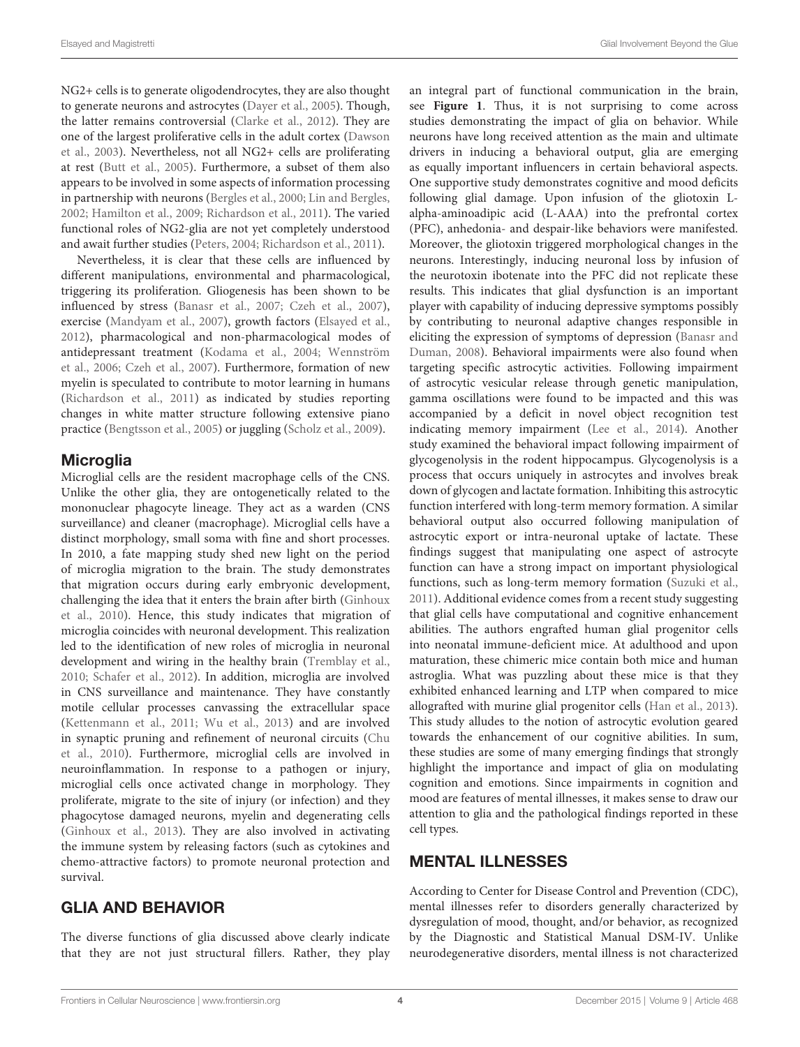NG2+ cells is to generate oligodendrocytes, they are also thought to generate neurons and astrocytes [\(Dayer et al.,](#page-13-9) [2005\)](#page-13-9). Though, the latter remains controversial [\(Clarke et al.,](#page-13-10) [2012\)](#page-13-10). They are one of the largest proliferative cells in the adult cortex [\(Dawson](#page-13-11) [et al.,](#page-13-11) [2003\)](#page-13-11). Nevertheless, not all NG2+ cells are proliferating at rest [\(Butt et al.,](#page-12-9) [2005\)](#page-12-9). Furthermore, a subset of them also appears to be involved in some aspects of information processing in partnership with neurons [\(Bergles et al.,](#page-12-10) [2000;](#page-12-10) [Lin and Bergles,](#page-16-8) [2002;](#page-16-8) [Hamilton et al.,](#page-14-8) [2009;](#page-14-8) [Richardson et al.,](#page-17-11) [2011\)](#page-17-11). The varied functional roles of NG2-glia are not yet completely understood and await further studies [\(Peters,](#page-17-12) [2004;](#page-17-12) [Richardson et al.,](#page-17-11) [2011\)](#page-17-11).

Nevertheless, it is clear that these cells are influenced by different manipulations, environmental and pharmacological, triggering its proliferation. Gliogenesis has been shown to be influenced by stress [\(Banasr et al.,](#page-12-11) [2007;](#page-12-11) [Czeh et al.,](#page-13-12) [2007\)](#page-13-12), exercise [\(Mandyam et al.,](#page-16-9) [2007\)](#page-16-9), growth factors [\(Elsayed et al.,](#page-13-5) [2012\)](#page-13-5), pharmacological and non-pharmacological modes of antidepressant treatment [\(Kodama et al.,](#page-15-10) [2004;](#page-15-10) [Wennström](#page-19-10) [et al.,](#page-19-10) [2006;](#page-19-10) [Czeh et al.,](#page-13-12) [2007\)](#page-13-12). Furthermore, formation of new myelin is speculated to contribute to motor learning in humans [\(Richardson et al.,](#page-17-11) [2011\)](#page-17-11) as indicated by studies reporting changes in white matter structure following extensive piano practice [\(Bengtsson et al.,](#page-12-7) [2005\)](#page-12-7) or juggling [\(Scholz et al.,](#page-18-8) [2009\)](#page-18-8).

#### **Microglia**

Microglial cells are the resident macrophage cells of the CNS. Unlike the other glia, they are ontogenetically related to the mononuclear phagocyte lineage. They act as a warden (CNS surveillance) and cleaner (macrophage). Microglial cells have a distinct morphology, small soma with fine and short processes. In 2010, a fate mapping study shed new light on the period of microglia migration to the brain. The study demonstrates that migration occurs during early embryonic development, challenging the idea that it enters the brain after birth [\(Ginhoux](#page-14-9) [et al.,](#page-14-9) [2010\)](#page-14-9). Hence, this study indicates that migration of microglia coincides with neuronal development. This realization led to the identification of new roles of microglia in neuronal development and wiring in the healthy brain [\(Tremblay et al.,](#page-19-11) [2010;](#page-19-11) [Schafer et al.,](#page-18-9) [2012\)](#page-18-9). In addition, microglia are involved in CNS surveillance and maintenance. They have constantly motile cellular processes canvassing the extracellular space [\(Kettenmann et al.,](#page-15-11) [2011;](#page-15-11) [Wu et al.,](#page-19-12) [2013\)](#page-19-12) and are involved in synaptic pruning and refinement of neuronal circuits [\(Chu](#page-13-13) [et al.,](#page-13-13) [2010\)](#page-13-13). Furthermore, microglial cells are involved in neuroinflammation. In response to a pathogen or injury, microglial cells once activated change in morphology. They proliferate, migrate to the site of injury (or infection) and they phagocytose damaged neurons, myelin and degenerating cells [\(Ginhoux et al.,](#page-14-10) [2013\)](#page-14-10). They are also involved in activating the immune system by releasing factors (such as cytokines and chemo-attractive factors) to promote neuronal protection and survival.

## GLIA AND BEHAVIOR

The diverse functions of glia discussed above clearly indicate that they are not just structural fillers. Rather, they play

an integral part of functional communication in the brain, see **[Figure 1](#page-4-0)**. Thus, it is not surprising to come across studies demonstrating the impact of glia on behavior. While neurons have long received attention as the main and ultimate drivers in inducing a behavioral output, glia are emerging as equally important influencers in certain behavioral aspects. One supportive study demonstrates cognitive and mood deficits following glial damage. Upon infusion of the gliotoxin Lalpha-aminoadipic acid (L-AAA) into the prefrontal cortex (PFC), anhedonia- and despair-like behaviors were manifested. Moreover, the gliotoxin triggered morphological changes in the neurons. Interestingly, inducing neuronal loss by infusion of the neurotoxin ibotenate into the PFC did not replicate these results. This indicates that glial dysfunction is an important player with capability of inducing depressive symptoms possibly by contributing to neuronal adaptive changes responsible in eliciting the expression of symptoms of depression [\(Banasr and](#page-12-12) [Duman,](#page-12-12) [2008\)](#page-12-12). Behavioral impairments were also found when targeting specific astrocytic activities. Following impairment of astrocytic vesicular release through genetic manipulation, gamma oscillations were found to be impacted and this was accompanied by a deficit in novel object recognition test indicating memory impairment [\(Lee et al.,](#page-15-12) [2014\)](#page-15-12). Another study examined the behavioral impact following impairment of glycogenolysis in the rodent hippocampus. Glycogenolysis is a process that occurs uniquely in astrocytes and involves break down of glycogen and lactate formation. Inhibiting this astrocytic function interfered with long-term memory formation. A similar behavioral output also occurred following manipulation of astrocytic export or intra-neuronal uptake of lactate. These findings suggest that manipulating one aspect of astrocyte function can have a strong impact on important physiological functions, such as long-term memory formation [\(Suzuki et al.,](#page-18-2) [2011\)](#page-18-2). Additional evidence comes from a recent study suggesting that glial cells have computational and cognitive enhancement abilities. The authors engrafted human glial progenitor cells into neonatal immune-deficient mice. At adulthood and upon maturation, these chimeric mice contain both mice and human astroglia. What was puzzling about these mice is that they exhibited enhanced learning and LTP when compared to mice allografted with murine glial progenitor cells [\(Han et al.,](#page-14-11) [2013\)](#page-14-11). This study alludes to the notion of astrocytic evolution geared towards the enhancement of our cognitive abilities. In sum, these studies are some of many emerging findings that strongly highlight the importance and impact of glia on modulating cognition and emotions. Since impairments in cognition and mood are features of mental illnesses, it makes sense to draw our attention to glia and the pathological findings reported in these cell types.

## MENTAL ILLNESSES

According to Center for Disease Control and Prevention (CDC), mental illnesses refer to disorders generally characterized by dysregulation of mood, thought, and/or behavior, as recognized by the Diagnostic and Statistical Manual DSM-IV. Unlike neurodegenerative disorders, mental illness is not characterized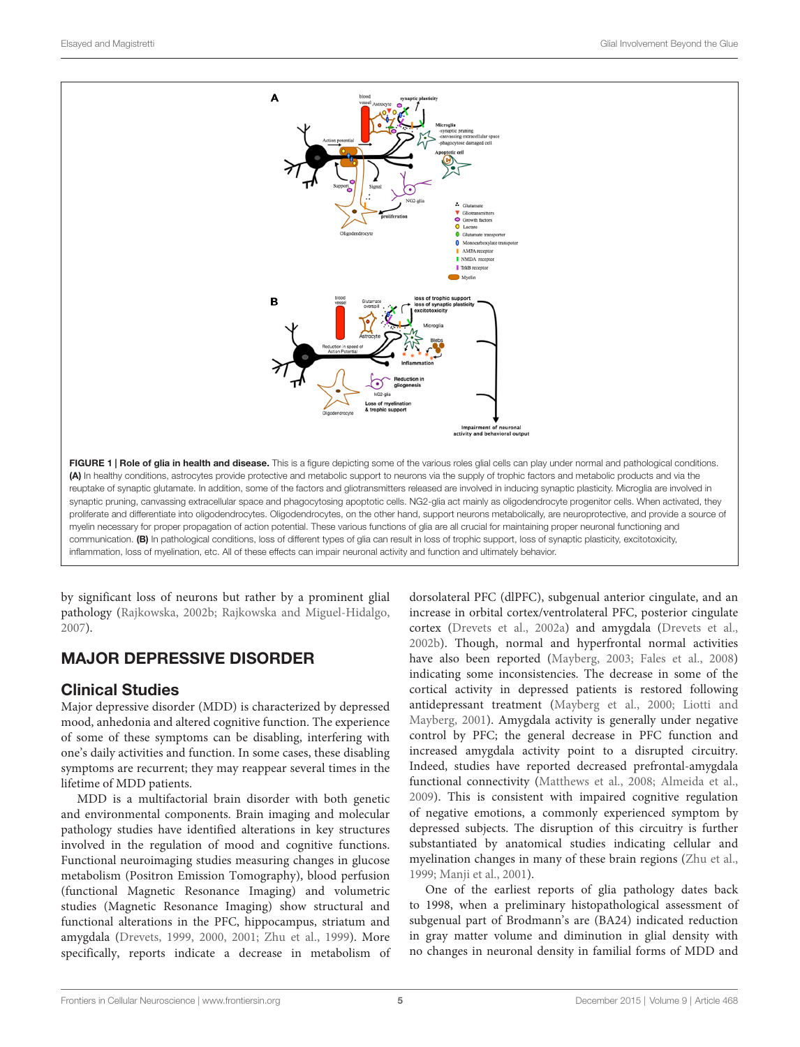

<span id="page-4-0"></span>by significant loss of neurons but rather by a prominent glial pathology [\(Rajkowska,](#page-17-13) [2002b;](#page-17-13) [Rajkowska and Miguel-Hidalgo,](#page-17-4) [2007\)](#page-17-4).

# MAJOR DEPRESSIVE DISORDER

## Clinical Studies

Major depressive disorder (MDD) is characterized by depressed mood, anhedonia and altered cognitive function. The experience of some of these symptoms can be disabling, interfering with one's daily activities and function. In some cases, these disabling symptoms are recurrent; they may reappear several times in the lifetime of MDD patients.

MDD is a multifactorial brain disorder with both genetic and environmental components. Brain imaging and molecular pathology studies have identified alterations in key structures involved in the regulation of mood and cognitive functions. Functional neuroimaging studies measuring changes in glucose metabolism (Positron Emission Tomography), blood perfusion (functional Magnetic Resonance Imaging) and volumetric studies (Magnetic Resonance Imaging) show structural and functional alterations in the PFC, hippocampus, striatum and amygdala [\(Drevets,](#page-13-14) [1999,](#page-13-14) [2000,](#page-13-15) [2001;](#page-13-16) [Zhu et al.,](#page-19-13) [1999\)](#page-19-13). More specifically, reports indicate a decrease in metabolism of

dorsolateral PFC (dlPFC), subgenual anterior cingulate, and an increase in orbital cortex/ventrolateral PFC, posterior cingulate cortex [\(Drevets et al.,](#page-13-17) [2002a\)](#page-13-17) and amygdala [\(Drevets et al.,](#page-13-18) [2002b\)](#page-13-18). Though, normal and hyperfrontal normal activities have also been reported [\(Mayberg,](#page-16-10) [2003;](#page-16-10) [Fales et al.,](#page-14-12) [2008\)](#page-14-12) indicating some inconsistencies. The decrease in some of the cortical activity in depressed patients is restored following antidepressant treatment [\(Mayberg et al.,](#page-16-11) [2000;](#page-16-11) [Liotti and](#page-16-12) [Mayberg,](#page-16-12) [2001\)](#page-16-12). Amygdala activity is generally under negative control by PFC; the general decrease in PFC function and increased amygdala activity point to a disrupted circuitry. Indeed, studies have reported decreased prefrontal-amygdala functional connectivity [\(Matthews et al.,](#page-16-13) [2008;](#page-16-13) [Almeida et al.,](#page-11-4) [2009\)](#page-11-4). This is consistent with impaired cognitive regulation of negative emotions, a commonly experienced symptom by depressed subjects. The disruption of this circuitry is further substantiated by anatomical studies indicating cellular and myelination changes in many of these brain regions [\(Zhu et al.,](#page-19-13) [1999;](#page-19-13) [Manji et al.,](#page-16-14) [2001\)](#page-16-14).

One of the earliest reports of glia pathology dates back to 1998, when a preliminary histopathological assessment of subgenual part of Brodmann's are (BA24) indicated reduction in gray matter volume and diminution in glial density with no changes in neuronal density in familial forms of MDD and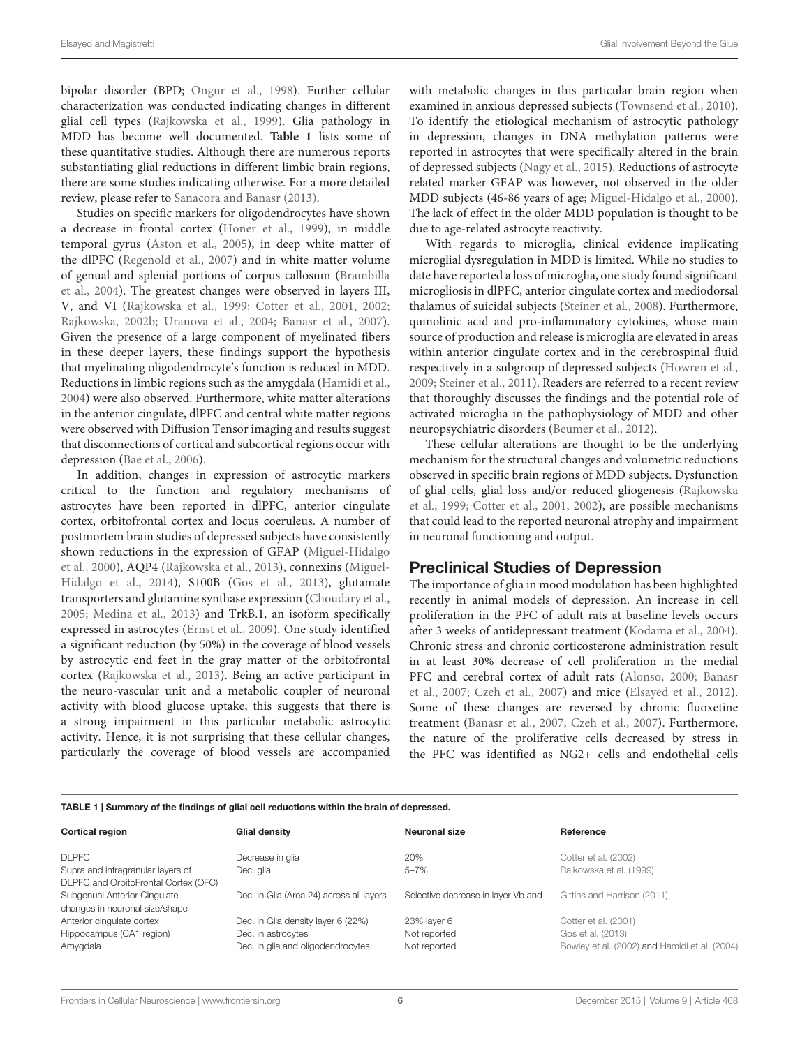bipolar disorder (BPD; [Ongur et al.,](#page-17-14) [1998\)](#page-17-14). Further cellular characterization was conducted indicating changes in different glial cell types [\(Rajkowska et al.,](#page-17-1) [1999\)](#page-17-1). Glia pathology in MDD has become well documented. **[Table 1](#page-5-0)** lists some of these quantitative studies. Although there are numerous reports substantiating glial reductions in different limbic brain regions, there are some studies indicating otherwise. For a more detailed review, please refer to [Sanacora and Banasr](#page-18-10) [\(2013\)](#page-18-10).

Studies on specific markers for oligodendrocytes have shown a decrease in frontal cortex [\(Honer et al.,](#page-14-13) [1999\)](#page-14-13), in middle temporal gyrus [\(Aston et al.,](#page-12-13) [2005\)](#page-12-13), in deep white matter of the dlPFC [\(Regenold et al.,](#page-17-15) [2007\)](#page-17-15) and in white matter volume of genual and splenial portions of corpus callosum [\(Brambilla](#page-12-14) [et al.,](#page-12-14) [2004\)](#page-12-14). The greatest changes were observed in layers III, V, and VI [\(Rajkowska et al.,](#page-17-1) [1999;](#page-17-1) [Cotter et al.,](#page-13-19) [2001,](#page-13-19) [2002;](#page-13-20) [Rajkowska,](#page-17-13) [2002b;](#page-17-13) [Uranova et al.,](#page-19-14) [2004;](#page-19-14) [Banasr et al.,](#page-12-11) [2007\)](#page-12-11). Given the presence of a large component of myelinated fibers in these deeper layers, these findings support the hypothesis that myelinating oligodendrocyte's function is reduced in MDD. Reductions in limbic regions such as the amygdala [\(Hamidi et al.,](#page-14-14) [2004\)](#page-14-14) were also observed. Furthermore, white matter alterations in the anterior cingulate, dlPFC and central white matter regions were observed with Diffusion Tensor imaging and results suggest that disconnections of cortical and subcortical regions occur with depression [\(Bae et al.,](#page-12-15) [2006\)](#page-12-15).

In addition, changes in expression of astrocytic markers critical to the function and regulatory mechanisms of astrocytes have been reported in dlPFC, anterior cingulate cortex, orbitofrontal cortex and locus coeruleus. A number of postmortem brain studies of depressed subjects have consistently shown reductions in the expression of GFAP [\(Miguel-Hidalgo](#page-16-15) [et al.,](#page-16-15) [2000\)](#page-16-15), AQP4 [\(Rajkowska et al.,](#page-17-16) [2013\)](#page-17-16), connexins [\(Miguel-](#page-16-16)[Hidalgo et al.,](#page-16-16) [2014\)](#page-16-16), S100B [\(Gos et al.,](#page-14-15) [2013\)](#page-14-15), glutamate transporters and glutamine synthase expression [\(Choudary et al.,](#page-13-21) [2005;](#page-13-21) [Medina et al.,](#page-16-17) [2013\)](#page-16-17) and TrkB.1, an isoform specifically expressed in astrocytes [\(Ernst et al.,](#page-14-16) [2009\)](#page-14-16). One study identified a significant reduction (by 50%) in the coverage of blood vessels by astrocytic end feet in the gray matter of the orbitofrontal cortex [\(Rajkowska et al.,](#page-17-16) [2013\)](#page-17-16). Being an active participant in the neuro-vascular unit and a metabolic coupler of neuronal activity with blood glucose uptake, this suggests that there is a strong impairment in this particular metabolic astrocytic activity. Hence, it is not surprising that these cellular changes, particularly the coverage of blood vessels are accompanied

with metabolic changes in this particular brain region when examined in anxious depressed subjects [\(Townsend et al.,](#page-19-15) [2010\)](#page-19-15). To identify the etiological mechanism of astrocytic pathology in depression, changes in DNA methylation patterns were reported in astrocytes that were specifically altered in the brain of depressed subjects [\(Nagy et al.,](#page-17-17) [2015\)](#page-17-17). Reductions of astrocyte related marker GFAP was however, not observed in the older MDD subjects (46-86 years of age; [Miguel-Hidalgo et al.,](#page-16-15) [2000\)](#page-16-15). The lack of effect in the older MDD population is thought to be due to age-related astrocyte reactivity.

With regards to microglia, clinical evidence implicating microglial dysregulation in MDD is limited. While no studies to date have reported a loss of microglia, one study found significant microgliosis in dlPFC, anterior cingulate cortex and mediodorsal thalamus of suicidal subjects [\(Steiner et al.,](#page-18-11) [2008\)](#page-18-11). Furthermore, quinolinic acid and pro-inflammatory cytokines, whose main source of production and release is microglia are elevated in areas within anterior cingulate cortex and in the cerebrospinal fluid respectively in a subgroup of depressed subjects [\(Howren et al.,](#page-15-13) [2009;](#page-15-13) [Steiner et al.,](#page-18-12) [2011\)](#page-18-12). Readers are referred to a recent review that thoroughly discusses the findings and the potential role of activated microglia in the pathophysiology of MDD and other neuropsychiatric disorders [\(Beumer et al.,](#page-12-16) [2012\)](#page-12-16).

These cellular alterations are thought to be the underlying mechanism for the structural changes and volumetric reductions observed in specific brain regions of MDD subjects. Dysfunction of glial cells, glial loss and/or reduced gliogenesis [\(Rajkowska](#page-17-1) [et al.,](#page-17-1) [1999;](#page-17-1) [Cotter et al.,](#page-13-19) [2001,](#page-13-19) [2002\)](#page-13-20), are possible mechanisms that could lead to the reported neuronal atrophy and impairment in neuronal functioning and output.

#### Preclinical Studies of Depression

The importance of glia in mood modulation has been highlighted recently in animal models of depression. An increase in cell proliferation in the PFC of adult rats at baseline levels occurs after 3 weeks of antidepressant treatment [\(Kodama et al.,](#page-15-10) [2004\)](#page-15-10). Chronic stress and chronic corticosterone administration result in at least 30% decrease of cell proliferation in the medial PFC and cerebral cortex of adult rats [\(Alonso,](#page-11-5) [2000;](#page-11-5) [Banasr](#page-12-11) [et al.,](#page-12-11) [2007;](#page-12-11) [Czeh et al.,](#page-13-12) [2007\)](#page-13-12) and mice [\(Elsayed et al.,](#page-13-5) [2012\)](#page-13-5). Some of these changes are reversed by chronic fluoxetine treatment [\(Banasr et al.,](#page-12-11) [2007;](#page-12-11) [Czeh et al.,](#page-13-12) [2007\)](#page-13-12). Furthermore, the nature of the proliferative cells decreased by stress in the PFC was identified as NG2+ cells and endothelial cells

#### <span id="page-5-0"></span>TABLE 1 | Summary of the findings of glial cell reductions within the brain of depressed.

| <b>Cortical region</b>                                                    | Glial density                                           | Neuronal size                      | Reference                                                          |
|---------------------------------------------------------------------------|---------------------------------------------------------|------------------------------------|--------------------------------------------------------------------|
| <b>DLPFC</b>                                                              | Decrease in glia                                        | 20%                                | Cotter et al. (2002)                                               |
| Supra and infragranular layers of<br>DLPFC and OrbitoFrontal Cortex (OFC) | Dec. glia                                               | $5 - 7%$                           | Rajkowska et al. (1999)                                            |
| Subgenual Anterior Cingulate<br>changes in neuronal size/shape            | Dec. in Glia (Area 24) across all layers                | Selective decrease in layer Vb and | Gittins and Harrison (2011)                                        |
| Anterior cingulate cortex                                                 | Dec. in Glia density layer 6 (22%)                      | 23% layer 6                        | Cotter et al. (2001)                                               |
| Hippocampus (CA1 region)<br>Amygdala                                      | Dec. in astrocytes<br>Dec. in glia and oligodendrocytes | Not reported<br>Not reported       | Gos et al. (2013)<br>Bowley et al. (2002) and Hamidi et al. (2004) |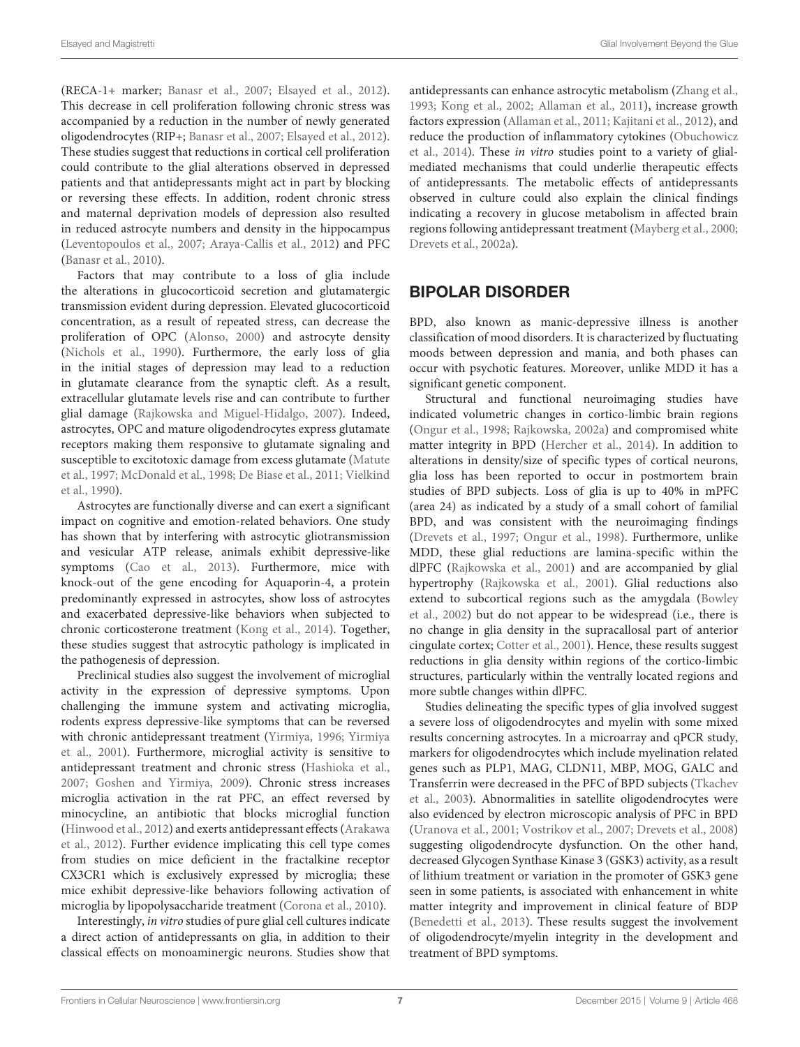(RECA-1+ marker; [Banasr et al.,](#page-12-11) [2007;](#page-12-11) [Elsayed et al.,](#page-13-5) [2012\)](#page-13-5). This decrease in cell proliferation following chronic stress was accompanied by a reduction in the number of newly generated oligodendrocytes (RIP+; [Banasr et al.,](#page-12-11) [2007;](#page-12-11) [Elsayed et al.,](#page-13-5) [2012\)](#page-13-5). These studies suggest that reductions in cortical cell proliferation could contribute to the glial alterations observed in depressed patients and that antidepressants might act in part by blocking or reversing these effects. In addition, rodent chronic stress and maternal deprivation models of depression also resulted in reduced astrocyte numbers and density in the hippocampus [\(Leventopoulos et al.,](#page-15-14) [2007;](#page-15-14) [Araya-Callis et al.,](#page-12-18) [2012\)](#page-12-18) and PFC [\(Banasr et al.,](#page-12-19) [2010\)](#page-12-19).

Factors that may contribute to a loss of glia include the alterations in glucocorticoid secretion and glutamatergic transmission evident during depression. Elevated glucocorticoid concentration, as a result of repeated stress, can decrease the proliferation of OPC [\(Alonso,](#page-11-5) [2000\)](#page-11-5) and astrocyte density [\(Nichols et al.,](#page-17-18) [1990\)](#page-17-18). Furthermore, the early loss of glia in the initial stages of depression may lead to a reduction in glutamate clearance from the synaptic cleft. As a result, extracellular glutamate levels rise and can contribute to further glial damage [\(Rajkowska and Miguel-Hidalgo,](#page-17-4) [2007\)](#page-17-4). Indeed, astrocytes, OPC and mature oligodendrocytes express glutamate receptors making them responsive to glutamate signaling and susceptible to excitotoxic damage from excess glutamate [\(Matute](#page-16-18) [et al.,](#page-16-18) [1997;](#page-16-18) [McDonald et al.,](#page-16-19) [1998;](#page-16-19) [De Biase et al.,](#page-13-22) [2011;](#page-13-22) [Vielkind](#page-19-16) [et al.,](#page-19-16) [1990\)](#page-19-16).

Astrocytes are functionally diverse and can exert a significant impact on cognitive and emotion-related behaviors. One study has shown that by interfering with astrocytic gliotransmission and vesicular ATP release, animals exhibit depressive-like symptoms [\(Cao et al.,](#page-13-23) [2013\)](#page-13-23). Furthermore, mice with knock-out of the gene encoding for Aquaporin-4, a protein predominantly expressed in astrocytes, show loss of astrocytes and exacerbated depressive-like behaviors when subjected to chronic corticosterone treatment [\(Kong et al.,](#page-15-15) [2014\)](#page-15-15). Together, these studies suggest that astrocytic pathology is implicated in the pathogenesis of depression.

Preclinical studies also suggest the involvement of microglial activity in the expression of depressive symptoms. Upon challenging the immune system and activating microglia, rodents express depressive-like symptoms that can be reversed with chronic antidepressant treatment [\(Yirmiya,](#page-19-17) [1996;](#page-19-17) [Yirmiya](#page-19-18) [et al.,](#page-19-18) [2001\)](#page-19-18). Furthermore, microglial activity is sensitive to antidepressant treatment and chronic stress [\(Hashioka et al.,](#page-14-18) [2007;](#page-14-18) [Goshen and Yirmiya,](#page-14-19) [2009\)](#page-14-19). Chronic stress increases microglia activation in the rat PFC, an effect reversed by minocycline, an antibiotic that blocks microglial function [\(Hinwood et al.,](#page-14-20) [2012\)](#page-14-20) and exerts antidepressant effects [\(Arakawa](#page-12-20) [et al.,](#page-12-20) [2012\)](#page-12-20). Further evidence implicating this cell type comes from studies on mice deficient in the fractalkine receptor CX3CR1 which is exclusively expressed by microglia; these mice exhibit depressive-like behaviors following activation of microglia by lipopolysaccharide treatment [\(Corona et al.,](#page-13-24) [2010\)](#page-13-24).

Interestingly, in vitro studies of pure glial cell cultures indicate a direct action of antidepressants on glia, in addition to their classical effects on monoaminergic neurons. Studies show that antidepressants can enhance astrocytic metabolism [\(Zhang et al.,](#page-19-19) [1993;](#page-19-19) [Kong et al.,](#page-15-16) [2002;](#page-15-16) [Allaman et al.,](#page-11-6) [2011\)](#page-11-6), increase growth factors expression [\(Allaman et al.,](#page-11-6) [2011;](#page-11-6) [Kajitani et al.,](#page-15-17) [2012\)](#page-15-17), and reduce the production of inflammatory cytokines [\(Obuchowicz](#page-17-19) [et al.,](#page-17-19) [2014\)](#page-17-19). These in vitro studies point to a variety of glialmediated mechanisms that could underlie therapeutic effects of antidepressants. The metabolic effects of antidepressants observed in culture could also explain the clinical findings indicating a recovery in glucose metabolism in affected brain regions following antidepressant treatment [\(Mayberg et al.,](#page-16-11) [2000;](#page-16-11) [Drevets et al.,](#page-13-17) [2002a\)](#page-13-17).

# BIPOLAR DISORDER

BPD, also known as manic-depressive illness is another classification of mood disorders. It is characterized by fluctuating moods between depression and mania, and both phases can occur with psychotic features. Moreover, unlike MDD it has a significant genetic component.

Structural and functional neuroimaging studies have indicated volumetric changes in cortico-limbic brain regions [\(Ongur et al.,](#page-17-14) [1998;](#page-17-14) [Rajkowska,](#page-17-20) [2002a\)](#page-17-20) and compromised white matter integrity in BPD [\(Hercher et al.,](#page-14-21) [2014\)](#page-14-21). In addition to alterations in density/size of specific types of cortical neurons, glia loss has been reported to occur in postmortem brain studies of BPD subjects. Loss of glia is up to 40% in mPFC (area 24) as indicated by a study of a small cohort of familial BPD, and was consistent with the neuroimaging findings [\(Drevets et al.,](#page-13-25) [1997;](#page-13-25) [Ongur et al.,](#page-17-14) [1998\)](#page-17-14). Furthermore, unlike MDD, these glial reductions are lamina-specific within the dlPFC [\(Rajkowska et al.,](#page-17-21) [2001\)](#page-17-21) and are accompanied by glial hypertrophy [\(Rajkowska et al.,](#page-17-21) [2001\)](#page-17-21). Glial reductions also extend to subcortical regions such as the amygdala [\(Bowley](#page-12-17) [et al.,](#page-12-17) [2002\)](#page-12-17) but do not appear to be widespread (i.e., there is no change in glia density in the supracallosal part of anterior cingulate cortex; [Cotter et al.,](#page-13-19) [2001\)](#page-13-19). Hence, these results suggest reductions in glia density within regions of the cortico-limbic structures, particularly within the ventrally located regions and more subtle changes within dlPFC.

Studies delineating the specific types of glia involved suggest a severe loss of oligodendrocytes and myelin with some mixed results concerning astrocytes. In a microarray and qPCR study, markers for oligodendrocytes which include myelination related genes such as PLP1, MAG, CLDN11, MBP, MOG, GALC and Transferrin were decreased in the PFC of BPD subjects [\(Tkachev](#page-18-13) [et al.,](#page-18-13) [2003\)](#page-18-13). Abnormalities in satellite oligodendrocytes were also evidenced by electron microscopic analysis of PFC in BPD [\(Uranova et al.,](#page-19-20) [2001;](#page-19-20) [Vostrikov et al.,](#page-19-21) [2007;](#page-19-21) [Drevets et al.,](#page-13-26) [2008\)](#page-13-26) suggesting oligodendrocyte dysfunction. On the other hand, decreased Glycogen Synthase Kinase 3 (GSK3) activity, as a result of lithium treatment or variation in the promoter of GSK3 gene seen in some patients, is associated with enhancement in white matter integrity and improvement in clinical feature of BDP [\(Benedetti et al.,](#page-12-21) [2013\)](#page-12-21). These results suggest the involvement of oligodendrocyte/myelin integrity in the development and treatment of BPD symptoms.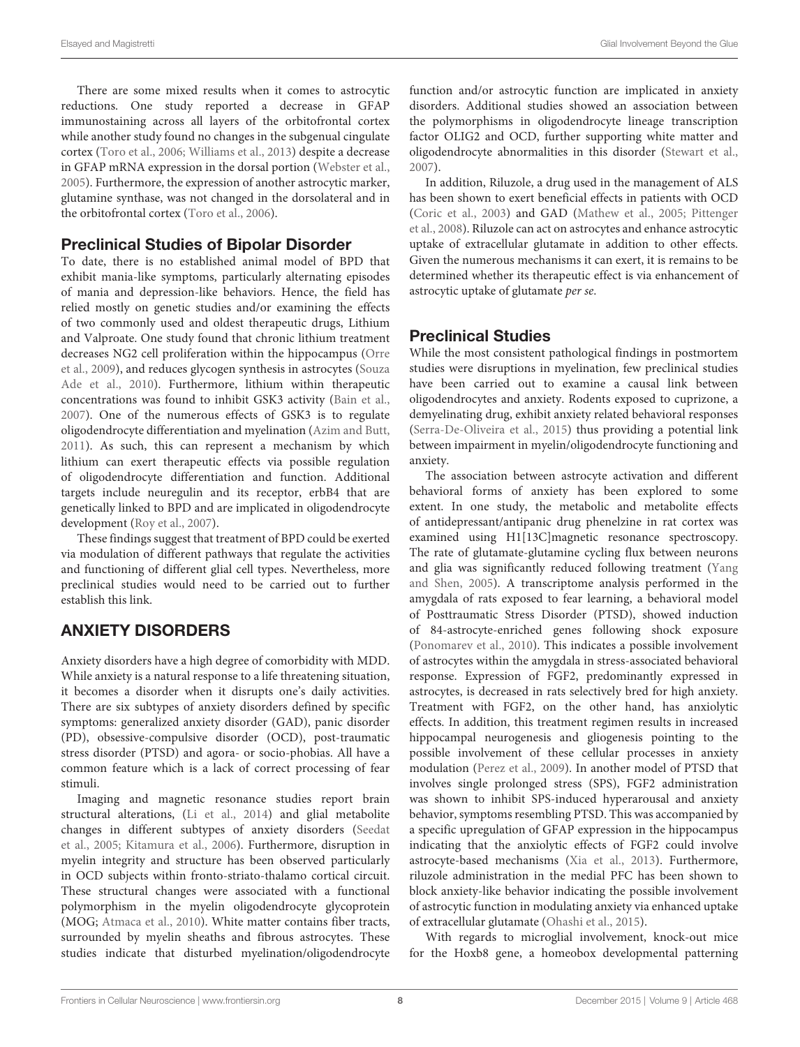There are some mixed results when it comes to astrocytic reductions. One study reported a decrease in GFAP immunostaining across all layers of the orbitofrontal cortex while another study found no changes in the subgenual cingulate cortex [\(Toro et al.,](#page-18-14) [2006;](#page-18-14) [Williams et al.,](#page-19-22) [2013\)](#page-19-22) despite a decrease in GFAP mRNA expression in the dorsal portion [\(Webster et al.,](#page-19-23) [2005\)](#page-19-23). Furthermore, the expression of another astrocytic marker, glutamine synthase, was not changed in the dorsolateral and in the orbitofrontal cortex [\(Toro et al.,](#page-18-14) [2006\)](#page-18-14).

## Preclinical Studies of Bipolar Disorder

To date, there is no established animal model of BPD that exhibit mania-like symptoms, particularly alternating episodes of mania and depression-like behaviors. Hence, the field has relied mostly on genetic studies and/or examining the effects of two commonly used and oldest therapeutic drugs, Lithium and Valproate. One study found that chronic lithium treatment decreases NG2 cell proliferation within the hippocampus [\(Orre](#page-17-22) [et al.,](#page-17-22) [2009\)](#page-17-22), and reduces glycogen synthesis in astrocytes [\(Souza](#page-18-15) [Ade et al.,](#page-18-15) [2010\)](#page-18-15). Furthermore, lithium within therapeutic concentrations was found to inhibit GSK3 activity [\(Bain et al.,](#page-12-22) [2007\)](#page-12-22). One of the numerous effects of GSK3 is to regulate oligodendrocyte differentiation and myelination [\(Azim and Butt,](#page-12-23) [2011\)](#page-12-23). As such, this can represent a mechanism by which lithium can exert therapeutic effects via possible regulation of oligodendrocyte differentiation and function. Additional targets include neuregulin and its receptor, erbB4 that are genetically linked to BPD and are implicated in oligodendrocyte development [\(Roy et al.,](#page-18-16) [2007\)](#page-18-16).

These findings suggest that treatment of BPD could be exerted via modulation of different pathways that regulate the activities and functioning of different glial cell types. Nevertheless, more preclinical studies would need to be carried out to further establish this link.

# ANXIETY DISORDERS

Anxiety disorders have a high degree of comorbidity with MDD. While anxiety is a natural response to a life threatening situation, it becomes a disorder when it disrupts one's daily activities. There are six subtypes of anxiety disorders defined by specific symptoms: generalized anxiety disorder (GAD), panic disorder (PD), obsessive-compulsive disorder (OCD), post-traumatic stress disorder (PTSD) and agora- or socio-phobias. All have a common feature which is a lack of correct processing of fear stimuli.

Imaging and magnetic resonance studies report brain structural alterations, [\(Li et al.,](#page-16-20) [2014\)](#page-16-20) and glial metabolite changes in different subtypes of anxiety disorders [\(Seedat](#page-18-17) [et al.,](#page-18-17) [2005;](#page-18-17) [Kitamura et al.,](#page-15-18) [2006\)](#page-15-18). Furthermore, disruption in myelin integrity and structure has been observed particularly in OCD subjects within fronto-striato-thalamo cortical circuit. These structural changes were associated with a functional polymorphism in the myelin oligodendrocyte glycoprotein (MOG; [Atmaca et al.,](#page-12-24) [2010\)](#page-12-24). White matter contains fiber tracts, surrounded by myelin sheaths and fibrous astrocytes. These studies indicate that disturbed myelination/oligodendrocyte function and/or astrocytic function are implicated in anxiety disorders. Additional studies showed an association between the polymorphisms in oligodendrocyte lineage transcription factor OLIG2 and OCD, further supporting white matter and oligodendrocyte abnormalities in this disorder [\(Stewart et al.,](#page-18-18) [2007\)](#page-18-18).

In addition, Riluzole, a drug used in the management of ALS has been shown to exert beneficial effects in patients with OCD [\(Coric et al.,](#page-13-27) [2003\)](#page-13-27) and GAD [\(Mathew et al.,](#page-16-21) [2005;](#page-16-21) [Pittenger](#page-17-23) [et al.,](#page-17-23) [2008\)](#page-17-23). Riluzole can act on astrocytes and enhance astrocytic uptake of extracellular glutamate in addition to other effects. Given the numerous mechanisms it can exert, it is remains to be determined whether its therapeutic effect is via enhancement of astrocytic uptake of glutamate per se.

## Preclinical Studies

While the most consistent pathological findings in postmortem studies were disruptions in myelination, few preclinical studies have been carried out to examine a causal link between oligodendrocytes and anxiety. Rodents exposed to cuprizone, a demyelinating drug, exhibit anxiety related behavioral responses [\(Serra-De-Oliveira et al.,](#page-18-19) [2015\)](#page-18-19) thus providing a potential link between impairment in myelin/oligodendrocyte functioning and anxiety.

The association between astrocyte activation and different behavioral forms of anxiety has been explored to some extent. In one study, the metabolic and metabolite effects of antidepressant/antipanic drug phenelzine in rat cortex was examined using H1[13C]magnetic resonance spectroscopy. The rate of glutamate-glutamine cycling flux between neurons and glia was significantly reduced following treatment [\(Yang](#page-19-24) [and Shen,](#page-19-24) [2005\)](#page-19-24). A transcriptome analysis performed in the amygdala of rats exposed to fear learning, a behavioral model of Posttraumatic Stress Disorder (PTSD), showed induction of 84-astrocyte-enriched genes following shock exposure [\(Ponomarev et al.,](#page-17-24) [2010\)](#page-17-24). This indicates a possible involvement of astrocytes within the amygdala in stress-associated behavioral response. Expression of FGF2, predominantly expressed in astrocytes, is decreased in rats selectively bred for high anxiety. Treatment with FGF2, on the other hand, has anxiolytic effects. In addition, this treatment regimen results in increased hippocampal neurogenesis and gliogenesis pointing to the possible involvement of these cellular processes in anxiety modulation [\(Perez et al.,](#page-17-25) [2009\)](#page-17-25). In another model of PTSD that involves single prolonged stress (SPS), FGF2 administration was shown to inhibit SPS-induced hyperarousal and anxiety behavior, symptoms resembling PTSD. This was accompanied by a specific upregulation of GFAP expression in the hippocampus indicating that the anxiolytic effects of FGF2 could involve astrocyte-based mechanisms [\(Xia et al.,](#page-19-25) [2013\)](#page-19-25). Furthermore, riluzole administration in the medial PFC has been shown to block anxiety-like behavior indicating the possible involvement of astrocytic function in modulating anxiety via enhanced uptake of extracellular glutamate [\(Ohashi et al.,](#page-17-26) [2015\)](#page-17-26).

With regards to microglial involvement, knock-out mice for the Hoxb8 gene, a homeobox developmental patterning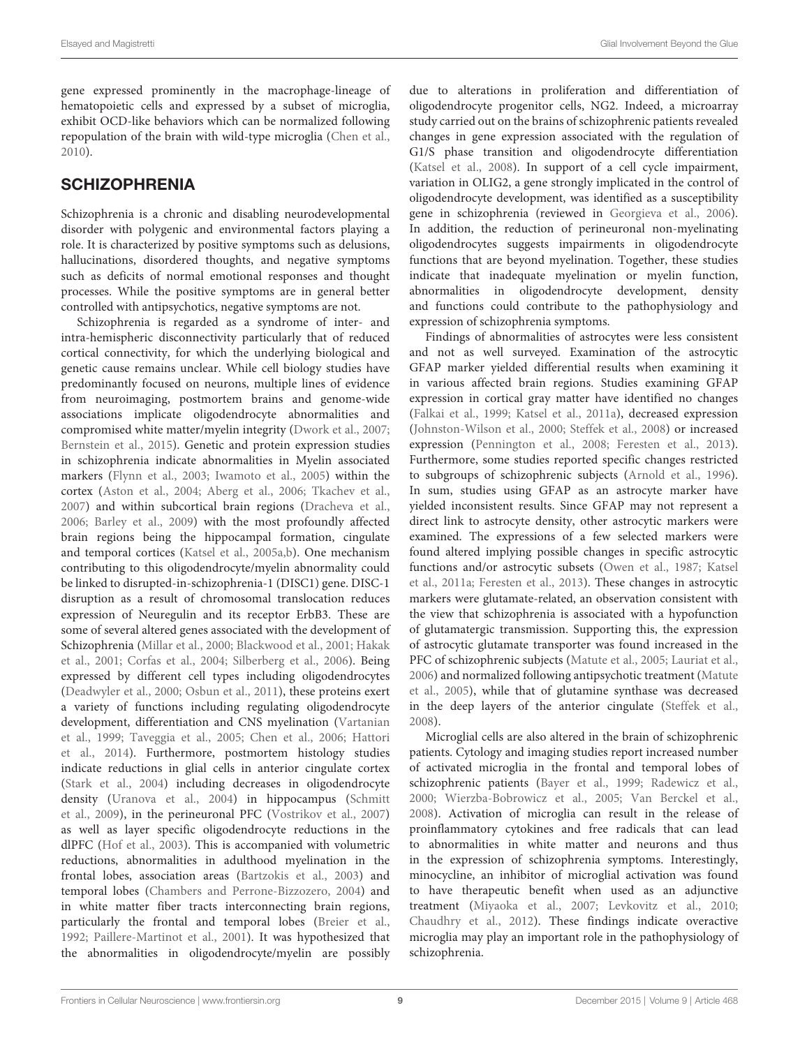gene expressed prominently in the macrophage-lineage of hematopoietic cells and expressed by a subset of microglia, exhibit OCD-like behaviors which can be normalized following repopulation of the brain with wild-type microglia [\(Chen et al.,](#page-13-28) [2010\)](#page-13-28).

## **SCHIZOPHRENIA**

Schizophrenia is a chronic and disabling neurodevelopmental disorder with polygenic and environmental factors playing a role. It is characterized by positive symptoms such as delusions, hallucinations, disordered thoughts, and negative symptoms such as deficits of normal emotional responses and thought processes. While the positive symptoms are in general better controlled with antipsychotics, negative symptoms are not.

Schizophrenia is regarded as a syndrome of inter- and intra-hemispheric disconnectivity particularly that of reduced cortical connectivity, for which the underlying biological and genetic cause remains unclear. While cell biology studies have predominantly focused on neurons, multiple lines of evidence from neuroimaging, postmortem brains and genome-wide associations implicate oligodendrocyte abnormalities and compromised white matter/myelin integrity [\(Dwork et al.,](#page-13-29) [2007;](#page-13-29) [Bernstein et al.,](#page-12-25) [2015\)](#page-12-25). Genetic and protein expression studies in schizophrenia indicate abnormalities in Myelin associated markers [\(Flynn et al.,](#page-14-22) [2003;](#page-14-22) [Iwamoto et al.,](#page-15-19) [2005\)](#page-15-19) within the cortex [\(Aston et al.,](#page-12-26) [2004;](#page-12-26) [Aberg et al.,](#page-11-7) [2006;](#page-11-7) [Tkachev et al.,](#page-18-20) [2007\)](#page-18-20) and within subcortical brain regions [\(Dracheva et al.,](#page-13-30) [2006;](#page-13-30) [Barley et al.,](#page-12-27) [2009\)](#page-12-27) with the most profoundly affected brain regions being the hippocampal formation, cingulate and temporal cortices [\(Katsel et al.,](#page-15-20) [2005a,](#page-15-20)[b\)](#page-15-21). One mechanism contributing to this oligodendrocyte/myelin abnormality could be linked to disrupted-in-schizophrenia-1 (DISC1) gene. DISC-1 disruption as a result of chromosomal translocation reduces expression of Neuregulin and its receptor ErbB3. These are some of several altered genes associated with the development of Schizophrenia [\(Millar et al.,](#page-16-22) [2000;](#page-16-22) [Blackwood et al.,](#page-12-28) [2001;](#page-12-28) [Hakak](#page-14-23) [et al.,](#page-14-23) [2001;](#page-14-23) [Corfas et al.,](#page-13-31) [2004;](#page-13-31) [Silberberg et al.,](#page-18-21) [2006\)](#page-18-21). Being expressed by different cell types including oligodendrocytes [\(Deadwyler et al.,](#page-13-32) [2000;](#page-13-32) [Osbun et al.,](#page-17-27) [2011\)](#page-17-27), these proteins exert a variety of functions including regulating oligodendrocyte development, differentiation and CNS myelination [\(Vartanian](#page-19-26) [et al.,](#page-19-26) [1999;](#page-19-26) [Taveggia et al.,](#page-18-22) [2005;](#page-18-22) [Chen et al.,](#page-13-33) [2006;](#page-13-33) [Hattori](#page-14-24) [et al.,](#page-14-24) [2014\)](#page-14-24). Furthermore, postmortem histology studies indicate reductions in glial cells in anterior cingulate cortex [\(Stark et al.,](#page-18-23) [2004\)](#page-18-23) including decreases in oligodendrocyte density [\(Uranova et al.,](#page-19-14) [2004\)](#page-19-14) in hippocampus [\(Schmitt](#page-18-24) [et al.,](#page-18-24) [2009\)](#page-18-24), in the perineuronal PFC [\(Vostrikov et al.,](#page-19-21) [2007\)](#page-19-21) as well as layer specific oligodendrocyte reductions in the dlPFC [\(Hof et al.,](#page-14-25) [2003\)](#page-14-25). This is accompanied with volumetric reductions, abnormalities in adulthood myelination in the frontal lobes, association areas [\(Bartzokis et al.,](#page-12-29) [2003\)](#page-12-29) and temporal lobes [\(Chambers and Perrone-Bizzozero,](#page-13-34) [2004\)](#page-13-34) and in white matter fiber tracts interconnecting brain regions, particularly the frontal and temporal lobes [\(Breier et al.,](#page-12-30) [1992;](#page-12-30) [Paillere-Martinot et al.,](#page-17-28) [2001\)](#page-17-28). It was hypothesized that the abnormalities in oligodendrocyte/myelin are possibly due to alterations in proliferation and differentiation of oligodendrocyte progenitor cells, NG2. Indeed, a microarray study carried out on the brains of schizophrenic patients revealed changes in gene expression associated with the regulation of G1/S phase transition and oligodendrocyte differentiation [\(Katsel et al.,](#page-15-22) [2008\)](#page-15-22). In support of a cell cycle impairment, variation in OLIG2, a gene strongly implicated in the control of oligodendrocyte development, was identified as a susceptibility gene in schizophrenia (reviewed in [Georgieva et al.,](#page-14-26) [2006\)](#page-14-26). In addition, the reduction of perineuronal non-myelinating oligodendrocytes suggests impairments in oligodendrocyte functions that are beyond myelination. Together, these studies indicate that inadequate myelination or myelin function, abnormalities in oligodendrocyte development, density and functions could contribute to the pathophysiology and expression of schizophrenia symptoms.

Findings of abnormalities of astrocytes were less consistent and not as well surveyed. Examination of the astrocytic GFAP marker yielded differential results when examining it in various affected brain regions. Studies examining GFAP expression in cortical gray matter have identified no changes [\(Falkai et al.,](#page-14-27) [1999;](#page-14-27) [Katsel et al.,](#page-15-23) [2011a\)](#page-15-23), decreased expression [\(Johnston-Wilson et al.,](#page-15-24) [2000;](#page-15-24) [Steffek et al.,](#page-18-25) [2008\)](#page-18-25) or increased expression [\(Pennington et al.,](#page-17-29) [2008;](#page-17-29) [Feresten et al.,](#page-14-28) [2013\)](#page-14-28). Furthermore, some studies reported specific changes restricted to subgroups of schizophrenic subjects [\(Arnold et al.,](#page-12-31) [1996\)](#page-12-31). In sum, studies using GFAP as an astrocyte marker have yielded inconsistent results. Since GFAP may not represent a direct link to astrocyte density, other astrocytic markers were examined. The expressions of a few selected markers were found altered implying possible changes in specific astrocytic functions and/or astrocytic subsets [\(Owen et al.,](#page-17-30) [1987;](#page-17-30) [Katsel](#page-15-23) [et al.,](#page-15-23) [2011a;](#page-15-23) [Feresten et al.,](#page-14-28) [2013\)](#page-14-28). These changes in astrocytic markers were glutamate-related, an observation consistent with the view that schizophrenia is associated with a hypofunction of glutamatergic transmission. Supporting this, the expression of astrocytic glutamate transporter was found increased in the PFC of schizophrenic subjects [\(Matute et al.,](#page-16-23) [2005;](#page-16-23) [Lauriat et al.,](#page-15-25) [2006\)](#page-15-25) and normalized following antipsychotic treatment [\(Matute](#page-16-23) [et al.,](#page-16-23) [2005\)](#page-16-23), while that of glutamine synthase was decreased in the deep layers of the anterior cingulate [\(Steffek et al.,](#page-18-25) [2008\)](#page-18-25).

Microglial cells are also altered in the brain of schizophrenic patients. Cytology and imaging studies report increased number of activated microglia in the frontal and temporal lobes of schizophrenic patients [\(Bayer et al.,](#page-12-32) [1999;](#page-12-32) [Radewicz et al.,](#page-17-31) [2000;](#page-17-31) [Wierzba-Bobrowicz et al.,](#page-19-27) [2005;](#page-19-27) [Van Berckel et al.,](#page-19-28) [2008\)](#page-19-28). Activation of microglia can result in the release of proinflammatory cytokines and free radicals that can lead to abnormalities in white matter and neurons and thus in the expression of schizophrenia symptoms. Interestingly, minocycline, an inhibitor of microglial activation was found to have therapeutic benefit when used as an adjunctive treatment [\(Miyaoka et al.,](#page-16-24) [2007;](#page-16-24) [Levkovitz et al.,](#page-15-26) [2010;](#page-15-26) [Chaudhry et al.,](#page-13-35) [2012\)](#page-13-35). These findings indicate overactive microglia may play an important role in the pathophysiology of schizophrenia.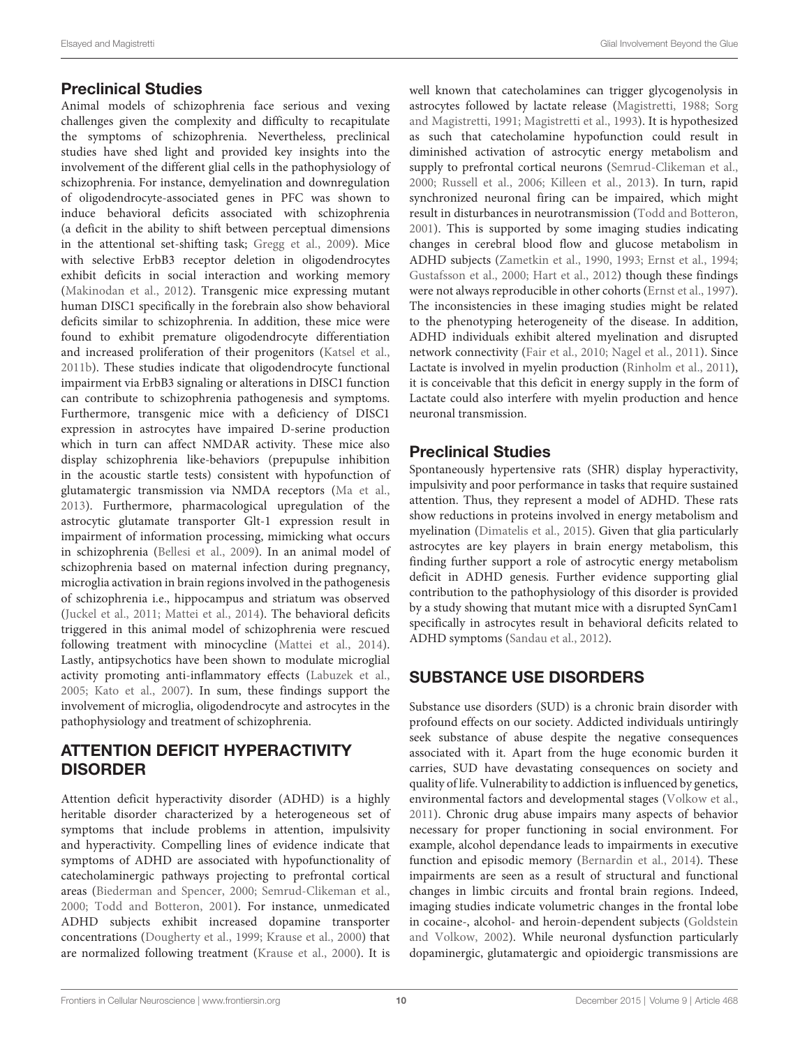## Preclinical Studies

Animal models of schizophrenia face serious and vexing challenges given the complexity and difficulty to recapitulate the symptoms of schizophrenia. Nevertheless, preclinical studies have shed light and provided key insights into the involvement of the different glial cells in the pathophysiology of schizophrenia. For instance, demyelination and downregulation of oligodendrocyte-associated genes in PFC was shown to induce behavioral deficits associated with schizophrenia (a deficit in the ability to shift between perceptual dimensions in the attentional set-shifting task; [Gregg et al.,](#page-14-29) [2009\)](#page-14-29). Mice with selective ErbB3 receptor deletion in oligodendrocytes exhibit deficits in social interaction and working memory [\(Makinodan et al.,](#page-16-25) [2012\)](#page-16-25). Transgenic mice expressing mutant human DISC1 specifically in the forebrain also show behavioral deficits similar to schizophrenia. In addition, these mice were found to exhibit premature oligodendrocyte differentiation and increased proliferation of their progenitors [\(Katsel et al.,](#page-15-27) [2011b\)](#page-15-27). These studies indicate that oligodendrocyte functional impairment via ErbB3 signaling or alterations in DISC1 function can contribute to schizophrenia pathogenesis and symptoms. Furthermore, transgenic mice with a deficiency of DISC1 expression in astrocytes have impaired D-serine production which in turn can affect NMDAR activity. These mice also display schizophrenia like-behaviors (prepupulse inhibition in the acoustic startle tests) consistent with hypofunction of glutamatergic transmission via NMDA receptors [\(Ma et al.,](#page-16-26) [2013\)](#page-16-26). Furthermore, pharmacological upregulation of the astrocytic glutamate transporter Glt-1 expression result in impairment of information processing, mimicking what occurs in schizophrenia [\(Bellesi et al.,](#page-12-33) [2009\)](#page-12-33). In an animal model of schizophrenia based on maternal infection during pregnancy, microglia activation in brain regions involved in the pathogenesis of schizophrenia i.e., hippocampus and striatum was observed [\(Juckel et al.,](#page-15-28) [2011;](#page-15-28) [Mattei et al.,](#page-16-27) [2014\)](#page-16-27). The behavioral deficits triggered in this animal model of schizophrenia were rescued following treatment with minocycline [\(Mattei et al.,](#page-16-27) [2014\)](#page-16-27). Lastly, antipsychotics have been shown to modulate microglial activity promoting anti-inflammatory effects [\(Labuzek et al.,](#page-15-29) [2005;](#page-15-29) [Kato et al.,](#page-15-30) [2007\)](#page-15-30). In sum, these findings support the involvement of microglia, oligodendrocyte and astrocytes in the pathophysiology and treatment of schizophrenia.

## ATTENTION DEFICIT HYPERACTIVITY DISORDER

Attention deficit hyperactivity disorder (ADHD) is a highly heritable disorder characterized by a heterogeneous set of symptoms that include problems in attention, impulsivity and hyperactivity. Compelling lines of evidence indicate that symptoms of ADHD are associated with hypofunctionality of catecholaminergic pathways projecting to prefrontal cortical areas [\(Biederman and Spencer,](#page-12-34) [2000;](#page-12-34) [Semrud-Clikeman et al.,](#page-18-26) [2000;](#page-18-26) [Todd and Botteron,](#page-18-27) [2001\)](#page-18-27). For instance, unmedicated ADHD subjects exhibit increased dopamine transporter concentrations [\(Dougherty et al.,](#page-13-36) [1999;](#page-13-36) [Krause et al.,](#page-15-31) [2000\)](#page-15-31) that are normalized following treatment [\(Krause et al.,](#page-15-31) [2000\)](#page-15-31). It is

well known that catecholamines can trigger glycogenolysis in astrocytes followed by lactate release [\(Magistretti,](#page-16-28) [1988;](#page-16-28) [Sorg](#page-18-1) [and Magistretti,](#page-18-1) [1991;](#page-18-1) [Magistretti et al.,](#page-16-29) [1993\)](#page-16-29). It is hypothesized as such that catecholamine hypofunction could result in diminished activation of astrocytic energy metabolism and supply to prefrontal cortical neurons [\(Semrud-Clikeman et al.,](#page-18-26) [2000;](#page-18-26) [Russell et al.,](#page-18-28) [2006;](#page-18-28) [Killeen et al.,](#page-15-32) [2013\)](#page-15-32). In turn, rapid synchronized neuronal firing can be impaired, which might result in disturbances in neurotransmission [\(Todd and Botteron,](#page-18-27) [2001\)](#page-18-27). This is supported by some imaging studies indicating changes in cerebral blood flow and glucose metabolism in ADHD subjects [\(Zametkin et al.,](#page-19-29) [1990,](#page-19-29) [1993;](#page-19-30) [Ernst et al.,](#page-14-30) [1994;](#page-14-30) [Gustafsson et al.,](#page-14-31) [2000;](#page-14-31) [Hart et al.,](#page-14-32) [2012\)](#page-14-32) though these findings were not always reproducible in other cohorts [\(Ernst et al.,](#page-14-33) [1997\)](#page-14-33). The inconsistencies in these imaging studies might be related to the phenotyping heterogeneity of the disease. In addition, ADHD individuals exhibit altered myelination and disrupted network connectivity [\(Fair et al.,](#page-14-34) [2010;](#page-14-34) [Nagel et al.,](#page-17-32) [2011\)](#page-17-32). Since Lactate is involved in myelin production [\(Rinholm et al.,](#page-17-10) [2011\)](#page-17-10), it is conceivable that this deficit in energy supply in the form of Lactate could also interfere with myelin production and hence neuronal transmission.

## Preclinical Studies

Spontaneously hypertensive rats (SHR) display hyperactivity, impulsivity and poor performance in tasks that require sustained attention. Thus, they represent a model of ADHD. These rats show reductions in proteins involved in energy metabolism and myelination [\(Dimatelis et al.,](#page-13-37) [2015\)](#page-13-37). Given that glia particularly astrocytes are key players in brain energy metabolism, this finding further support a role of astrocytic energy metabolism deficit in ADHD genesis. Further evidence supporting glial contribution to the pathophysiology of this disorder is provided by a study showing that mutant mice with a disrupted SynCam1 specifically in astrocytes result in behavioral deficits related to ADHD symptoms [\(Sandau et al.,](#page-18-29) [2012\)](#page-18-29).

# SUBSTANCE USE DISORDERS

Substance use disorders (SUD) is a chronic brain disorder with profound effects on our society. Addicted individuals untiringly seek substance of abuse despite the negative consequences associated with it. Apart from the huge economic burden it carries, SUD have devastating consequences on society and quality of life. Vulnerability to addiction is influenced by genetics, environmental factors and developmental stages [\(Volkow et al.,](#page-19-31) [2011\)](#page-19-31). Chronic drug abuse impairs many aspects of behavior necessary for proper functioning in social environment. For example, alcohol dependance leads to impairments in executive function and episodic memory [\(Bernardin et al.,](#page-12-35) [2014\)](#page-12-35). These impairments are seen as a result of structural and functional changes in limbic circuits and frontal brain regions. Indeed, imaging studies indicate volumetric changes in the frontal lobe in cocaine-, alcohol- and heroin-dependent subjects [\(Goldstein](#page-14-35) [and Volkow,](#page-14-35) [2002\)](#page-14-35). While neuronal dysfunction particularly dopaminergic, glutamatergic and opioidergic transmissions are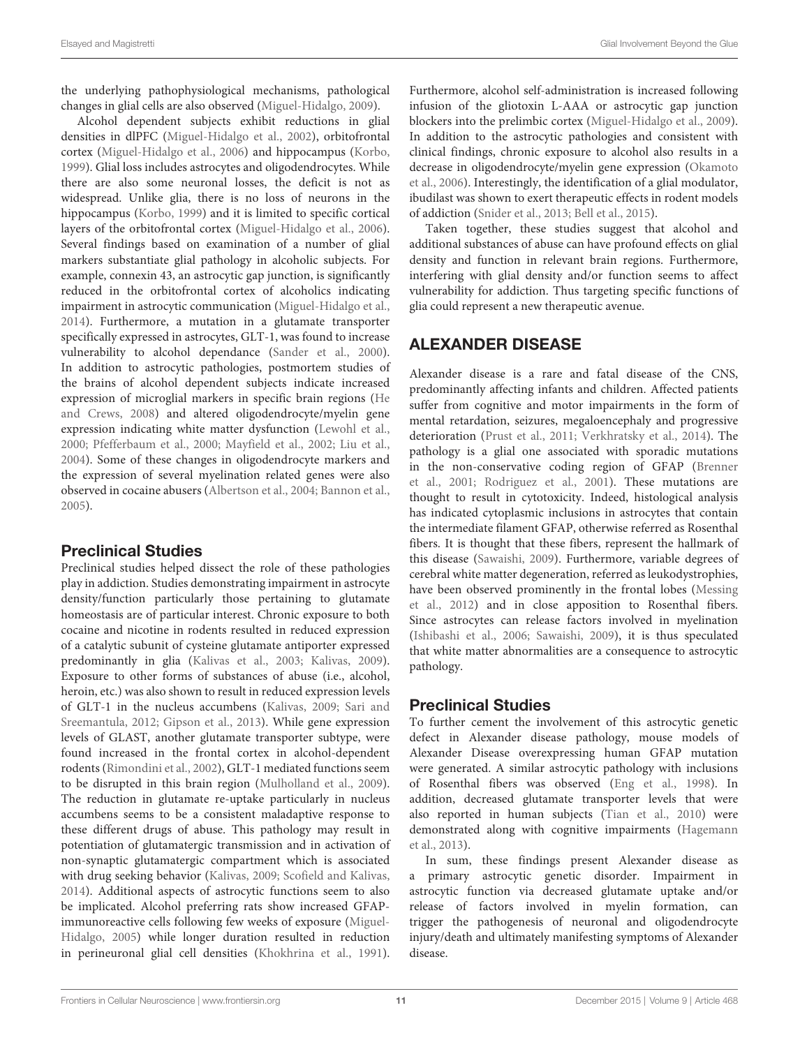the underlying pathophysiological mechanisms, pathological changes in glial cells are also observed [\(Miguel-Hidalgo,](#page-16-30) [2009\)](#page-16-30).

Alcohol dependent subjects exhibit reductions in glial densities in dlPFC [\(Miguel-Hidalgo et al.,](#page-16-31) [2002\)](#page-16-31), orbitofrontal cortex [\(Miguel-Hidalgo et al.,](#page-16-32) [2006\)](#page-16-32) and hippocampus [\(Korbo,](#page-15-33) [1999\)](#page-15-33). Glial loss includes astrocytes and oligodendrocytes. While there are also some neuronal losses, the deficit is not as widespread. Unlike glia, there is no loss of neurons in the hippocampus [\(Korbo,](#page-15-33) [1999\)](#page-15-33) and it is limited to specific cortical layers of the orbitofrontal cortex [\(Miguel-Hidalgo et al.,](#page-16-32) [2006\)](#page-16-32). Several findings based on examination of a number of glial markers substantiate glial pathology in alcoholic subjects. For example, connexin 43, an astrocytic gap junction, is significantly reduced in the orbitofrontal cortex of alcoholics indicating impairment in astrocytic communication [\(Miguel-Hidalgo et al.,](#page-16-16) [2014\)](#page-16-16). Furthermore, a mutation in a glutamate transporter specifically expressed in astrocytes, GLT-1, was found to increase vulnerability to alcohol dependance [\(Sander et al.,](#page-18-30) [2000\)](#page-18-30). In addition to astrocytic pathologies, postmortem studies of the brains of alcohol dependent subjects indicate increased expression of microglial markers in specific brain regions [\(He](#page-14-36) [and Crews,](#page-14-36) [2008\)](#page-14-36) and altered oligodendrocyte/myelin gene expression indicating white matter dysfunction [\(Lewohl et al.,](#page-15-34) [2000;](#page-15-34) [Pfefferbaum et al.,](#page-17-33) [2000;](#page-17-33) [Mayfield et al.,](#page-16-33) [2002;](#page-16-33) [Liu et al.,](#page-16-34) [2004\)](#page-16-34). Some of these changes in oligodendrocyte markers and the expression of several myelination related genes were also observed in cocaine abusers [\(Albertson et al.,](#page-11-8) [2004;](#page-11-8) [Bannon et al.,](#page-12-36) [2005\)](#page-12-36).

#### Preclinical Studies

Preclinical studies helped dissect the role of these pathologies play in addiction. Studies demonstrating impairment in astrocyte density/function particularly those pertaining to glutamate homeostasis are of particular interest. Chronic exposure to both cocaine and nicotine in rodents resulted in reduced expression of a catalytic subunit of cysteine glutamate antiporter expressed predominantly in glia [\(Kalivas et al.,](#page-15-35) [2003;](#page-15-35) [Kalivas,](#page-15-36) [2009\)](#page-15-36). Exposure to other forms of substances of abuse (i.e., alcohol, heroin, etc.) was also shown to result in reduced expression levels of GLT-1 in the nucleus accumbens [\(Kalivas,](#page-15-36) [2009;](#page-15-36) [Sari and](#page-18-31) [Sreemantula,](#page-18-31) [2012;](#page-18-31) [Gipson et al.,](#page-14-37) [2013\)](#page-14-37). While gene expression levels of GLAST, another glutamate transporter subtype, were found increased in the frontal cortex in alcohol-dependent rodents [\(Rimondini et al.,](#page-17-34) [2002\)](#page-17-34), GLT-1 mediated functions seem to be disrupted in this brain region [\(Mulholland et al.,](#page-17-35) [2009\)](#page-17-35). The reduction in glutamate re-uptake particularly in nucleus accumbens seems to be a consistent maladaptive response to these different drugs of abuse. This pathology may result in potentiation of glutamatergic transmission and in activation of non-synaptic glutamatergic compartment which is associated with drug seeking behavior [\(Kalivas,](#page-15-36) [2009;](#page-15-36) [Scofield and Kalivas,](#page-18-32) [2014\)](#page-18-32). Additional aspects of astrocytic functions seem to also be implicated. Alcohol preferring rats show increased GFAPimmunoreactive cells following few weeks of exposure [\(Miguel-](#page-16-35)[Hidalgo,](#page-16-35) [2005\)](#page-16-35) while longer duration resulted in reduction in perineuronal glial cell densities [\(Khokhrina et al.,](#page-15-37) [1991\)](#page-15-37). Furthermore, alcohol self-administration is increased following infusion of the gliotoxin L-AAA or astrocytic gap junction blockers into the prelimbic cortex [\(Miguel-Hidalgo et al.,](#page-16-36) [2009\)](#page-16-36). In addition to the astrocytic pathologies and consistent with clinical findings, chronic exposure to alcohol also results in a decrease in oligodendrocyte/myelin gene expression [\(Okamoto](#page-17-36) [et al.,](#page-17-36) [2006\)](#page-17-36). Interestingly, the identification of a glial modulator, ibudilast was shown to exert therapeutic effects in rodent models of addiction [\(Snider et al.,](#page-18-33) [2013;](#page-18-33) [Bell et al.,](#page-12-37) [2015\)](#page-12-37).

Taken together, these studies suggest that alcohol and additional substances of abuse can have profound effects on glial density and function in relevant brain regions. Furthermore, interfering with glial density and/or function seems to affect vulnerability for addiction. Thus targeting specific functions of glia could represent a new therapeutic avenue.

## ALEXANDER DISEASE

Alexander disease is a rare and fatal disease of the CNS, predominantly affecting infants and children. Affected patients suffer from cognitive and motor impairments in the form of mental retardation, seizures, megaloencephaly and progressive deterioration [\(Prust et al.,](#page-17-37) [2011;](#page-17-37) [Verkhratsky et al.,](#page-19-32) [2014\)](#page-19-32). The pathology is a glial one associated with sporadic mutations in the non-conservative coding region of GFAP [\(Brenner](#page-12-38) [et al.,](#page-12-38) [2001;](#page-12-38) [Rodriguez et al.,](#page-17-38) [2001\)](#page-17-38). These mutations are thought to result in cytotoxicity. Indeed, histological analysis has indicated cytoplasmic inclusions in astrocytes that contain the intermediate filament GFAP, otherwise referred as Rosenthal fibers. It is thought that these fibers, represent the hallmark of this disease [\(Sawaishi,](#page-18-34) [2009\)](#page-18-34). Furthermore, variable degrees of cerebral white matter degeneration, referred as leukodystrophies, have been observed prominently in the frontal lobes [\(Messing](#page-16-37) [et al.,](#page-16-37) [2012\)](#page-16-37) and in close apposition to Rosenthal fibers. Since astrocytes can release factors involved in myelination [\(Ishibashi et al.,](#page-15-8) [2006;](#page-15-8) [Sawaishi,](#page-18-34) [2009\)](#page-18-34), it is thus speculated that white matter abnormalities are a consequence to astrocytic pathology.

## Preclinical Studies

To further cement the involvement of this astrocytic genetic defect in Alexander disease pathology, mouse models of Alexander Disease overexpressing human GFAP mutation were generated. A similar astrocytic pathology with inclusions of Rosenthal fibers was observed [\(Eng et al.,](#page-13-38) [1998\)](#page-13-38). In addition, decreased glutamate transporter levels that were also reported in human subjects [\(Tian et al.,](#page-18-35) [2010\)](#page-18-35) were demonstrated along with cognitive impairments [\(Hagemann](#page-14-38) [et al.,](#page-14-38) [2013\)](#page-14-38).

In sum, these findings present Alexander disease as a primary astrocytic genetic disorder. Impairment in astrocytic function via decreased glutamate uptake and/or release of factors involved in myelin formation, can trigger the pathogenesis of neuronal and oligodendrocyte injury/death and ultimately manifesting symptoms of Alexander disease.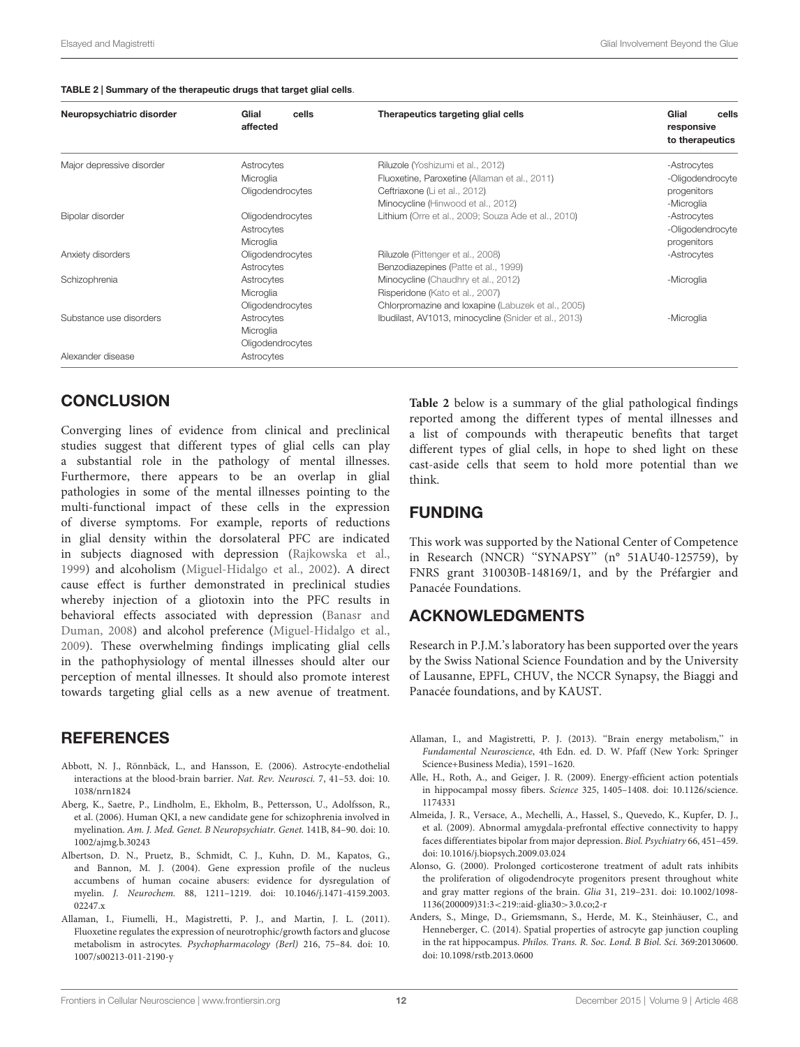#### <span id="page-11-9"></span>TABLE 2 | Summary of the therapeutic drugs that target glial cells.

| Neuropsychiatric disorder | Glial<br>cells<br>affected | Therapeutics targeting glial cells                   | Glial<br>cells<br>responsive<br>to therapeutics |
|---------------------------|----------------------------|------------------------------------------------------|-------------------------------------------------|
| Major depressive disorder | Astrocytes                 | Riluzole (Yoshizumi et al., 2012)                    | -Astrocytes                                     |
|                           | Microglia                  | Fluoxetine, Paroxetine (Allaman et al., 2011)        | -Oligodendrocyte                                |
|                           | Oligodendrocytes           | Ceftriaxone (Li et al., 2012)                        | progenitors                                     |
|                           |                            | Minocycline (Hinwood et al., 2012)                   | -Microglia                                      |
| Bipolar disorder          | Oligodendrocytes           | Lithium (Orre et al., 2009; Souza Ade et al., 2010)  | -Astrocytes                                     |
|                           | Astrocytes                 |                                                      | -Oligodendrocyte                                |
|                           | Microglia                  |                                                      | progenitors                                     |
| Anxiety disorders         | Oligodendrocytes           | Riluzole (Pittenger et al., 2008)                    | -Astrocytes                                     |
|                           | Astrocytes                 | Benzodiazepines (Patte et al., 1999)                 |                                                 |
| Schizophrenia             | Astrocytes                 | Minocycline (Chaudhry et al., 2012)                  | -Microglia                                      |
|                           | Microglia                  | Risperidone (Kato et al., 2007)                      |                                                 |
|                           | Oligodendrocytes           | Chlorpromazine and loxapine (Labuzek et al., 2005)   |                                                 |
| Substance use disorders   | Astrocytes                 | Ibudilast, AV1013, minocycline (Snider et al., 2013) | -Microglia                                      |
|                           | Microglia                  |                                                      |                                                 |
|                           | Oligodendrocytes           |                                                      |                                                 |
| Alexander disease         | Astrocytes                 |                                                      |                                                 |

## **CONCLUSION**

Converging lines of evidence from clinical and preclinical studies suggest that different types of glial cells can play a substantial role in the pathology of mental illnesses. Furthermore, there appears to be an overlap in glial pathologies in some of the mental illnesses pointing to the multi-functional impact of these cells in the expression of diverse symptoms. For example, reports of reductions in glial density within the dorsolateral PFC are indicated in subjects diagnosed with depression [\(Rajkowska et al.,](#page-17-1) [1999\)](#page-17-1) and alcoholism [\(Miguel-Hidalgo et al.,](#page-16-31) [2002\)](#page-16-31). A direct cause effect is further demonstrated in preclinical studies whereby injection of a gliotoxin into the PFC results in behavioral effects associated with depression [\(Banasr and](#page-12-12) [Duman,](#page-12-12) [2008\)](#page-12-12) and alcohol preference [\(Miguel-Hidalgo et al.,](#page-16-36) [2009\)](#page-16-36). These overwhelming findings implicating glial cells in the pathophysiology of mental illnesses should alter our perception of mental illnesses. It should also promote interest towards targeting glial cells as a new avenue of treatment.

### **REFERENCES**

- <span id="page-11-0"></span>Abbott, N. J., Rönnbäck, L., and Hansson, E. (2006). Astrocyte-endothelial interactions at the blood-brain barrier. Nat. Rev. Neurosci. 7, 41–53. doi: 10. 1038/nrn1824
- <span id="page-11-7"></span>Aberg, K., Saetre, P., Lindholm, E., Ekholm, B., Pettersson, U., Adolfsson, R., et al. (2006). Human QKI, a new candidate gene for schizophrenia involved in myelination. Am. J. Med. Genet. B Neuropsychiatr. Genet. 141B, 84–90. doi: 10. 1002/ajmg.b.30243
- <span id="page-11-8"></span>Albertson, D. N., Pruetz, B., Schmidt, C. J., Kuhn, D. M., Kapatos, G., and Bannon, M. J. (2004). Gene expression profile of the nucleus accumbens of human cocaine abusers: evidence for dysregulation of myelin. J. Neurochem. 88, 1211–1219. doi: 10.1046/j.1471-4159.2003. 02247.x
- <span id="page-11-6"></span>Allaman, I., Fiumelli, H., Magistretti, P. J., and Martin, J. L. (2011). Fluoxetine regulates the expression of neurotrophic/growth factors and glucose metabolism in astrocytes. Psychopharmacology (Berl) 216, 75–84. doi: 10. 1007/s00213-011-2190-y

**[Table 2](#page-11-9)** below is a summary of the glial pathological findings reported among the different types of mental illnesses and a list of compounds with therapeutic benefits that target different types of glial cells, in hope to shed light on these cast-aside cells that seem to hold more potential than we think.

## FUNDING

This work was supported by the National Center of Competence in Research (NNCR) ''SYNAPSY'' (n° 51AU40-125759), by FNRS grant 310030B-148169/1, and by the Préfargier and Panacée Foundations.

### ACKNOWLEDGMENTS

Research in P.J.M.'s laboratory has been supported over the years by the Swiss National Science Foundation and by the University of Lausanne, EPFL, CHUV, the NCCR Synapsy, the Biaggi and Panacée foundations, and by KAUST.

- <span id="page-11-1"></span>Allaman, I., and Magistretti, P. J. (2013). ''Brain energy metabolism,'' in Fundamental Neuroscience, 4th Edn. ed. D. W. Pfaff (New York: Springer Science+Business Media), 1591–1620.
- <span id="page-11-3"></span>Alle, H., Roth, A., and Geiger, J. R. (2009). Energy-efficient action potentials in hippocampal mossy fibers. Science 325, 1405–1408. doi: 10.1126/science. 1174331
- <span id="page-11-4"></span>Almeida, J. R., Versace, A., Mechelli, A., Hassel, S., Quevedo, K., Kupfer, D. J., et al. (2009). Abnormal amygdala-prefrontal effective connectivity to happy faces differentiates bipolar from major depression. Biol. Psychiatry 66, 451–459. doi: 10.1016/j.biopsych.2009.03.024
- <span id="page-11-5"></span>Alonso, G. (2000). Prolonged corticosterone treatment of adult rats inhibits the proliferation of oligodendrocyte progenitors present throughout white and gray matter regions of the brain. Glia 31, 219–231. doi: 10.1002/1098- 1136(200009)31:3<219::aid-glia30>3.0.co;2-r
- <span id="page-11-2"></span>Anders, S., Minge, D., Griemsmann, S., Herde, M. K., Steinhäuser, C., and Henneberger, C. (2014). Spatial properties of astrocyte gap junction coupling in the rat hippocampus. Philos. Trans. R. Soc. Lond. B Biol. Sci. 369:20130600. doi: 10.1098/rstb.2013.0600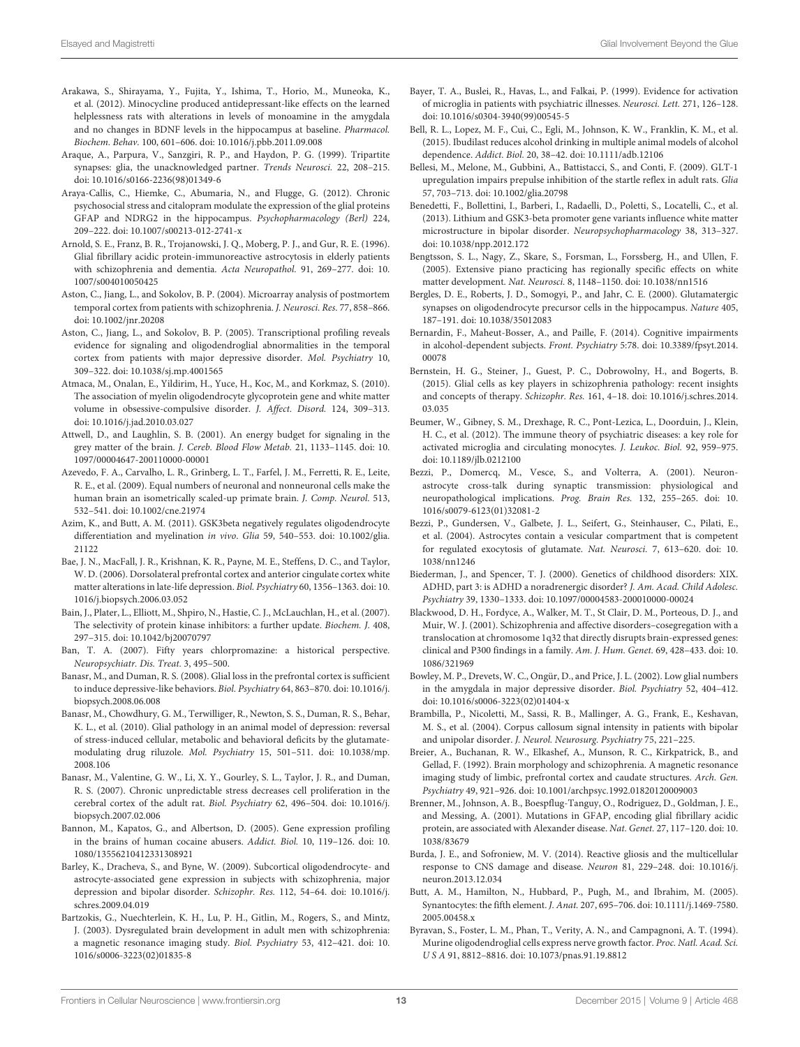- <span id="page-12-20"></span>Arakawa, S., Shirayama, Y., Fujita, Y., Ishima, T., Horio, M., Muneoka, K., et al. (2012). Minocycline produced antidepressant-like effects on the learned helplessness rats with alterations in levels of monoamine in the amygdala and no changes in BDNF levels in the hippocampus at baseline. Pharmacol. Biochem. Behav. 100, 601–606. doi: 10.1016/j.pbb.2011.09.008
- <span id="page-12-2"></span>Araque, A., Parpura, V., Sanzgiri, R. P., and Haydon, P. G. (1999). Tripartite synapses: glia, the unacknowledged partner. Trends Neurosci. 22, 208–215. doi: 10.1016/s0166-2236(98)01349-6
- <span id="page-12-18"></span>Araya-Callis, C., Hiemke, C., Abumaria, N., and Flugge, G. (2012). Chronic psychosocial stress and citalopram modulate the expression of the glial proteins GFAP and NDRG2 in the hippocampus. Psychopharmacology (Berl) 224, 209–222. doi: 10.1007/s00213-012-2741-x
- <span id="page-12-31"></span>Arnold, S. E., Franz, B. R., Trojanowski, J. Q., Moberg, P. J., and Gur, R. E. (1996). Glial fibrillary acidic protein-immunoreactive astrocytosis in elderly patients with schizophrenia and dementia. Acta Neuropathol. 91, 269–277. doi: 10. 1007/s004010050425
- <span id="page-12-26"></span>Aston, C., Jiang, L., and Sokolov, B. P. (2004). Microarray analysis of postmortem temporal cortex from patients with schizophrenia. J. Neurosci. Res. 77, 858–866. doi: 10.1002/jnr.20208
- <span id="page-12-13"></span>Aston, C., Jiang, L., and Sokolov, B. P. (2005). Transcriptional profiling reveals evidence for signaling and oligodendroglial abnormalities in the temporal cortex from patients with major depressive disorder. Mol. Psychiatry 10, 309–322. doi: 10.1038/sj.mp.4001565
- <span id="page-12-24"></span>Atmaca, M., Onalan, E., Yildirim, H., Yuce, H., Koc, M., and Korkmaz, S. (2010). The association of myelin oligodendrocyte glycoprotein gene and white matter volume in obsessive-compulsive disorder. J. Affect. Disord. 124, 309–313. doi: 10.1016/j.jad.2010.03.027
- <span id="page-12-6"></span>Attwell, D., and Laughlin, S. B. (2001). An energy budget for signaling in the grey matter of the brain. J. Cereb. Blood Flow Metab. 21, 1133–1145. doi: 10. 1097/00004647-200110000-00001
- <span id="page-12-1"></span>Azevedo, F. A., Carvalho, L. R., Grinberg, L. T., Farfel, J. M., Ferretti, R. E., Leite, R. E., et al. (2009). Equal numbers of neuronal and nonneuronal cells make the human brain an isometrically scaled-up primate brain. J. Comp. Neurol. 513, 532–541. doi: 10.1002/cne.21974
- <span id="page-12-23"></span>Azim, K., and Butt, A. M. (2011). GSK3beta negatively regulates oligodendrocyte differentiation and myelination in vivo. Glia 59, 540–553. doi: 10.1002/glia. 21122
- <span id="page-12-15"></span>Bae, J. N., MacFall, J. R., Krishnan, K. R., Payne, M. E., Steffens, D. C., and Taylor, W. D. (2006). Dorsolateral prefrontal cortex and anterior cingulate cortex white matter alterations in late-life depression. Biol. Psychiatry 60, 1356–1363. doi: 10. 1016/j.biopsych.2006.03.052
- <span id="page-12-22"></span>Bain, J., Plater, L., Elliott, M., Shpiro, N., Hastie, C. J., McLauchlan, H., et al. (2007). The selectivity of protein kinase inhibitors: a further update. Biochem. J. 408, 297–315. doi: 10.1042/bj20070797
- <span id="page-12-0"></span>Ban, T. A. (2007). Fifty years chlorpromazine: a historical perspective. Neuropsychiatr. Dis. Treat. 3, 495–500.
- <span id="page-12-12"></span>Banasr, M., and Duman, R. S. (2008). Glial loss in the prefrontal cortex is sufficient to induce depressive-like behaviors. Biol. Psychiatry 64, 863–870. doi: 10.1016/j. biopsych.2008.06.008
- <span id="page-12-19"></span>Banasr, M., Chowdhury, G. M., Terwilliger, R., Newton, S. S., Duman, R. S., Behar, K. L., et al. (2010). Glial pathology in an animal model of depression: reversal of stress-induced cellular, metabolic and behavioral deficits by the glutamatemodulating drug riluzole. Mol. Psychiatry 15, 501–511. doi: 10.1038/mp. 2008.106
- <span id="page-12-11"></span>Banasr, M., Valentine, G. W., Li, X. Y., Gourley, S. L., Taylor, J. R., and Duman, R. S. (2007). Chronic unpredictable stress decreases cell proliferation in the cerebral cortex of the adult rat. Biol. Psychiatry 62, 496–504. doi: 10.1016/j. biopsych.2007.02.006
- <span id="page-12-36"></span>Bannon, M., Kapatos, G., and Albertson, D. (2005). Gene expression profiling in the brains of human cocaine abusers. Addict. Biol. 10, 119–126. doi: 10. 1080/13556210412331308921
- <span id="page-12-27"></span>Barley, K., Dracheva, S., and Byne, W. (2009). Subcortical oligodendrocyte- and astrocyte-associated gene expression in subjects with schizophrenia, major depression and bipolar disorder. Schizophr. Res. 112, 54–64. doi: 10.1016/j. schres.2009.04.019
- <span id="page-12-29"></span>Bartzokis, G., Nuechterlein, K. H., Lu, P. H., Gitlin, M., Rogers, S., and Mintz, J. (2003). Dysregulated brain development in adult men with schizophrenia: a magnetic resonance imaging study. Biol. Psychiatry 53, 412–421. doi: 10. 1016/s0006-3223(02)01835-8
- <span id="page-12-32"></span>Bayer, T. A., Buslei, R., Havas, L., and Falkai, P. (1999). Evidence for activation of microglia in patients with psychiatric illnesses. Neurosci. Lett. 271, 126–128. doi: 10.1016/s0304-3940(99)00545-5
- <span id="page-12-37"></span>Bell, R. L., Lopez, M. F., Cui, C., Egli, M., Johnson, K. W., Franklin, K. M., et al. (2015). Ibudilast reduces alcohol drinking in multiple animal models of alcohol dependence. Addict. Biol. 20, 38–42. doi: 10.1111/adb.12106
- <span id="page-12-33"></span>Bellesi, M., Melone, M., Gubbini, A., Battistacci, S., and Conti, F. (2009). GLT-1 upregulation impairs prepulse inhibition of the startle reflex in adult rats. Glia 57, 703–713. doi: 10.1002/glia.20798
- <span id="page-12-21"></span>Benedetti, F., Bollettini, I., Barberi, I., Radaelli, D., Poletti, S., Locatelli, C., et al. (2013). Lithium and GSK3-beta promoter gene variants influence white matter microstructure in bipolar disorder. Neuropsychopharmacology 38, 313–327. doi: 10.1038/npp.2012.172
- <span id="page-12-7"></span>Bengtsson, S. L., Nagy, Z., Skare, S., Forsman, L., Forssberg, H., and Ullen, F. (2005). Extensive piano practicing has regionally specific effects on white matter development. Nat. Neurosci. 8, 1148–1150. doi: 10.1038/nn1516
- <span id="page-12-10"></span>Bergles, D. E., Roberts, J. D., Somogyi, P., and Jahr, C. E. (2000). Glutamatergic synapses on oligodendrocyte precursor cells in the hippocampus. Nature 405, 187–191. doi: 10.1038/35012083
- <span id="page-12-35"></span>Bernardin, F., Maheut-Bosser, A., and Paille, F. (2014). Cognitive impairments in alcohol-dependent subjects. Front. Psychiatry 5:78. doi: 10.3389/fpsyt.2014. 00078
- <span id="page-12-25"></span>Bernstein, H. G., Steiner, J., Guest, P. C., Dobrowolny, H., and Bogerts, B. (2015). Glial cells as key players in schizophrenia pathology: recent insights and concepts of therapy. Schizophr. Res. 161, 4–18. doi: 10.1016/j.schres.2014. 03.035
- <span id="page-12-16"></span>Beumer, W., Gibney, S. M., Drexhage, R. C., Pont-Lezica, L., Doorduin, J., Klein, H. C., et al. (2012). The immune theory of psychiatric diseases: a key role for activated microglia and circulating monocytes. J. Leukoc. Biol. 92, 959–975. doi: 10.1189/jlb.0212100
- <span id="page-12-3"></span>Bezzi, P., Domercq, M., Vesce, S., and Volterra, A. (2001). Neuronastrocyte cross-talk during synaptic transmission: physiological and neuropathological implications. Prog. Brain Res. 132, 255–265. doi: 10. 1016/s0079-6123(01)32081-2
- <span id="page-12-4"></span>Bezzi, P., Gundersen, V., Galbete, J. L., Seifert, G., Steinhauser, C., Pilati, E., et al. (2004). Astrocytes contain a vesicular compartment that is competent for regulated exocytosis of glutamate. Nat. Neurosci. 7, 613–620. doi: 10. 1038/nn1246
- <span id="page-12-34"></span>Biederman, J., and Spencer, T. J. (2000). Genetics of childhood disorders: XIX. ADHD, part 3: is ADHD a noradrenergic disorder? J. Am. Acad. Child Adolesc. Psychiatry 39, 1330–1333. doi: 10.1097/00004583-200010000-00024
- <span id="page-12-28"></span>Blackwood, D. H., Fordyce, A., Walker, M. T., St Clair, D. M., Porteous, D. J., and Muir, W. J. (2001). Schizophrenia and affective disorders–cosegregation with a translocation at chromosome 1q32 that directly disrupts brain-expressed genes: clinical and P300 findings in a family. Am. J. Hum. Genet. 69, 428–433. doi: 10. 1086/321969
- <span id="page-12-17"></span>Bowley, M. P., Drevets, W. C., Ongür, D., and Price, J. L. (2002). Low glial numbers in the amygdala in major depressive disorder. Biol. Psychiatry 52, 404–412. doi: 10.1016/s0006-3223(02)01404-x
- <span id="page-12-14"></span>Brambilla, P., Nicoletti, M., Sassi, R. B., Mallinger, A. G., Frank, E., Keshavan, M. S., et al. (2004). Corpus callosum signal intensity in patients with bipolar and unipolar disorder. J. Neurol. Neurosurg. Psychiatry 75, 221-225.
- <span id="page-12-30"></span>Breier, A., Buchanan, R. W., Elkashef, A., Munson, R. C., Kirkpatrick, B., and Gellad, F. (1992). Brain morphology and schizophrenia. A magnetic resonance imaging study of limbic, prefrontal cortex and caudate structures. Arch. Gen. Psychiatry 49, 921–926. doi: 10.1001/archpsyc.1992.01820120009003
- <span id="page-12-38"></span>Brenner, M., Johnson, A. B., Boespflug-Tanguy, O., Rodriguez, D., Goldman, J. E., and Messing, A. (2001). Mutations in GFAP, encoding glial fibrillary acidic protein, are associated with Alexander disease. Nat. Genet. 27, 117–120. doi: 10. 1038/83679
- <span id="page-12-5"></span>Burda, J. E., and Sofroniew, M. V. (2014). Reactive gliosis and the multicellular response to CNS damage and disease. Neuron 81, 229–248. doi: 10.1016/j. neuron.2013.12.034
- <span id="page-12-9"></span>Butt, A. M., Hamilton, N., Hubbard, P., Pugh, M., and Ibrahim, M. (2005). Synantocytes: the fifth element. J. Anat. 207, 695–706. doi: 10.1111/j.1469-7580. 2005.00458.x
- <span id="page-12-8"></span>Byravan, S., Foster, L. M., Phan, T., Verity, A. N., and Campagnoni, A. T. (1994). Murine oligodendroglial cells express nerve growth factor. Proc. Natl. Acad. Sci. U S A 91, 8812–8816. doi: 10.1073/pnas.91.19.8812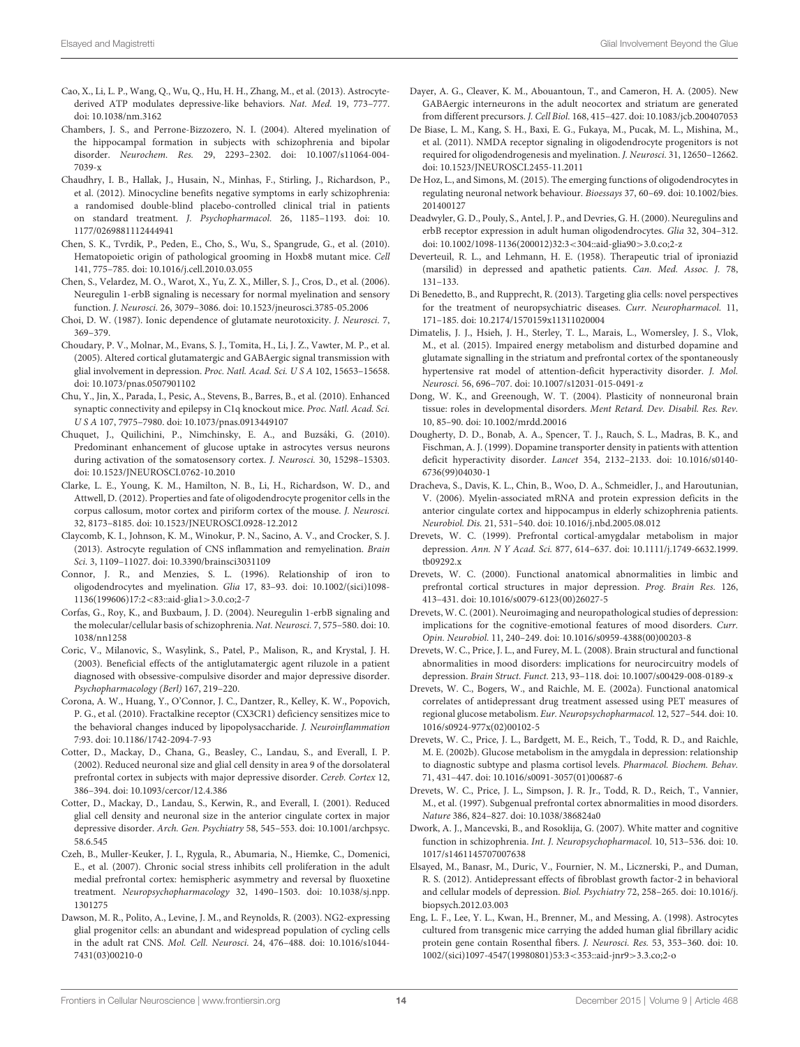- <span id="page-13-23"></span>Cao, X., Li, L. P., Wang, Q., Wu, Q., Hu, H. H., Zhang, M., et al. (2013). Astrocytederived ATP modulates depressive-like behaviors. Nat. Med. 19, 773–777. doi: 10.1038/nm.3162
- <span id="page-13-34"></span>Chambers, J. S., and Perrone-Bizzozero, N. I. (2004). Altered myelination of the hippocampal formation in subjects with schizophrenia and bipolar disorder. Neurochem. Res. 29, 2293–2302. doi: 10.1007/s11064-004- 7039-x
- <span id="page-13-35"></span>Chaudhry, I. B., Hallak, J., Husain, N., Minhas, F., Stirling, J., Richardson, P., et al. (2012). Minocycline benefits negative symptoms in early schizophrenia: a randomised double-blind placebo-controlled clinical trial in patients on standard treatment. J. Psychopharmacol. 26, 1185–1193. doi: 10. 1177/0269881112444941
- <span id="page-13-28"></span>Chen, S. K., Tvrdik, P., Peden, E., Cho, S., Wu, S., Spangrude, G., et al. (2010). Hematopoietic origin of pathological grooming in Hoxb8 mutant mice. Cell 141, 775–785. doi: 10.1016/j.cell.2010.03.055
- <span id="page-13-33"></span>Chen, S., Velardez, M. O., Warot, X., Yu, Z. X., Miller, S. J., Cros, D., et al. (2006). Neuregulin 1-erbB signaling is necessary for normal myelination and sensory function. J. Neurosci. 26, 3079–3086. doi: 10.1523/jneurosci.3785-05.2006
- <span id="page-13-4"></span>Choi, D. W. (1987). Ionic dependence of glutamate neurotoxicity. J. Neurosci. 7, 369–379.
- <span id="page-13-21"></span>Choudary, P. V., Molnar, M., Evans, S. J., Tomita, H., Li, J. Z., Vawter, M. P., et al. (2005). Altered cortical glutamatergic and GABAergic signal transmission with glial involvement in depression. Proc. Natl. Acad. Sci. U S A 102, 15653–15658. doi: 10.1073/pnas.0507901102
- <span id="page-13-13"></span>Chu, Y., Jin, X., Parada, I., Pesic, A., Stevens, B., Barres, B., et al. (2010). Enhanced synaptic connectivity and epilepsy in C1q knockout mice. Proc. Natl. Acad. Sci. U S A 107, 7975–7980. doi: 10.1073/pnas.0913449107
- <span id="page-13-3"></span>Chuquet, J., Quilichini, P., Nimchinsky, E. A., and Buzsáki, G. (2010). Predominant enhancement of glucose uptake in astrocytes versus neurons during activation of the somatosensory cortex. J. Neurosci. 30, 15298–15303. doi: 10.1523/JNEUROSCI.0762-10.2010
- <span id="page-13-10"></span>Clarke, L. E., Young, K. M., Hamilton, N. B., Li, H., Richardson, W. D., and Attwell, D. (2012). Properties and fate of oligodendrocyte progenitor cells in the corpus callosum, motor cortex and piriform cortex of the mouse. J. Neurosci. 32, 8173–8185. doi: 10.1523/JNEUROSCI.0928-12.2012
- <span id="page-13-2"></span>Claycomb, K. I., Johnson, K. M., Winokur, P. N., Sacino, A. V., and Crocker, S. J. (2013). Astrocyte regulation of CNS inflammation and remyelination. Brain Sci. 3, 1109–11027. doi: 10.3390/brainsci3031109
- <span id="page-13-6"></span>Connor, J. R., and Menzies, S. L. (1996). Relationship of iron to oligodendrocytes and myelination. Glia 17, 83–93. doi: 10.1002/(sici)1098- 1136(199606)17:2<83::aid-glia1>3.0.co;2-7
- <span id="page-13-31"></span>Corfas, G., Roy, K., and Buxbaum, J. D. (2004). Neuregulin 1-erbB signaling and the molecular/cellular basis of schizophrenia. Nat. Neurosci. 7, 575–580. doi: 10. 1038/nn1258
- <span id="page-13-27"></span>Coric, V., Milanovic, S., Wasylink, S., Patel, P., Malison, R., and Krystal, J. H. (2003). Beneficial effects of the antiglutamatergic agent riluzole in a patient diagnosed with obsessive-compulsive disorder and major depressive disorder. Psychopharmacology (Berl) 167, 219–220.
- <span id="page-13-24"></span>Corona, A. W., Huang, Y., O'Connor, J. C., Dantzer, R., Kelley, K. W., Popovich, P. G., et al. (2010). Fractalkine receptor (CX3CR1) deficiency sensitizes mice to the behavioral changes induced by lipopolysaccharide. J. Neuroinflammation 7:93. doi: 10.1186/1742-2094-7-93
- <span id="page-13-20"></span>Cotter, D., Mackay, D., Chana, G., Beasley, C., Landau, S., and Everall, I. P. (2002). Reduced neuronal size and glial cell density in area 9 of the dorsolateral prefrontal cortex in subjects with major depressive disorder. Cereb. Cortex 12, 386–394. doi: 10.1093/cercor/12.4.386
- <span id="page-13-19"></span>Cotter, D., Mackay, D., Landau, S., Kerwin, R., and Everall, I. (2001). Reduced glial cell density and neuronal size in the anterior cingulate cortex in major depressive disorder. Arch. Gen. Psychiatry 58, 545–553. doi: 10.1001/archpsyc. 58.6.545
- <span id="page-13-12"></span>Czeh, B., Muller-Keuker, J. I., Rygula, R., Abumaria, N., Hiemke, C., Domenici, E., et al. (2007). Chronic social stress inhibits cell proliferation in the adult medial prefrontal cortex: hemispheric asymmetry and reversal by fluoxetine treatment. Neuropsychopharmacology 32, 1490–1503. doi: 10.1038/sj.npp. 1301275
- <span id="page-13-11"></span>Dawson, M. R., Polito, A., Levine, J. M., and Reynolds, R. (2003). NG2-expressing glial progenitor cells: an abundant and widespread population of cycling cells in the adult rat CNS. Mol. Cell. Neurosci. 24, 476–488. doi: 10.1016/s1044- 7431(03)00210-0
- <span id="page-13-9"></span>Dayer, A. G., Cleaver, K. M., Abouantoun, T., and Cameron, H. A. (2005). New GABAergic interneurons in the adult neocortex and striatum are generated from different precursors. J. Cell Biol. 168, 415–427. doi: 10.1083/jcb.200407053
- <span id="page-13-22"></span>De Biase, L. M., Kang, S. H., Baxi, E. G., Fukaya, M., Pucak, M. L., Mishina, M., et al. (2011). NMDA receptor signaling in oligodendrocyte progenitors is not required for oligodendrogenesis and myelination. J. Neurosci. 31, 12650–12662. doi: 10.1523/JNEUROSCI.2455-11.2011
- <span id="page-13-7"></span>De Hoz, L., and Simons, M. (2015). The emerging functions of oligodendrocytes in regulating neuronal network behaviour. Bioessays 37, 60–69. doi: 10.1002/bies. 201400127
- <span id="page-13-32"></span>Deadwyler, G. D., Pouly, S., Antel, J. P., and Devries, G. H. (2000). Neuregulins and erbB receptor expression in adult human oligodendrocytes. Glia 32, 304–312. doi: 10.1002/1098-1136(200012)32:3<304::aid-glia90>3.0.co;2-z
- <span id="page-13-0"></span>Deverteuil, R. L., and Lehmann, H. E. (1958). Therapeutic trial of iproniazid (marsilid) in depressed and apathetic patients. Can. Med. Assoc. J. 78, 131–133.
- <span id="page-13-1"></span>Di Benedetto, B., and Rupprecht, R. (2013). Targeting glia cells: novel perspectives for the treatment of neuropsychiatric diseases. Curr. Neuropharmacol. 11, 171–185. doi: 10.2174/1570159x11311020004
- <span id="page-13-37"></span>Dimatelis, J. J., Hsieh, J. H., Sterley, T. L., Marais, L., Womersley, J. S., Vlok, M., et al. (2015). Impaired energy metabolism and disturbed dopamine and glutamate signalling in the striatum and prefrontal cortex of the spontaneously hypertensive rat model of attention-deficit hyperactivity disorder. J. Mol. Neurosci. 56, 696–707. doi: 10.1007/s12031-015-0491-z
- <span id="page-13-8"></span>Dong, W. K., and Greenough, W. T. (2004). Plasticity of nonneuronal brain tissue: roles in developmental disorders. Ment Retard. Dev. Disabil. Res. Rev. 10, 85–90. doi: 10.1002/mrdd.20016
- <span id="page-13-36"></span>Dougherty, D. D., Bonab, A. A., Spencer, T. J., Rauch, S. L., Madras, B. K., and Fischman, A. J. (1999). Dopamine transporter density in patients with attention deficit hyperactivity disorder. Lancet 354, 2132–2133. doi: 10.1016/s0140- 6736(99)04030-1
- <span id="page-13-30"></span>Dracheva, S., Davis, K. L., Chin, B., Woo, D. A., Schmeidler, J., and Haroutunian, V. (2006). Myelin-associated mRNA and protein expression deficits in the anterior cingulate cortex and hippocampus in elderly schizophrenia patients. Neurobiol. Dis. 21, 531–540. doi: 10.1016/j.nbd.2005.08.012
- <span id="page-13-14"></span>Drevets, W. C. (1999). Prefrontal cortical-amygdalar metabolism in major depression. Ann. N Y Acad. Sci. 877, 614–637. doi: 10.1111/j.1749-6632.1999. tb09292.x
- <span id="page-13-15"></span>Drevets, W. C. (2000). Functional anatomical abnormalities in limbic and prefrontal cortical structures in major depression. Prog. Brain Res. 126, 413–431. doi: 10.1016/s0079-6123(00)26027-5
- <span id="page-13-16"></span>Drevets, W. C. (2001). Neuroimaging and neuropathological studies of depression: implications for the cognitive-emotional features of mood disorders. Curr. Opin. Neurobiol. 11, 240–249. doi: 10.1016/s0959-4388(00)00203-8
- <span id="page-13-26"></span>Drevets, W. C., Price, J. L., and Furey, M. L. (2008). Brain structural and functional abnormalities in mood disorders: implications for neurocircuitry models of depression. Brain Struct. Funct. 213, 93–118. doi: 10.1007/s00429-008-0189-x
- <span id="page-13-17"></span>Drevets, W. C., Bogers, W., and Raichle, M. E. (2002a). Functional anatomical correlates of antidepressant drug treatment assessed using PET measures of regional glucose metabolism. Eur. Neuropsychopharmacol. 12, 527–544. doi: 10. 1016/s0924-977x(02)00102-5
- <span id="page-13-18"></span>Drevets, W. C., Price, J. L., Bardgett, M. E., Reich, T., Todd, R. D., and Raichle, M. E. (2002b). Glucose metabolism in the amygdala in depression: relationship to diagnostic subtype and plasma cortisol levels. Pharmacol. Biochem. Behav. 71, 431–447. doi: 10.1016/s0091-3057(01)00687-6
- <span id="page-13-25"></span>Drevets, W. C., Price, J. L., Simpson, J. R. Jr., Todd, R. D., Reich, T., Vannier, M., et al. (1997). Subgenual prefrontal cortex abnormalities in mood disorders. Nature 386, 824–827. doi: 10.1038/386824a0
- <span id="page-13-29"></span>Dwork, A. J., Mancevski, B., and Rosoklija, G. (2007). White matter and cognitive function in schizophrenia. Int. J. Neuropsychopharmacol. 10, 513–536. doi: 10. 1017/s1461145707007638
- <span id="page-13-5"></span>Elsayed, M., Banasr, M., Duric, V., Fournier, N. M., Licznerski, P., and Duman, R. S. (2012). Antidepressant effects of fibroblast growth factor-2 in behavioral and cellular models of depression. Biol. Psychiatry 72, 258–265. doi: 10.1016/j. biopsych.2012.03.003
- <span id="page-13-38"></span>Eng, L. F., Lee, Y. L., Kwan, H., Brenner, M., and Messing, A. (1998). Astrocytes cultured from transgenic mice carrying the added human glial fibrillary acidic protein gene contain Rosenthal fibers. J. Neurosci. Res. 53, 353–360. doi: 10. 1002/(sici)1097-4547(19980801)53:3<353::aid-jnr9>3.3.co;2-o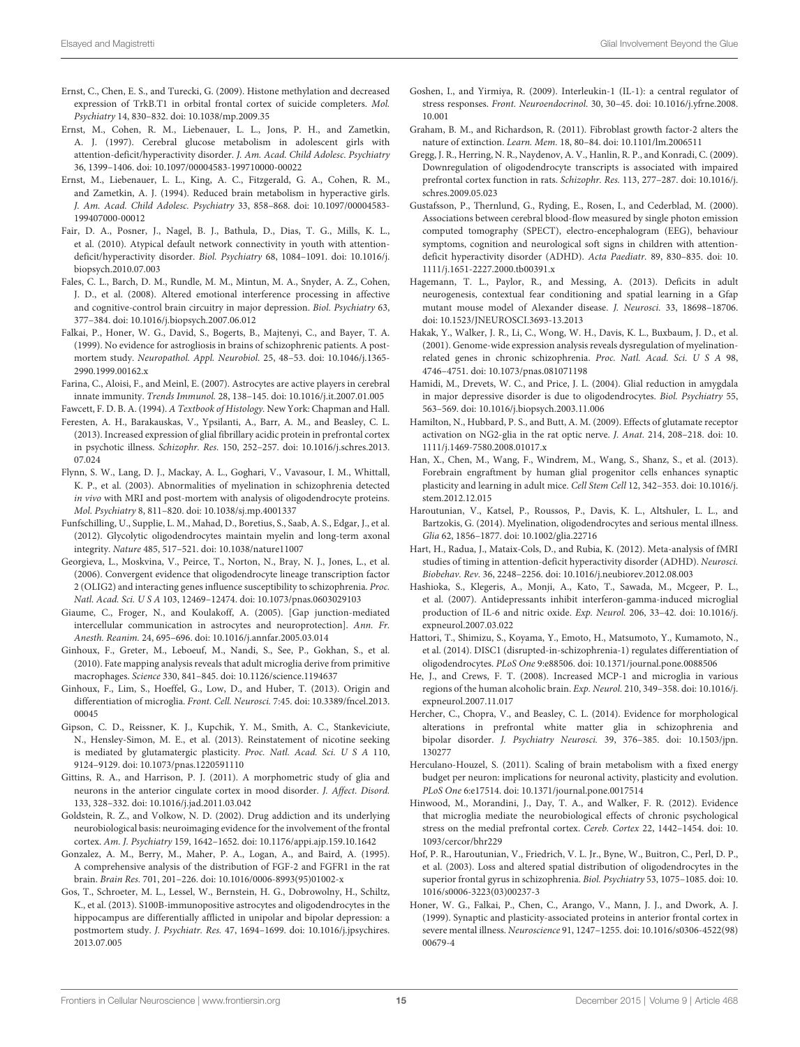- <span id="page-14-16"></span>Ernst, C., Chen, E. S., and Turecki, G. (2009). Histone methylation and decreased expression of TrkB.T1 in orbital frontal cortex of suicide completers. Mol. Psychiatry 14, 830–832. doi: 10.1038/mp.2009.35
- <span id="page-14-33"></span>Ernst, M., Cohen, R. M., Liebenauer, L. L., Jons, P. H., and Zametkin, A. J. (1997). Cerebral glucose metabolism in adolescent girls with attention-deficit/hyperactivity disorder. J. Am. Acad. Child Adolesc. Psychiatry 36, 1399–1406. doi: 10.1097/00004583-199710000-00022
- <span id="page-14-30"></span>Ernst, M., Liebenauer, L. L., King, A. C., Fitzgerald, G. A., Cohen, R. M., and Zametkin, A. J. (1994). Reduced brain metabolism in hyperactive girls. J. Am. Acad. Child Adolesc. Psychiatry 33, 858–868. doi: 10.1097/00004583- 199407000-00012
- <span id="page-14-34"></span>Fair, D. A., Posner, J., Nagel, B. J., Bathula, D., Dias, T. G., Mills, K. L., et al. (2010). Atypical default network connectivity in youth with attentiondeficit/hyperactivity disorder. Biol. Psychiatry 68, 1084–1091. doi: 10.1016/j. biopsych.2010.07.003
- <span id="page-14-12"></span>Fales, C. L., Barch, D. M., Rundle, M. M., Mintun, M. A., Snyder, A. Z., Cohen, J. D., et al. (2008). Altered emotional interference processing in affective and cognitive-control brain circuitry in major depression. Biol. Psychiatry 63, 377–384. doi: 10.1016/j.biopsych.2007.06.012
- <span id="page-14-27"></span>Falkai, P., Honer, W. G., David, S., Bogerts, B., Majtenyi, C., and Bayer, T. A. (1999). No evidence for astrogliosis in brains of schizophrenic patients. A postmortem study. Neuropathol. Appl. Neurobiol. 25, 48–53. doi: 10.1046/j.1365- 2990.1999.00162.x
- <span id="page-14-3"></span>Farina, C., Aloisi, F., and Meinl, E. (2007). Astrocytes are active players in cerebral innate immunity. Trends Immunol. 28, 138–145. doi: 10.1016/j.it.2007.01.005
- <span id="page-14-28"></span><span id="page-14-5"></span>Fawcett, F. D. B. A. (1994). A Textbook of Histology. New York: Chapman and Hall. Feresten, A. H., Barakauskas, V., Ypsilanti, A., Barr, A. M., and Beasley, C. L. (2013). Increased expression of glial fibrillary acidic protein in prefrontal cortex in psychotic illness. Schizophr. Res. 150, 252–257. doi: 10.1016/j.schres.2013. 07.024
- <span id="page-14-22"></span>Flynn, S. W., Lang, D. J., Mackay, A. L., Goghari, V., Vavasour, I. M., Whittall, K. P., et al. (2003). Abnormalities of myelination in schizophrenia detected in vivo with MRI and post-mortem with analysis of oligodendrocyte proteins. Mol. Psychiatry 8, 811–820. doi: 10.1038/sj.mp.4001337
- <span id="page-14-7"></span>Funfschilling, U., Supplie, L. M., Mahad, D., Boretius, S., Saab, A. S., Edgar, J., et al. (2012). Glycolytic oligodendrocytes maintain myelin and long-term axonal integrity. Nature 485, 517–521. doi: 10.1038/nature11007
- <span id="page-14-26"></span>Georgieva, L., Moskvina, V., Peirce, T., Norton, N., Bray, N. J., Jones, L., et al. (2006). Convergent evidence that oligodendrocyte lineage transcription factor 2 (OLIG2) and interacting genes influence susceptibility to schizophrenia. Proc. Natl. Acad. Sci. U S A 103, 12469–12474. doi: 10.1073/pnas.0603029103
- <span id="page-14-4"></span>Giaume, C., Froger, N., and Koulakoff, A. (2005). [Gap junction-mediated intercellular communication in astrocytes and neuroprotection]. Ann. Fr. Anesth. Reanim. 24, 695–696. doi: 10.1016/j.annfar.2005.03.014
- <span id="page-14-9"></span>Ginhoux, F., Greter, M., Leboeuf, M., Nandi, S., See, P., Gokhan, S., et al. (2010). Fate mapping analysis reveals that adult microglia derive from primitive macrophages. Science 330, 841–845. doi: 10.1126/science.1194637
- <span id="page-14-10"></span>Ginhoux, F., Lim, S., Hoeffel, G., Low, D., and Huber, T. (2013). Origin and differentiation of microglia. Front. Cell. Neurosci. 7:45. doi: 10.3389/fncel.2013. 00045
- <span id="page-14-37"></span>Gipson, C. D., Reissner, K. J., Kupchik, Y. M., Smith, A. C., Stankeviciute, N., Hensley-Simon, M. E., et al. (2013). Reinstatement of nicotine seeking is mediated by glutamatergic plasticity. Proc. Natl. Acad. Sci. U S A 110, 9124–9129. doi: 10.1073/pnas.1220591110
- <span id="page-14-17"></span>Gittins, R. A., and Harrison, P. J. (2011). A morphometric study of glia and neurons in the anterior cingulate cortex in mood disorder. J. Affect. Disord. 133, 328–332. doi: 10.1016/j.jad.2011.03.042
- <span id="page-14-35"></span>Goldstein, R. Z., and Volkow, N. D. (2002). Drug addiction and its underlying neurobiological basis: neuroimaging evidence for the involvement of the frontal cortex. Am. J. Psychiatry 159, 1642–1652. doi: 10.1176/appi.ajp.159.10.1642
- <span id="page-14-1"></span>Gonzalez, A. M., Berry, M., Maher, P. A., Logan, A., and Baird, A. (1995). A comprehensive analysis of the distribution of FGF-2 and FGFR1 in the rat brain. Brain Res. 701, 201–226. doi: 10.1016/0006-8993(95)01002-x
- <span id="page-14-15"></span>Gos, T., Schroeter, M. L., Lessel, W., Bernstein, H. G., Dobrowolny, H., Schiltz, K., et al. (2013). S100B-immunopositive astrocytes and oligodendrocytes in the hippocampus are differentially afflicted in unipolar and bipolar depression: a postmortem study. J. Psychiatr. Res. 47, 1694–1699. doi: 10.1016/j.jpsychires. 2013.07.005
- <span id="page-14-19"></span>Goshen, I., and Yirmiya, R. (2009). Interleukin-1 (IL-1): a central regulator of stress responses. Front. Neuroendocrinol. 30, 30–45. doi: 10.1016/j.yfrne.2008. 10.001
- <span id="page-14-2"></span>Graham, B. M., and Richardson, R. (2011). Fibroblast growth factor-2 alters the nature of extinction. Learn. Mem. 18, 80–84. doi: 10.1101/lm.2006511
- <span id="page-14-29"></span>Gregg, J. R., Herring, N. R., Naydenov, A. V., Hanlin, R. P., and Konradi, C. (2009). Downregulation of oligodendrocyte transcripts is associated with impaired prefrontal cortex function in rats. Schizophr. Res. 113, 277–287. doi: 10.1016/j. schres.2009.05.023
- <span id="page-14-31"></span>Gustafsson, P., Thernlund, G., Ryding, E., Rosen, I., and Cederblad, M. (2000). Associations between cerebral blood-flow measured by single photon emission computed tomography (SPECT), electro-encephalogram (EEG), behaviour symptoms, cognition and neurological soft signs in children with attentiondeficit hyperactivity disorder (ADHD). Acta Paediatr. 89, 830–835. doi: 10. 1111/j.1651-2227.2000.tb00391.x
- <span id="page-14-38"></span>Hagemann, T. L., Paylor, R., and Messing, A. (2013). Deficits in adult neurogenesis, contextual fear conditioning and spatial learning in a Gfap mutant mouse model of Alexander disease. J. Neurosci. 33, 18698–18706. doi: 10.1523/JNEUROSCI.3693-13.2013
- <span id="page-14-23"></span>Hakak, Y., Walker, J. R., Li, C., Wong, W. H., Davis, K. L., Buxbaum, J. D., et al. (2001). Genome-wide expression analysis reveals dysregulation of myelinationrelated genes in chronic schizophrenia. Proc. Natl. Acad. Sci. U S A 98, 4746–4751. doi: 10.1073/pnas.081071198
- <span id="page-14-14"></span>Hamidi, M., Drevets, W. C., and Price, J. L. (2004). Glial reduction in amygdala in major depressive disorder is due to oligodendrocytes. Biol. Psychiatry 55, 563–569. doi: 10.1016/j.biopsych.2003.11.006
- <span id="page-14-8"></span>Hamilton, N., Hubbard, P. S., and Butt, A. M. (2009). Effects of glutamate receptor activation on NG2-glia in the rat optic nerve. J. Anat. 214, 208–218. doi: 10. 1111/j.1469-7580.2008.01017.x
- <span id="page-14-11"></span>Han, X., Chen, M., Wang, F., Windrem, M., Wang, S., Shanz, S., et al. (2013). Forebrain engraftment by human glial progenitor cells enhances synaptic plasticity and learning in adult mice. Cell Stem Cell 12, 342–353. doi: 10.1016/j. stem.2012.12.015
- <span id="page-14-6"></span>Haroutunian, V., Katsel, P., Roussos, P., Davis, K. L., Altshuler, L. L., and Bartzokis, G. (2014). Myelination, oligodendrocytes and serious mental illness. Glia 62, 1856–1877. doi: 10.1002/glia.22716
- <span id="page-14-32"></span>Hart, H., Radua, J., Mataix-Cols, D., and Rubia, K. (2012). Meta-analysis of fMRI studies of timing in attention-deficit hyperactivity disorder (ADHD). Neurosci. Biobehav. Rev. 36, 2248–2256. doi: 10.1016/j.neubiorev.2012.08.003
- <span id="page-14-18"></span>Hashioka, S., Klegeris, A., Monji, A., Kato, T., Sawada, M., Mcgeer, P. L., et al. (2007). Antidepressants inhibit interferon-gamma-induced microglial production of IL-6 and nitric oxide. Exp. Neurol. 206, 33–42. doi: 10.1016/j. expneurol.2007.03.022
- <span id="page-14-24"></span>Hattori, T., Shimizu, S., Koyama, Y., Emoto, H., Matsumoto, Y., Kumamoto, N., et al. (2014). DISC1 (disrupted-in-schizophrenia-1) regulates differentiation of oligodendrocytes. PLoS One 9:e88506. doi: 10.1371/journal.pone.0088506
- <span id="page-14-36"></span>He, J., and Crews, F. T. (2008). Increased MCP-1 and microglia in various regions of the human alcoholic brain. Exp. Neurol. 210, 349–358. doi: 10.1016/j. expneurol.2007.11.017
- <span id="page-14-21"></span>Hercher, C., Chopra, V., and Beasley, C. L. (2014). Evidence for morphological alterations in prefrontal white matter glia in schizophrenia and bipolar disorder. J. Psychiatry Neurosci. 39, 376–385. doi: 10.1503/jpn. 130277
- <span id="page-14-0"></span>Herculano-Houzel, S. (2011). Scaling of brain metabolism with a fixed energy budget per neuron: implications for neuronal activity, plasticity and evolution. PLoS One 6:e17514. doi: 10.1371/journal.pone.0017514
- <span id="page-14-20"></span>Hinwood, M., Morandini, J., Day, T. A., and Walker, F. R. (2012). Evidence that microglia mediate the neurobiological effects of chronic psychological stress on the medial prefrontal cortex. Cereb. Cortex 22, 1442–1454. doi: 10. 1093/cercor/bhr229
- <span id="page-14-25"></span>Hof, P. R., Haroutunian, V., Friedrich, V. L. Jr., Byne, W., Buitron, C., Perl, D. P., et al. (2003). Loss and altered spatial distribution of oligodendrocytes in the superior frontal gyrus in schizophrenia. Biol. Psychiatry 53, 1075–1085. doi: 10. 1016/s0006-3223(03)00237-3
- <span id="page-14-13"></span>Honer, W. G., Falkai, P., Chen, C., Arango, V., Mann, J. J., and Dwork, A. J. (1999). Synaptic and plasticity-associated proteins in anterior frontal cortex in severe mental illness. Neuroscience 91, 1247–1255. doi: 10.1016/s0306-4522(98) 00679-4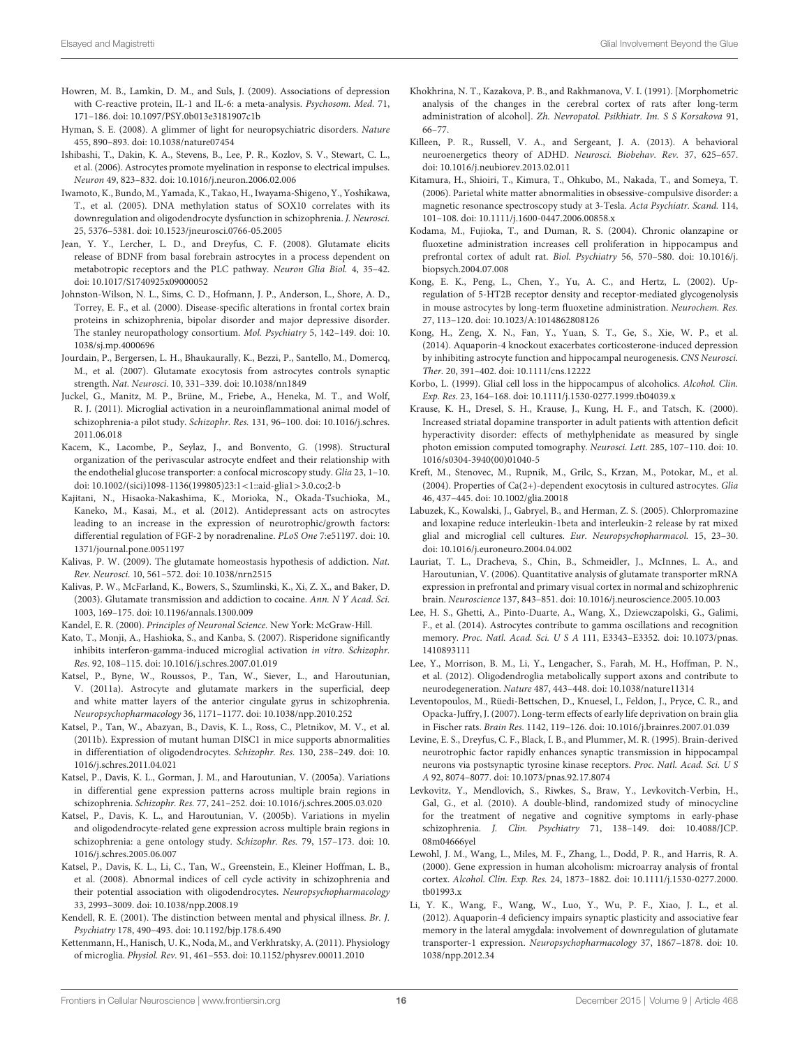- <span id="page-15-13"></span>Howren, M. B., Lamkin, D. M., and Suls, J. (2009). Associations of depression with C-reactive protein, IL-1 and IL-6: a meta-analysis. Psychosom. Med. 71, 171–186. doi: 10.1097/PSY.0b013e3181907c1b
- <span id="page-15-1"></span>Hyman, S. E. (2008). A glimmer of light for neuropsychiatric disorders. Nature 455, 890–893. doi: 10.1038/nature07454
- <span id="page-15-8"></span>Ishibashi, T., Dakin, K. A., Stevens, B., Lee, P. R., Kozlov, S. V., Stewart, C. L., et al. (2006). Astrocytes promote myelination in response to electrical impulses. Neuron 49, 823–832. doi: 10.1016/j.neuron.2006.02.006
- <span id="page-15-19"></span>Iwamoto, K., Bundo, M., Yamada, K., Takao, H., Iwayama-Shigeno, Y., Yoshikawa, T., et al. (2005). DNA methylation status of SOX10 correlates with its downregulation and oligodendrocyte dysfunction in schizophrenia. J. Neurosci. 25, 5376–5381. doi: 10.1523/jneurosci.0766-05.2005
- <span id="page-15-6"></span>Jean, Y. Y., Lercher, L. D., and Dreyfus, C. F. (2008). Glutamate elicits release of BDNF from basal forebrain astrocytes in a process dependent on metabotropic receptors and the PLC pathway. Neuron Glia Biol. 4, 35–42. doi: 10.1017/S1740925x09000052
- <span id="page-15-24"></span>Johnston-Wilson, N. L., Sims, C. D., Hofmann, J. P., Anderson, L., Shore, A. D., Torrey, E. F., et al. (2000). Disease-specific alterations in frontal cortex brain proteins in schizophrenia, bipolar disorder and major depressive disorder. The stanley neuropathology consortium. Mol. Psychiatry 5, 142–149. doi: 10. 1038/sj.mp.4000696
- <span id="page-15-5"></span>Jourdain, P., Bergersen, L. H., Bhaukaurally, K., Bezzi, P., Santello, M., Domercq, M., et al. (2007). Glutamate exocytosis from astrocytes controls synaptic strength. Nat. Neurosci. 10, 331–339. doi: 10.1038/nn1849
- <span id="page-15-28"></span>Juckel, G., Manitz, M. P., Brüne, M., Friebe, A., Heneka, M. T., and Wolf, R. J. (2011). Microglial activation in a neuroinflammational animal model of schizophrenia-a pilot study. Schizophr. Res. 131, 96–100. doi: 10.1016/j.schres. 2011.06.018
- <span id="page-15-3"></span>Kacem, K., Lacombe, P., Seylaz, J., and Bonvento, G. (1998). Structural organization of the perivascular astrocyte endfeet and their relationship with the endothelial glucose transporter: a confocal microscopy study. Glia 23, 1–10. doi: 10.1002/(sici)1098-1136(199805)23:1<1::aid-glia1>3.0.co;2-b
- <span id="page-15-17"></span>Kajitani, N., Hisaoka-Nakashima, K., Morioka, N., Okada-Tsuchioka, M., Kaneko, M., Kasai, M., et al. (2012). Antidepressant acts on astrocytes leading to an increase in the expression of neurotrophic/growth factors: differential regulation of FGF-2 by noradrenaline. PLoS One 7:e51197. doi: 10. 1371/journal.pone.0051197
- <span id="page-15-36"></span>Kalivas, P. W. (2009). The glutamate homeostasis hypothesis of addiction. Nat. Rev. Neurosci. 10, 561–572. doi: 10.1038/nrn2515
- <span id="page-15-35"></span>Kalivas, P. W., McFarland, K., Bowers, S., Szumlinski, K., Xi, Z. X., and Baker, D. (2003). Glutamate transmission and addiction to cocaine. Ann. N Y Acad. Sci. 1003, 169–175. doi: 10.1196/annals.1300.009
- <span id="page-15-2"></span>Kandel, E. R. (2000). Principles of Neuronal Science. New York: McGraw-Hill.
- <span id="page-15-30"></span>Kato, T., Monji, A., Hashioka, S., and Kanba, S. (2007). Risperidone significantly inhibits interferon-gamma-induced microglial activation in vitro. Schizophr. Res. 92, 108–115. doi: 10.1016/j.schres.2007.01.019
- <span id="page-15-23"></span>Katsel, P., Byne, W., Roussos, P., Tan, W., Siever, L., and Haroutunian, V. (2011a). Astrocyte and glutamate markers in the superficial, deep and white matter layers of the anterior cingulate gyrus in schizophrenia. Neuropsychopharmacology 36, 1171–1177. doi: 10.1038/npp.2010.252
- <span id="page-15-27"></span>Katsel, P., Tan, W., Abazyan, B., Davis, K. L., Ross, C., Pletnikov, M. V., et al. (2011b). Expression of mutant human DISC1 in mice supports abnormalities in differentiation of oligodendrocytes. Schizophr. Res. 130, 238–249. doi: 10. 1016/j.schres.2011.04.021
- <span id="page-15-20"></span>Katsel, P., Davis, K. L., Gorman, J. M., and Haroutunian, V. (2005a). Variations in differential gene expression patterns across multiple brain regions in schizophrenia. Schizophr. Res. 77, 241–252. doi: 10.1016/j.schres.2005.03.020
- <span id="page-15-21"></span>Katsel, P., Davis, K. L., and Haroutunian, V. (2005b). Variations in myelin and oligodendrocyte-related gene expression across multiple brain regions in schizophrenia: a gene ontology study. Schizophr. Res. 79, 157–173. doi: 10. 1016/j.schres.2005.06.007
- <span id="page-15-22"></span>Katsel, P., Davis, K. L., Li, C., Tan, W., Greenstein, E., Kleiner Hoffman, L. B., et al. (2008). Abnormal indices of cell cycle activity in schizophrenia and their potential association with oligodendrocytes. Neuropsychopharmacology 33, 2993–3009. doi: 10.1038/npp.2008.19
- <span id="page-15-0"></span>Kendell, R. E. (2001). The distinction between mental and physical illness. Br. J. Psychiatry 178, 490–493. doi: 10.1192/bjp.178.6.490
- <span id="page-15-11"></span>Kettenmann, H., Hanisch, U. K., Noda, M., and Verkhratsky, A. (2011). Physiology of microglia. Physiol. Rev. 91, 461–553. doi: 10.1152/physrev.00011.2010
- <span id="page-15-37"></span>Khokhrina, N. T., Kazakova, P. B., and Rakhmanova, V. I. (1991). [Morphometric analysis of the changes in the cerebral cortex of rats after long-term administration of alcohol]. Zh. Nevropatol. Psikhiatr. Im. S S Korsakova 91, 66–77.
- <span id="page-15-32"></span>Killeen, P. R., Russell, V. A., and Sergeant, J. A. (2013). A behavioral neuroenergetics theory of ADHD. Neurosci. Biobehav. Rev. 37, 625–657. doi: 10.1016/j.neubiorev.2013.02.011
- <span id="page-15-18"></span>Kitamura, H., Shioiri, T., Kimura, T., Ohkubo, M., Nakada, T., and Someya, T. (2006). Parietal white matter abnormalities in obsessive-compulsive disorder: a magnetic resonance spectroscopy study at 3-Tesla. Acta Psychiatr. Scand. 114, 101–108. doi: 10.1111/j.1600-0447.2006.00858.x
- <span id="page-15-10"></span>Kodama, M., Fujioka, T., and Duman, R. S. (2004). Chronic olanzapine or fluoxetine administration increases cell proliferation in hippocampus and prefrontal cortex of adult rat. Biol. Psychiatry 56, 570–580. doi: 10.1016/j. biopsych.2004.07.008
- <span id="page-15-16"></span>Kong, E. K., Peng, L., Chen, Y., Yu, A. C., and Hertz, L. (2002). Upregulation of 5-HT2B receptor density and receptor-mediated glycogenolysis in mouse astrocytes by long-term fluoxetine administration. Neurochem. Res. 27, 113–120. doi: 10.1023/A:1014862808126
- <span id="page-15-15"></span>Kong, H., Zeng, X. N., Fan, Y., Yuan, S. T., Ge, S., Xie, W. P., et al. (2014). Aquaporin-4 knockout exacerbates corticosterone-induced depression by inhibiting astrocyte function and hippocampal neurogenesis. CNS Neurosci. Ther. 20, 391–402. doi: 10.1111/cns.12222
- <span id="page-15-33"></span>Korbo, L. (1999). Glial cell loss in the hippocampus of alcoholics. Alcohol. Clin. Exp. Res. 23, 164–168. doi: 10.1111/j.1530-0277.1999.tb04039.x
- <span id="page-15-31"></span>Krause, K. H., Dresel, S. H., Krause, J., Kung, H. F., and Tatsch, K. (2000). Increased striatal dopamine transporter in adult patients with attention deficit hyperactivity disorder: effects of methylphenidate as measured by single photon emission computed tomography. Neurosci. Lett. 285, 107–110. doi: 10. 1016/s0304-3940(00)01040-5
- <span id="page-15-4"></span>Kreft, M., Stenovec, M., Rupnik, M., Grilc, S., Krzan, M., Potokar, M., et al. (2004). Properties of Ca(2+)-dependent exocytosis in cultured astrocytes. Glia 46, 437–445. doi: 10.1002/glia.20018
- <span id="page-15-29"></span>Labuzek, K., Kowalski, J., Gabryel, B., and Herman, Z. S. (2005). Chlorpromazine and loxapine reduce interleukin-1beta and interleukin-2 release by rat mixed glial and microglial cell cultures. Eur. Neuropsychopharmacol. 15, 23–30. doi: 10.1016/j.euroneuro.2004.04.002
- <span id="page-15-25"></span>Lauriat, T. L., Dracheva, S., Chin, B., Schmeidler, J., McInnes, L. A., and Haroutunian, V. (2006). Quantitative analysis of glutamate transporter mRNA expression in prefrontal and primary visual cortex in normal and schizophrenic brain. Neuroscience 137, 843–851. doi: 10.1016/j.neuroscience.2005.10.003
- <span id="page-15-12"></span>Lee, H. S., Ghetti, A., Pinto-Duarte, A., Wang, X., Dziewczapolski, G., Galimi, F., et al. (2014). Astrocytes contribute to gamma oscillations and recognition memory. Proc. Natl. Acad. Sci. U S A 111, E3343–E3352. doi: 10.1073/pnas. 1410893111
- <span id="page-15-9"></span>Lee, Y., Morrison, B. M., Li, Y., Lengacher, S., Farah, M. H., Hoffman, P. N., et al. (2012). Oligodendroglia metabolically support axons and contribute to neurodegeneration. Nature 487, 443–448. doi: 10.1038/nature11314
- <span id="page-15-14"></span>Leventopoulos, M., Rüedi-Bettschen, D., Knuesel, I., Feldon, J., Pryce, C. R., and Opacka-Juffry, J. (2007). Long-term effects of early life deprivation on brain glia in Fischer rats. Brain Res. 1142, 119–126. doi: 10.1016/j.brainres.2007.01.039
- <span id="page-15-7"></span>Levine, E. S., Dreyfus, C. F., Black, I. B., and Plummer, M. R. (1995). Brain-derived neurotrophic factor rapidly enhances synaptic transmission in hippocampal neurons via postsynaptic tyrosine kinase receptors. Proc. Natl. Acad. Sci. U S A 92, 8074–8077. doi: 10.1073/pnas.92.17.8074
- <span id="page-15-26"></span>Levkovitz, Y., Mendlovich, S., Riwkes, S., Braw, Y., Levkovitch-Verbin, H., Gal, G., et al. (2010). A double-blind, randomized study of minocycline for the treatment of negative and cognitive symptoms in early-phase schizophrenia. J. Clin. Psychiatry 71, 138-149. doi: 10.4088/JCP. 08m04666yel
- <span id="page-15-34"></span>Lewohl, J. M., Wang, L., Miles, M. F., Zhang, L., Dodd, P. R., and Harris, R. A. (2000). Gene expression in human alcoholism: microarray analysis of frontal cortex. Alcohol. Clin. Exp. Res. 24, 1873–1882. doi: 10.1111/j.1530-0277.2000. tb01993.x
- <span id="page-15-38"></span>Li, Y. K., Wang, F., Wang, W., Luo, Y., Wu, P. F., Xiao, J. L., et al. (2012). Aquaporin-4 deficiency impairs synaptic plasticity and associative fear memory in the lateral amygdala: involvement of downregulation of glutamate transporter-1 expression. Neuropsychopharmacology 37, 1867–1878. doi: 10. 1038/npp.2012.34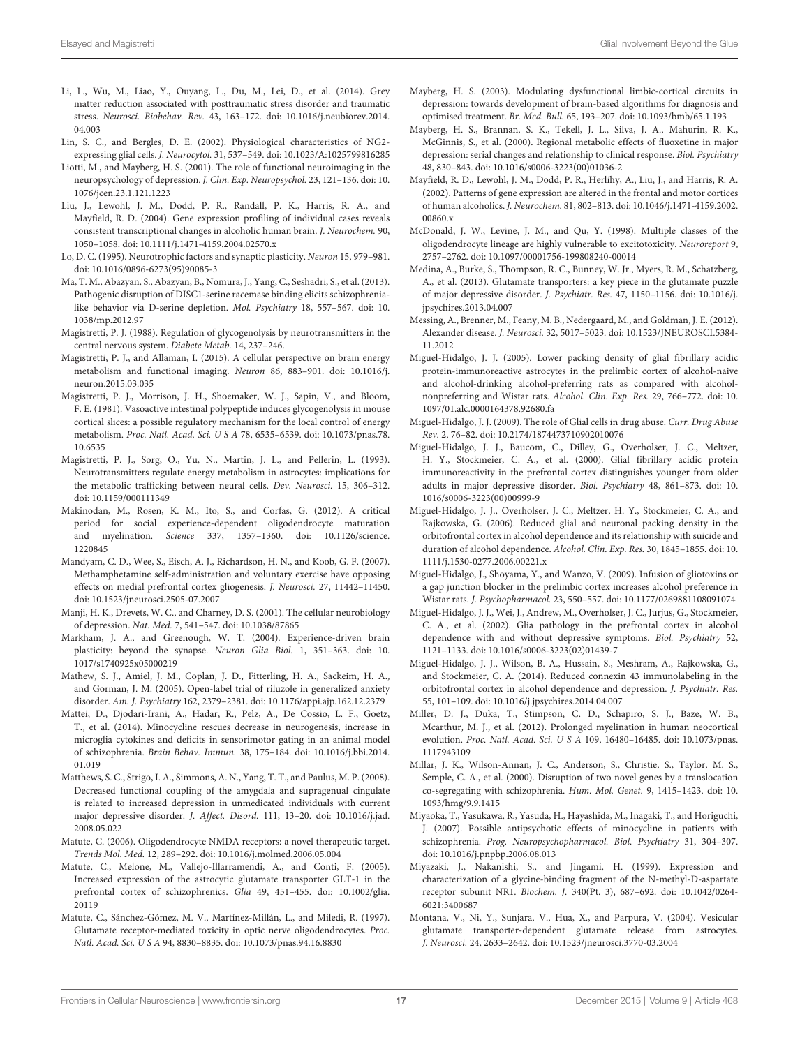- <span id="page-16-20"></span>Li, L., Wu, M., Liao, Y., Ouyang, L., Du, M., Lei, D., et al. (2014). Grey matter reduction associated with posttraumatic stress disorder and traumatic stress. Neurosci. Biobehav. Rev. 43, 163–172. doi: 10.1016/j.neubiorev.2014. 04.003
- <span id="page-16-8"></span>Lin, S. C., and Bergles, D. E. (2002). Physiological characteristics of NG2 expressing glial cells. J. Neurocytol. 31, 537–549. doi: 10.1023/A:1025799816285
- <span id="page-16-12"></span>Liotti, M., and Mayberg, H. S. (2001). The role of functional neuroimaging in the neuropsychology of depression. J. Clin. Exp. Neuropsychol. 23, 121–136. doi: 10. 1076/jcen.23.1.121.1223
- <span id="page-16-34"></span>Liu, J., Lewohl, J. M., Dodd, P. R., Randall, P. K., Harris, R. A., and Mayfield, R. D. (2004). Gene expression profiling of individual cases reveals consistent transcriptional changes in alcoholic human brain. J. Neurochem. 90, 1050–1058. doi: 10.1111/j.1471-4159.2004.02570.x
- <span id="page-16-4"></span>Lo, D. C. (1995). Neurotrophic factors and synaptic plasticity. Neuron 15, 979–981. doi: 10.1016/0896-6273(95)90085-3
- <span id="page-16-26"></span>Ma, T. M., Abazyan, S., Abazyan, B., Nomura, J., Yang, C., Seshadri, S., et al. (2013). Pathogenic disruption of DISC1-serine racemase binding elicits schizophrenialike behavior via D-serine depletion. Mol. Psychiatry 18, 557–567. doi: 10. 1038/mp.2012.97
- <span id="page-16-28"></span>Magistretti, P. J. (1988). Regulation of glycogenolysis by neurotransmitters in the central nervous system. Diabete Metab. 14, 237–246.
- <span id="page-16-0"></span>Magistretti, P. J., and Allaman, I. (2015). A cellular perspective on brain energy metabolism and functional imaging. Neuron 86, 883–901. doi: 10.1016/j. neuron.2015.03.035
- <span id="page-16-1"></span>Magistretti, P. J., Morrison, J. H., Shoemaker, W. J., Sapin, V., and Bloom, F. E. (1981). Vasoactive intestinal polypeptide induces glycogenolysis in mouse cortical slices: a possible regulatory mechanism for the local control of energy metabolism. Proc. Natl. Acad. Sci. U S A 78, 6535–6539. doi: 10.1073/pnas.78. 10.6535
- <span id="page-16-29"></span>Magistretti, P. J., Sorg, O., Yu, N., Martin, J. L., and Pellerin, L. (1993). Neurotransmitters regulate energy metabolism in astrocytes: implications for the metabolic trafficking between neural cells. Dev. Neurosci. 15, 306–312. doi: 10.1159/000111349
- <span id="page-16-25"></span>Makinodan, M., Rosen, K. M., Ito, S., and Corfas, G. (2012). A critical period for social experience-dependent oligodendrocyte maturation and myelination. Science 337, 1357–1360. doi: 10.1126/science. 1220845
- <span id="page-16-9"></span>Mandyam, C. D., Wee, S., Eisch, A. J., Richardson, H. N., and Koob, G. F. (2007). Methamphetamine self-administration and voluntary exercise have opposing effects on medial prefrontal cortex gliogenesis. J. Neurosci. 27, 11442–11450. doi: 10.1523/jneurosci.2505-07.2007
- <span id="page-16-14"></span>Manji, H. K., Drevets, W. C., and Charney, D. S. (2001). The cellular neurobiology of depression. Nat. Med. 7, 541–547. doi: 10.1038/87865
- <span id="page-16-6"></span>Markham, J. A., and Greenough, W. T. (2004). Experience-driven brain plasticity: beyond the synapse. Neuron Glia Biol. 1, 351–363. doi: 10. 1017/s1740925x05000219
- <span id="page-16-21"></span>Mathew, S. J., Amiel, J. M., Coplan, J. D., Fitterling, H. A., Sackeim, H. A., and Gorman, J. M. (2005). Open-label trial of riluzole in generalized anxiety disorder. Am. J. Psychiatry 162, 2379–2381. doi: 10.1176/appi.ajp.162.12.2379
- <span id="page-16-27"></span>Mattei, D., Djodari-Irani, A., Hadar, R., Pelz, A., De Cossio, L. F., Goetz, T., et al. (2014). Minocycline rescues decrease in neurogenesis, increase in microglia cytokines and deficits in sensorimotor gating in an animal model of schizophrenia. Brain Behav. Immun. 38, 175–184. doi: 10.1016/j.bbi.2014. 01.019
- <span id="page-16-13"></span>Matthews, S. C., Strigo, I. A., Simmons, A. N., Yang, T. T., and Paulus, M. P. (2008). Decreased functional coupling of the amygdala and supragenual cingulate is related to increased depression in unmedicated individuals with current major depressive disorder. J. Affect. Disord. 111, 13–20. doi: 10.1016/j.jad. 2008.05.022
- <span id="page-16-7"></span>Matute, C. (2006). Oligodendrocyte NMDA receptors: a novel therapeutic target. Trends Mol. Med. 12, 289–292. doi: 10.1016/j.molmed.2006.05.004
- <span id="page-16-23"></span>Matute, C., Melone, M., Vallejo-Illarramendi, A., and Conti, F. (2005). Increased expression of the astrocytic glutamate transporter GLT-1 in the prefrontal cortex of schizophrenics. Glia 49, 451–455. doi: 10.1002/glia. 20119
- <span id="page-16-18"></span>Matute, C., Sánchez-Gómez, M. V., Martínez-Millán, L., and Miledi, R. (1997). Glutamate receptor-mediated toxicity in optic nerve oligodendrocytes. Proc. Natl. Acad. Sci. U S A 94, 8830–8835. doi: 10.1073/pnas.94.16.8830
- <span id="page-16-10"></span>Mayberg, H. S. (2003). Modulating dysfunctional limbic-cortical circuits in depression: towards development of brain-based algorithms for diagnosis and optimised treatment. Br. Med. Bull. 65, 193–207. doi: 10.1093/bmb/65.1.193
- <span id="page-16-11"></span>Mayberg, H. S., Brannan, S. K., Tekell, J. L., Silva, J. A., Mahurin, R. K., McGinnis, S., et al. (2000). Regional metabolic effects of fluoxetine in major depression: serial changes and relationship to clinical response. Biol. Psychiatry 48, 830–843. doi: 10.1016/s0006-3223(00)01036-2
- <span id="page-16-33"></span>Mayfield, R. D., Lewohl, J. M., Dodd, P. R., Herlihy, A., Liu, J., and Harris, R. A. (2002). Patterns of gene expression are altered in the frontal and motor cortices of human alcoholics. J. Neurochem. 81, 802–813. doi: 10.1046/j.1471-4159.2002. 00860.x
- <span id="page-16-19"></span>McDonald, J. W., Levine, J. M., and Qu, Y. (1998). Multiple classes of the oligodendrocyte lineage are highly vulnerable to excitotoxicity. Neuroreport 9, 2757–2762. doi: 10.1097/00001756-199808240-00014
- <span id="page-16-17"></span>Medina, A., Burke, S., Thompson, R. C., Bunney, W. Jr., Myers, R. M., Schatzberg, A., et al. (2013). Glutamate transporters: a key piece in the glutamate puzzle of major depressive disorder. J. Psychiatr. Res. 47, 1150–1156. doi: 10.1016/j. jpsychires.2013.04.007
- <span id="page-16-37"></span>Messing, A., Brenner, M., Feany, M. B., Nedergaard, M., and Goldman, J. E. (2012). Alexander disease. J. Neurosci. 32, 5017–5023. doi: 10.1523/JNEUROSCI.5384- 11.2012
- <span id="page-16-35"></span>Miguel-Hidalgo, J. J. (2005). Lower packing density of glial fibrillary acidic protein-immunoreactive astrocytes in the prelimbic cortex of alcohol-naive and alcohol-drinking alcohol-preferring rats as compared with alcoholnonpreferring and Wistar rats. Alcohol. Clin. Exp. Res. 29, 766–772. doi: 10. 1097/01.alc.0000164378.92680.fa
- <span id="page-16-30"></span>Miguel-Hidalgo, J. J. (2009). The role of Glial cells in drug abuse. Curr. Drug Abuse Rev. 2, 76–82. doi: 10.2174/1874473710902010076
- <span id="page-16-15"></span>Miguel-Hidalgo, J. J., Baucom, C., Dilley, G., Overholser, J. C., Meltzer, H. Y., Stockmeier, C. A., et al. (2000). Glial fibrillary acidic protein immunoreactivity in the prefrontal cortex distinguishes younger from older adults in major depressive disorder. Biol. Psychiatry 48, 861–873. doi: 10. 1016/s0006-3223(00)00999-9
- <span id="page-16-32"></span>Miguel-Hidalgo, J. J., Overholser, J. C., Meltzer, H. Y., Stockmeier, C. A., and Rajkowska, G. (2006). Reduced glial and neuronal packing density in the orbitofrontal cortex in alcohol dependence and its relationship with suicide and duration of alcohol dependence. Alcohol. Clin. Exp. Res. 30, 1845–1855. doi: 10. 1111/j.1530-0277.2006.00221.x
- <span id="page-16-36"></span>Miguel-Hidalgo, J., Shoyama, Y., and Wanzo, V. (2009). Infusion of gliotoxins or a gap junction blocker in the prelimbic cortex increases alcohol preference in Wistar rats. J. Psychopharmacol. 23, 550–557. doi: 10.1177/0269881108091074
- <span id="page-16-31"></span>Miguel-Hidalgo, J. J., Wei, J., Andrew, M., Overholser, J. C., Jurjus, G., Stockmeier, C. A., et al. (2002). Glia pathology in the prefrontal cortex in alcohol dependence with and without depressive symptoms. Biol. Psychiatry 52, 1121–1133. doi: 10.1016/s0006-3223(02)01439-7
- <span id="page-16-16"></span>Miguel-Hidalgo, J. J., Wilson, B. A., Hussain, S., Meshram, A., Rajkowska, G., and Stockmeier, C. A. (2014). Reduced connexin 43 immunolabeling in the orbitofrontal cortex in alcohol dependence and depression. J. Psychiatr. Res. 55, 101–109. doi: 10.1016/j.jpsychires.2014.04.007
- <span id="page-16-5"></span>Miller, D. J., Duka, T., Stimpson, C. D., Schapiro, S. J., Baze, W. B., Mcarthur, M. J., et al. (2012). Prolonged myelination in human neocortical evolution. Proc. Natl. Acad. Sci. U S A 109, 16480–16485. doi: 10.1073/pnas. 1117943109
- <span id="page-16-22"></span>Millar, J. K., Wilson-Annan, J. C., Anderson, S., Christie, S., Taylor, M. S., Semple, C. A., et al. (2000). Disruption of two novel genes by a translocation co-segregating with schizophrenia. Hum. Mol. Genet. 9, 1415–1423. doi: 10. 1093/hmg/9.9.1415
- <span id="page-16-24"></span>Miyaoka, T., Yasukawa, R., Yasuda, H., Hayashida, M., Inagaki, T., and Horiguchi, J. (2007). Possible antipsychotic effects of minocycline in patients with schizophrenia. Prog. Neuropsychopharmacol. Biol. Psychiatry 31, 304–307. doi: 10.1016/j.pnpbp.2006.08.013
- <span id="page-16-2"></span>Miyazaki, J., Nakanishi, S., and Jingami, H. (1999). Expression and characterization of a glycine-binding fragment of the N-methyl-D-aspartate receptor subunit NR1. Biochem. J. 340(Pt. 3), 687–692. doi: 10.1042/0264- 6021:3400687
- <span id="page-16-3"></span>Montana, V., Ni, Y., Sunjara, V., Hua, X., and Parpura, V. (2004). Vesicular glutamate transporter-dependent glutamate release from astrocytes. J. Neurosci. 24, 2633–2642. doi: 10.1523/jneurosci.3770-03.2004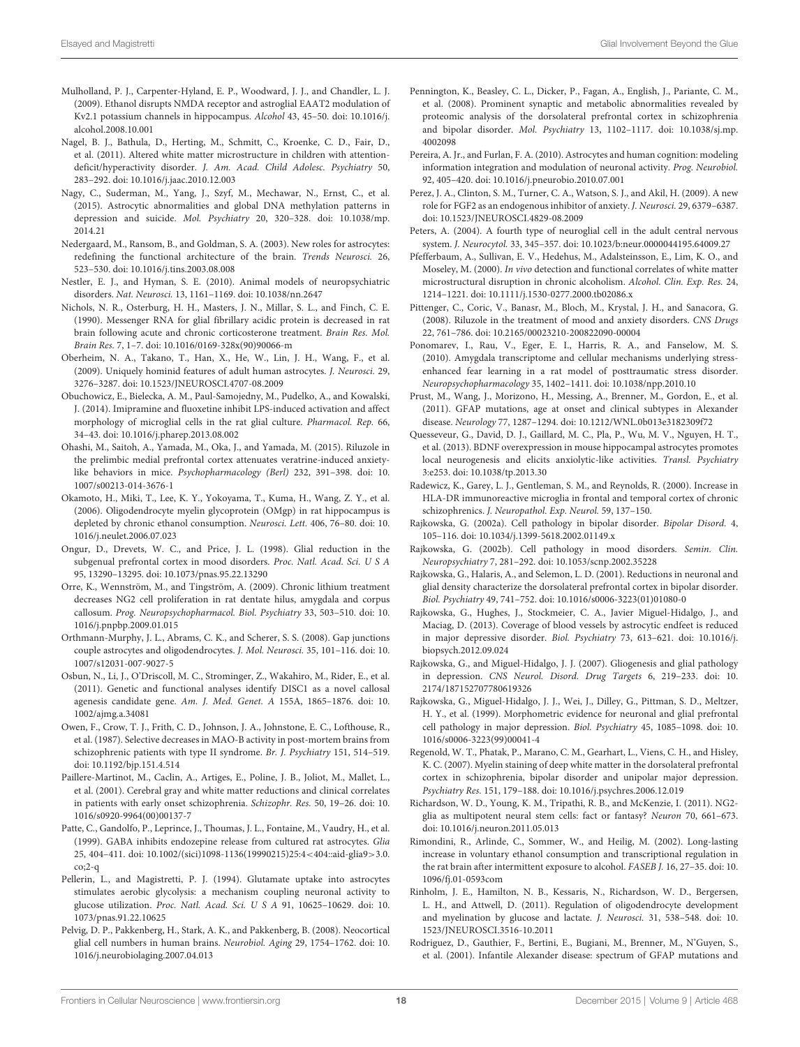- <span id="page-17-35"></span>Mulholland, P. J., Carpenter-Hyland, E. P., Woodward, J. J., and Chandler, L. J. (2009). Ethanol disrupts NMDA receptor and astroglial EAAT2 modulation of Kv2.1 potassium channels in hippocampus. Alcohol 43, 45–50. doi: 10.1016/j. alcohol.2008.10.001
- <span id="page-17-32"></span>Nagel, B. J., Bathula, D., Herting, M., Schmitt, C., Kroenke, C. D., Fair, D., et al. (2011). Altered white matter microstructure in children with attentiondeficit/hyperactivity disorder. J. Am. Acad. Child Adolesc. Psychiatry 50, 283–292. doi: 10.1016/j.jaac.2010.12.003
- <span id="page-17-17"></span>Nagy, C., Suderman, M., Yang, J., Szyf, M., Mechawar, N., Ernst, C., et al. (2015). Astrocytic abnormalities and global DNA methylation patterns in depression and suicide. Mol. Psychiatry 20, 320–328. doi: 10.1038/mp. 2014.21
- <span id="page-17-3"></span>Nedergaard, M., Ransom, B., and Goldman, S. A. (2003). New roles for astrocytes: redefining the functional architecture of the brain. Trends Neurosci. 26, 523–530. doi: 10.1016/j.tins.2003.08.008
- <span id="page-17-0"></span>Nestler, E. J., and Hyman, S. E. (2010). Animal models of neuropsychiatric disorders. Nat. Neurosci. 13, 1161–1169. doi: 10.1038/nn.2647
- <span id="page-17-18"></span>Nichols, N. R., Osterburg, H. H., Masters, J. N., Millar, S. L., and Finch, C. E. (1990). Messenger RNA for glial fibrillary acidic protein is decreased in rat brain following acute and chronic corticosterone treatment. Brain Res. Mol. Brain Res. 7, 1–7. doi: 10.1016/0169-328x(90)90066-m
- <span id="page-17-5"></span>Oberheim, N. A., Takano, T., Han, X., He, W., Lin, J. H., Wang, F., et al. (2009). Uniquely hominid features of adult human astrocytes. J. Neurosci. 29, 3276–3287. doi: 10.1523/JNEUROSCI.4707-08.2009
- <span id="page-17-19"></span>Obuchowicz, E., Bielecka, A. M., Paul-Samojedny, M., Pudelko, A., and Kowalski, J. (2014). Imipramine and fluoxetine inhibit LPS-induced activation and affect morphology of microglial cells in the rat glial culture. Pharmacol. Rep. 66, 34–43. doi: 10.1016/j.pharep.2013.08.002
- <span id="page-17-26"></span>Ohashi, M., Saitoh, A., Yamada, M., Oka, J., and Yamada, M. (2015). Riluzole in the prelimbic medial prefrontal cortex attenuates veratrine-induced anxietylike behaviors in mice. Psychopharmacology (Berl) 232, 391–398. doi: 10. 1007/s00213-014-3676-1
- <span id="page-17-36"></span>Okamoto, H., Miki, T., Lee, K. Y., Yokoyama, T., Kuma, H., Wang, Z. Y., et al. (2006). Oligodendrocyte myelin glycoprotein (OMgp) in rat hippocampus is depleted by chronic ethanol consumption. Neurosci. Lett. 406, 76–80. doi: 10. 1016/j.neulet.2006.07.023
- <span id="page-17-14"></span>Ongur, D., Drevets, W. C., and Price, J. L. (1998). Glial reduction in the subgenual prefrontal cortex in mood disorders. Proc. Natl. Acad. Sci. U S A 95, 13290–13295. doi: 10.1073/pnas.95.22.13290
- <span id="page-17-22"></span>Orre, K., Wennström, M., and Tingström, A. (2009). Chronic lithium treatment decreases NG2 cell proliferation in rat dentate hilus, amygdala and corpus callosum. Prog. Neuropsychopharmacol. Biol. Psychiatry 33, 503–510. doi: 10. 1016/j.pnpbp.2009.01.015
- <span id="page-17-9"></span>Orthmann-Murphy, J. L., Abrams, C. K., and Scherer, S. S. (2008). Gap junctions couple astrocytes and oligodendrocytes. J. Mol. Neurosci. 35, 101–116. doi: 10. 1007/s12031-007-9027-5
- <span id="page-17-27"></span>Osbun, N., Li, J., O'Driscoll, M. C., Strominger, Z., Wakahiro, M., Rider, E., et al. (2011). Genetic and functional analyses identify DISC1 as a novel callosal agenesis candidate gene. Am. J. Med. Genet. A 155A, 1865–1876. doi: 10. 1002/ajmg.a.34081
- <span id="page-17-30"></span>Owen, F., Crow, T. J., Frith, C. D., Johnson, J. A., Johnstone, E. C., Lofthouse, R., et al. (1987). Selective decreases in MAO-B activity in post-mortem brains from schizophrenic patients with type II syndrome. Br. J. Psychiatry 151, 514–519. doi: 10.1192/bjp.151.4.514
- <span id="page-17-28"></span>Paillere-Martinot, M., Caclin, A., Artiges, E., Poline, J. B., Joliot, M., Mallet, L., et al. (2001). Cerebral gray and white matter reductions and clinical correlates in patients with early onset schizophrenia. Schizophr. Res. 50, 19–26. doi: 10. 1016/s0920-9964(00)00137-7
- <span id="page-17-39"></span>Patte, C., Gandolfo, P., Leprince, J., Thoumas, J. L., Fontaine, M., Vaudry, H., et al. (1999). GABA inhibits endozepine release from cultured rat astrocytes. Glia 25, 404–411. doi: 10.1002/(sici)1098-1136(19990215)25:4<404::aid-glia9>3.0.  $co;2-a$
- <span id="page-17-7"></span>Pellerin, L., and Magistretti, P. J. (1994). Glutamate uptake into astrocytes stimulates aerobic glycolysis: a mechanism coupling neuronal activity to glucose utilization. Proc. Natl. Acad. Sci. U S A 91, 10625–10629. doi: 10. 1073/pnas.91.22.10625
- <span id="page-17-2"></span>Pelvig, D. P., Pakkenberg, H., Stark, A. K., and Pakkenberg, B. (2008). Neocortical glial cell numbers in human brains. Neurobiol. Aging 29, 1754–1762. doi: 10. 1016/j.neurobiolaging.2007.04.013
- <span id="page-17-29"></span>Pennington, K., Beasley, C. L., Dicker, P., Fagan, A., English, J., Pariante, C. M., et al. (2008). Prominent synaptic and metabolic abnormalities revealed by proteomic analysis of the dorsolateral prefrontal cortex in schizophrenia and bipolar disorder. Mol. Psychiatry 13, 1102–1117. doi: 10.1038/sj.mp. 4002098
- <span id="page-17-6"></span>Pereira, A. Jr., and Furlan, F. A. (2010). Astrocytes and human cognition: modeling information integration and modulation of neuronal activity. Prog. Neurobiol. 92, 405–420. doi: 10.1016/j.pneurobio.2010.07.001
- <span id="page-17-25"></span>Perez, J. A., Clinton, S. M., Turner, C. A., Watson, S. J., and Akil, H. (2009). A new role for FGF2 as an endogenous inhibitor of anxiety. J. Neurosci. 29, 6379–6387. doi: 10.1523/JNEUROSCI.4829-08.2009
- <span id="page-17-12"></span>Peters, A. (2004). A fourth type of neuroglial cell in the adult central nervous system. J. Neurocytol. 33, 345–357. doi: 10.1023/b:neur.0000044195.64009.27
- <span id="page-17-33"></span>Pfefferbaum, A., Sullivan, E. V., Hedehus, M., Adalsteinsson, E., Lim, K. O., and Moseley, M. (2000). In vivo detection and functional correlates of white matter microstructural disruption in chronic alcoholism. Alcohol. Clin. Exp. Res. 24, 1214–1221. doi: 10.1111/j.1530-0277.2000.tb02086.x
- <span id="page-17-23"></span>Pittenger, C., Coric, V., Banasr, M., Bloch, M., Krystal, J. H., and Sanacora, G. (2008). Riluzole in the treatment of mood and anxiety disorders. CNS Drugs 22, 761–786. doi: 10.2165/00023210-200822090-00004
- <span id="page-17-24"></span>Ponomarev, I., Rau, V., Eger, E. I., Harris, R. A., and Fanselow, M. S. (2010). Amygdala transcriptome and cellular mechanisms underlying stressenhanced fear learning in a rat model of posttraumatic stress disorder. Neuropsychopharmacology 35, 1402–1411. doi: 10.1038/npp.2010.10
- <span id="page-17-37"></span>Prust, M., Wang, J., Morizono, H., Messing, A., Brenner, M., Gordon, E., et al. (2011). GFAP mutations, age at onset and clinical subtypes in Alexander disease. Neurology 77, 1287–1294. doi: 10.1212/WNL.0b013e3182309f72
- <span id="page-17-8"></span>Quesseveur, G., David, D. J., Gaillard, M. C., Pla, P., Wu, M. V., Nguyen, H. T., et al. (2013). BDNF overexpression in mouse hippocampal astrocytes promotes local neurogenesis and elicits anxiolytic-like activities. Transl. Psychiatry 3:e253. doi: 10.1038/tp.2013.30
- <span id="page-17-31"></span>Radewicz, K., Garey, L. J., Gentleman, S. M., and Reynolds, R. (2000). Increase in HLA-DR immunoreactive microglia in frontal and temporal cortex of chronic schizophrenics. J. Neuropathol. Exp. Neurol. 59, 137–150.
- <span id="page-17-20"></span>Rajkowska, G. (2002a). Cell pathology in bipolar disorder. Bipolar Disord. 4, 105–116. doi: 10.1034/j.1399-5618.2002.01149.x
- <span id="page-17-13"></span>Rajkowska, G. (2002b). Cell pathology in mood disorders. Semin. Clin. Neuropsychiatry 7, 281–292. doi: 10.1053/scnp.2002.35228
- <span id="page-17-21"></span>Rajkowska, G., Halaris, A., and Selemon, L. D. (2001). Reductions in neuronal and glial density characterize the dorsolateral prefrontal cortex in bipolar disorder. Biol. Psychiatry 49, 741–752. doi: 10.1016/s0006-3223(01)01080-0
- <span id="page-17-16"></span>Rajkowska, G., Hughes, J., Stockmeier, C. A., Javier Miguel-Hidalgo, J., and Maciag, D. (2013). Coverage of blood vessels by astrocytic endfeet is reduced in major depressive disorder. Biol. Psychiatry 73, 613–621. doi: 10.1016/j. biopsych.2012.09.024
- <span id="page-17-4"></span>Rajkowska, G., and Miguel-Hidalgo, J. J. (2007). Gliogenesis and glial pathology in depression. CNS Neurol. Disord. Drug Targets 6, 219–233. doi: 10. 2174/187152707780619326
- <span id="page-17-1"></span>Rajkowska, G., Miguel-Hidalgo, J. J., Wei, J., Dilley, G., Pittman, S. D., Meltzer, H. Y., et al. (1999). Morphometric evidence for neuronal and glial prefrontal cell pathology in major depression. Biol. Psychiatry 45, 1085–1098. doi: 10. 1016/s0006-3223(99)00041-4
- <span id="page-17-15"></span>Regenold, W. T., Phatak, P., Marano, C. M., Gearhart, L., Viens, C. H., and Hisley, K. C. (2007). Myelin staining of deep white matter in the dorsolateral prefrontal cortex in schizophrenia, bipolar disorder and unipolar major depression. Psychiatry Res. 151, 179–188. doi: 10.1016/j.psychres.2006.12.019
- <span id="page-17-11"></span>Richardson, W. D., Young, K. M., Tripathi, R. B., and McKenzie, I. (2011). NG2 glia as multipotent neural stem cells: fact or fantasy? Neuron 70, 661–673. doi: 10.1016/j.neuron.2011.05.013
- <span id="page-17-34"></span>Rimondini, R., Arlinde, C., Sommer, W., and Heilig, M. (2002). Long-lasting increase in voluntary ethanol consumption and transcriptional regulation in the rat brain after intermittent exposure to alcohol. FASEB J. 16, 27–35. doi: 10. 1096/fj.01-0593com
- <span id="page-17-10"></span>Rinholm, J. E., Hamilton, N. B., Kessaris, N., Richardson, W. D., Bergersen, L. H., and Attwell, D. (2011). Regulation of oligodendrocyte development and myelination by glucose and lactate. J. Neurosci. 31, 538–548. doi: 10. 1523/JNEUROSCI.3516-10.2011
- <span id="page-17-38"></span>Rodriguez, D., Gauthier, F., Bertini, E., Bugiani, M., Brenner, M., N'Guyen, S., et al. (2001). Infantile Alexander disease: spectrum of GFAP mutations and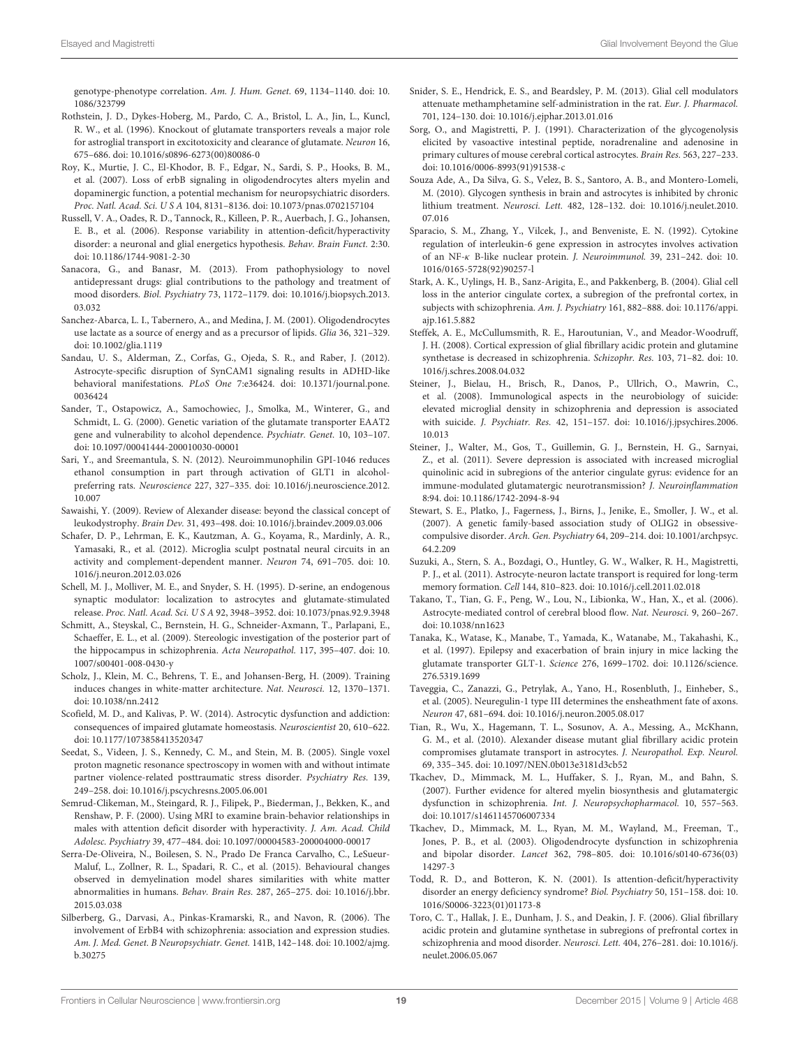genotype-phenotype correlation. Am. J. Hum. Genet. 69, 1134–1140. doi: 10. 1086/323799

- <span id="page-18-3"></span>Rothstein, J. D., Dykes-Hoberg, M., Pardo, C. A., Bristol, L. A., Jin, L., Kuncl, R. W., et al. (1996). Knockout of glutamate transporters reveals a major role for astroglial transport in excitotoxicity and clearance of glutamate. Neuron 16, 675–686. doi: 10.1016/s0896-6273(00)80086-0
- <span id="page-18-16"></span>Roy, K., Murtie, J. C., El-Khodor, B. F., Edgar, N., Sardi, S. P., Hooks, B. M., et al. (2007). Loss of erbB signaling in oligodendrocytes alters myelin and dopaminergic function, a potential mechanism for neuropsychiatric disorders. Proc. Natl. Acad. Sci. U S A 104, 8131–8136. doi: 10.1073/pnas.0702157104
- <span id="page-18-28"></span>Russell, V. A., Oades, R. D., Tannock, R., Killeen, P. R., Auerbach, J. G., Johansen, E. B., et al. (2006). Response variability in attention-deficit/hyperactivity disorder: a neuronal and glial energetics hypothesis. Behav. Brain Funct. 2:30. doi: 10.1186/1744-9081-2-30
- <span id="page-18-10"></span>Sanacora, G., and Banasr, M. (2013). From pathophysiology to novel antidepressant drugs: glial contributions to the pathology and treatment of mood disorders. Biol. Psychiatry 73, 1172–1179. doi: 10.1016/j.biopsych.2013. 03.032
- <span id="page-18-7"></span>Sanchez-Abarca, L. I., Tabernero, A., and Medina, J. M. (2001). Oligodendrocytes use lactate as a source of energy and as a precursor of lipids. Glia 36, 321–329. doi: 10.1002/glia.1119
- <span id="page-18-29"></span>Sandau, U. S., Alderman, Z., Corfas, G., Ojeda, S. R., and Raber, J. (2012). Astrocyte-specific disruption of SynCAM1 signaling results in ADHD-like behavioral manifestations. PLoS One 7:e36424. doi: 10.1371/journal.pone. 0036424
- <span id="page-18-30"></span>Sander, T., Ostapowicz, A., Samochowiec, J., Smolka, M., Winterer, G., and Schmidt, L. G. (2000). Genetic variation of the glutamate transporter EAAT2 gene and vulnerability to alcohol dependence. Psychiatr. Genet. 10, 103–107. doi: 10.1097/00041444-200010030-00001
- <span id="page-18-31"></span>Sari, Y., and Sreemantula, S. N. (2012). Neuroimmunophilin GPI-1046 reduces ethanol consumption in part through activation of GLT1 in alcoholpreferring rats. Neuroscience 227, 327–335. doi: 10.1016/j.neuroscience.2012. 10.007
- <span id="page-18-34"></span>Sawaishi, Y. (2009). Review of Alexander disease: beyond the classical concept of leukodystrophy. Brain Dev. 31, 493–498. doi: 10.1016/j.braindev.2009.03.006
- <span id="page-18-9"></span>Schafer, D. P., Lehrman, E. K., Kautzman, A. G., Koyama, R., Mardinly, A. R., Yamasaki, R., et al. (2012). Microglia sculpt postnatal neural circuits in an activity and complement-dependent manner. Neuron 74, 691–705. doi: 10. 1016/j.neuron.2012.03.026
- <span id="page-18-5"></span>Schell, M. J., Molliver, M. E., and Snyder, S. H. (1995). D-serine, an endogenous synaptic modulator: localization to astrocytes and glutamate-stimulated release. Proc. Natl. Acad. Sci. U S A 92, 3948–3952. doi: 10.1073/pnas.92.9.3948
- <span id="page-18-24"></span>Schmitt, A., Steyskal, C., Bernstein, H. G., Schneider-Axmann, T., Parlapani, E., Schaeffer, E. L., et al. (2009). Stereologic investigation of the posterior part of the hippocampus in schizophrenia. Acta Neuropathol. 117, 395–407. doi: 10. 1007/s00401-008-0430-y
- <span id="page-18-8"></span>Scholz, J., Klein, M. C., Behrens, T. E., and Johansen-Berg, H. (2009). Training induces changes in white-matter architecture. Nat. Neurosci. 12, 1370–1371. doi: 10.1038/nn.2412
- <span id="page-18-32"></span>Scofield, M. D., and Kalivas, P. W. (2014). Astrocytic dysfunction and addiction: consequences of impaired glutamate homeostasis. Neuroscientist 20, 610–622. doi: 10.1177/1073858413520347
- <span id="page-18-17"></span>Seedat, S., Videen, J. S., Kennedy, C. M., and Stein, M. B. (2005). Single voxel proton magnetic resonance spectroscopy in women with and without intimate partner violence-related posttraumatic stress disorder. Psychiatry Res. 139, 249–258. doi: 10.1016/j.pscychresns.2005.06.001
- <span id="page-18-26"></span>Semrud-Clikeman, M., Steingard, R. J., Filipek, P., Biederman, J., Bekken, K., and Renshaw, P. F. (2000). Using MRI to examine brain-behavior relationships in males with attention deficit disorder with hyperactivity. J. Am. Acad. Child Adolesc. Psychiatry 39, 477–484. doi: 10.1097/00004583-200004000-00017
- <span id="page-18-19"></span>Serra-De-Oliveira, N., Boilesen, S. N., Prado De Franca Carvalho, C., LeSueur-Maluf, L., Zollner, R. L., Spadari, R. C., et al. (2015). Behavioural changes observed in demyelination model shares similarities with white matter abnormalities in humans. Behav. Brain Res. 287, 265–275. doi: 10.1016/j.bbr. 2015.03.038
- <span id="page-18-21"></span>Silberberg, G., Darvasi, A., Pinkas-Kramarski, R., and Navon, R. (2006). The involvement of ErbB4 with schizophrenia: association and expression studies. Am. J. Med. Genet. B Neuropsychiatr. Genet. 141B, 142–148. doi: 10.1002/ajmg. b.30275
- <span id="page-18-33"></span>Snider, S. E., Hendrick, E. S., and Beardsley, P. M. (2013). Glial cell modulators attenuate methamphetamine self-administration in the rat. Eur. J. Pharmacol. 701, 124–130. doi: 10.1016/j.ejphar.2013.01.016
- <span id="page-18-1"></span>Sorg, O., and Magistretti, P. J. (1991). Characterization of the glycogenolysis elicited by vasoactive intestinal peptide, noradrenaline and adenosine in primary cultures of mouse cerebral cortical astrocytes. Brain Res. 563, 227–233. doi: 10.1016/0006-8993(91)91538-c
- <span id="page-18-15"></span>Souza Ade, A., Da Silva, G. S., Velez, B. S., Santoro, A. B., and Montero-Lomeli, M. (2010). Glycogen synthesis in brain and astrocytes is inhibited by chronic lithium treatment. Neurosci. Lett. 482, 128–132. doi: 10.1016/j.neulet.2010. 07.016
- <span id="page-18-6"></span>Sparacio, S. M., Zhang, Y., Vilcek, J., and Benveniste, E. N. (1992). Cytokine regulation of interleukin-6 gene expression in astrocytes involves activation of an NF-κ B-like nuclear protein. J. Neuroimmunol. 39, 231–242. doi: 10. 1016/0165-5728(92)90257-l
- <span id="page-18-23"></span>Stark, A. K., Uylings, H. B., Sanz-Arigita, E., and Pakkenberg, B. (2004). Glial cell loss in the anterior cingulate cortex, a subregion of the prefrontal cortex, in subjects with schizophrenia. Am. J. Psychiatry 161, 882–888. doi: 10.1176/appi. ajp.161.5.882
- <span id="page-18-25"></span>Steffek, A. E., McCullumsmith, R. E., Haroutunian, V., and Meador-Woodruff, J. H. (2008). Cortical expression of glial fibrillary acidic protein and glutamine synthetase is decreased in schizophrenia. Schizophr. Res. 103, 71–82. doi: 10. 1016/j.schres.2008.04.032
- <span id="page-18-11"></span>Steiner, J., Bielau, H., Brisch, R., Danos, P., Ullrich, O., Mawrin, C., et al. (2008). Immunological aspects in the neurobiology of suicide: elevated microglial density in schizophrenia and depression is associated with suicide. J. Psychiatr. Res. 42, 151–157. doi: 10.1016/j.jpsychires.2006. 10.013
- <span id="page-18-12"></span>Steiner, J., Walter, M., Gos, T., Guillemin, G. J., Bernstein, H. G., Sarnyai, Z., et al. (2011). Severe depression is associated with increased microglial quinolinic acid in subregions of the anterior cingulate gyrus: evidence for an immune-modulated glutamatergic neurotransmission? J. Neuroinflammation 8:94. doi: 10.1186/1742-2094-8-94
- <span id="page-18-18"></span>Stewart, S. E., Platko, J., Fagerness, J., Birns, J., Jenike, E., Smoller, J. W., et al. (2007). A genetic family-based association study of OLIG2 in obsessivecompulsive disorder. Arch. Gen. Psychiatry 64, 209–214. doi: 10.1001/archpsyc. 64.2.209
- <span id="page-18-2"></span>Suzuki, A., Stern, S. A., Bozdagi, O., Huntley, G. W., Walker, R. H., Magistretti, P. J., et al. (2011). Astrocyte-neuron lactate transport is required for long-term memory formation. Cell 144, 810–823. doi: 10.1016/j.cell.2011.02.018
- <span id="page-18-0"></span>Takano, T., Tian, G. F., Peng, W., Lou, N., Libionka, W., Han, X., et al. (2006). Astrocyte-mediated control of cerebral blood flow. Nat. Neurosci. 9, 260–267. doi: 10.1038/nn1623
- <span id="page-18-4"></span>Tanaka, K., Watase, K., Manabe, T., Yamada, K., Watanabe, M., Takahashi, K., et al. (1997). Epilepsy and exacerbation of brain injury in mice lacking the glutamate transporter GLT-1. Science 276, 1699–1702. doi: 10.1126/science. 276.5319.1699
- <span id="page-18-22"></span>Taveggia, C., Zanazzi, G., Petrylak, A., Yano, H., Rosenbluth, J., Einheber, S., et al. (2005). Neuregulin-1 type III determines the ensheathment fate of axons. Neuron 47, 681–694. doi: 10.1016/j.neuron.2005.08.017
- <span id="page-18-35"></span>Tian, R., Wu, X., Hagemann, T. L., Sosunov, A. A., Messing, A., McKhann, G. M., et al. (2010). Alexander disease mutant glial fibrillary acidic protein compromises glutamate transport in astrocytes. J. Neuropathol. Exp. Neurol. 69, 335–345. doi: 10.1097/NEN.0b013e3181d3cb52
- <span id="page-18-20"></span>Tkachev, D., Mimmack, M. L., Huffaker, S. J., Ryan, M., and Bahn, S. (2007). Further evidence for altered myelin biosynthesis and glutamatergic dysfunction in schizophrenia. Int. J. Neuropsychopharmacol. 10, 557–563. doi: 10.1017/s1461145706007334
- <span id="page-18-13"></span>Tkachev, D., Mimmack, M. L., Ryan, M. M., Wayland, M., Freeman, T., Jones, P. B., et al. (2003). Oligodendrocyte dysfunction in schizophrenia and bipolar disorder. Lancet 362, 798–805. doi: 10.1016/s0140-6736(03) 14297-3
- <span id="page-18-27"></span>Todd, R. D., and Botteron, K. N. (2001). Is attention-deficit/hyperactivity disorder an energy deficiency syndrome? Biol. Psychiatry 50, 151–158. doi: 10. 1016/S0006-3223(01)01173-8
- <span id="page-18-14"></span>Toro, C. T., Hallak, J. E., Dunham, J. S., and Deakin, J. F. (2006). Glial fibrillary acidic protein and glutamine synthetase in subregions of prefrontal cortex in schizophrenia and mood disorder. Neurosci. Lett. 404, 276–281. doi: 10.1016/j. neulet.2006.05.067